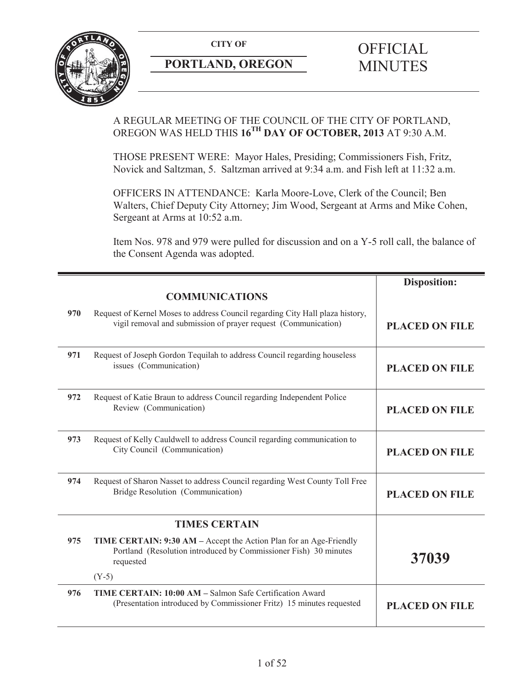

# **PORTLAND, OREGON MINUTES**

# A REGULAR MEETING OF THE COUNCIL OF THE CITY OF PORTLAND, OREGON WAS HELD THIS **16TH DAY OF OCTOBER, 2013** AT 9:30 A.M.

THOSE PRESENT WERE: Mayor Hales, Presiding; Commissioners Fish, Fritz, Novick and Saltzman, 5. Saltzman arrived at 9:34 a.m. and Fish left at 11:32 a.m.

OFFICERS IN ATTENDANCE: Karla Moore-Love, Clerk of the Council; Ben Walters, Chief Deputy City Attorney; Jim Wood, Sergeant at Arms and Mike Cohen, Sergeant at Arms at 10:52 a.m.

Item Nos. 978 and 979 were pulled for discussion and on a Y-5 roll call, the balance of the Consent Agenda was adopted.

|     |                                                                                                                                                            | <b>Disposition:</b>   |
|-----|------------------------------------------------------------------------------------------------------------------------------------------------------------|-----------------------|
|     | <b>COMMUNICATIONS</b>                                                                                                                                      |                       |
| 970 | Request of Kernel Moses to address Council regarding City Hall plaza history,<br>vigil removal and submission of prayer request (Communication)            | <b>PLACED ON FILE</b> |
| 971 | Request of Joseph Gordon Tequilah to address Council regarding houseless<br>issues (Communication)                                                         | <b>PLACED ON FILE</b> |
| 972 | Request of Katie Braun to address Council regarding Independent Police<br>Review (Communication)                                                           | <b>PLACED ON FILE</b> |
| 973 | Request of Kelly Cauldwell to address Council regarding communication to<br>City Council (Communication)                                                   | <b>PLACED ON FILE</b> |
| 974 | Request of Sharon Nasset to address Council regarding West County Toll Free<br>Bridge Resolution (Communication)                                           | <b>PLACED ON FILE</b> |
|     | <b>TIMES CERTAIN</b>                                                                                                                                       |                       |
| 975 | <b>TIME CERTAIN: 9:30 AM – Accept the Action Plan for an Age-Friendly</b><br>Portland (Resolution introduced by Commissioner Fish) 30 minutes<br>requested | 37039                 |
|     | $(Y-5)$                                                                                                                                                    |                       |
| 976 | TIME CERTAIN: 10:00 AM - Salmon Safe Certification Award<br>(Presentation introduced by Commissioner Fritz) 15 minutes requested                           | <b>PLACED ON FILE</b> |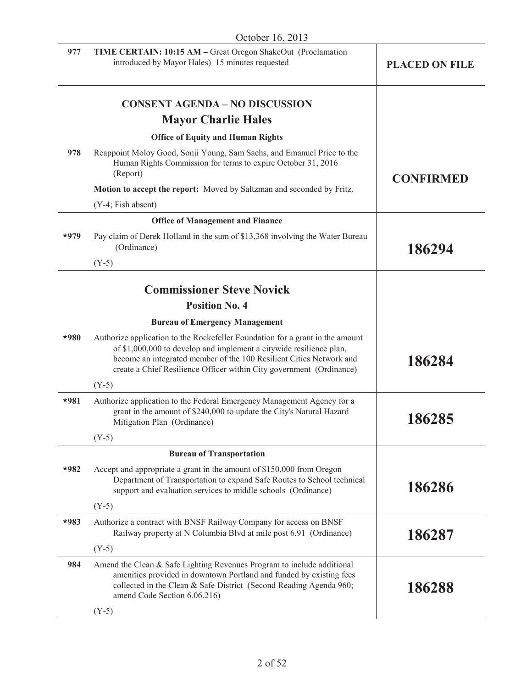|        | October 16, 2013                                                                                                                                                                                                                                                                                    |                       |
|--------|-----------------------------------------------------------------------------------------------------------------------------------------------------------------------------------------------------------------------------------------------------------------------------------------------------|-----------------------|
| 977    | TIME CERTAIN: 10:15 AM - Great Oregon ShakeOut (Proclamation<br>introduced by Mayor Hales) 15 minutes requested                                                                                                                                                                                     | <b>PLACED ON FILE</b> |
|        | <b>CONSENT AGENDA - NO DISCUSSION</b>                                                                                                                                                                                                                                                               |                       |
|        | <b>Mayor Charlie Hales</b>                                                                                                                                                                                                                                                                          |                       |
|        | <b>Office of Equity and Human Rights</b>                                                                                                                                                                                                                                                            |                       |
| 978    | Reappoint Moloy Good, Sonji Young, Sam Sachs, and Emanuel Price to the<br>Human Rights Commission for terms to expire October 31, 2016<br>(Report)                                                                                                                                                  | <b>CONFIRMED</b>      |
|        | Motion to accept the report: Moved by Saltzman and seconded by Fritz.                                                                                                                                                                                                                               |                       |
|        | (Y-4; Fish absent)                                                                                                                                                                                                                                                                                  |                       |
|        | <b>Office of Management and Finance</b>                                                                                                                                                                                                                                                             |                       |
| $*979$ | Pay claim of Derek Holland in the sum of \$13,368 involving the Water Bureau<br>(Ordinance)                                                                                                                                                                                                         | 186294                |
|        | $(Y-5)$                                                                                                                                                                                                                                                                                             |                       |
|        | <b>Commissioner Steve Novick</b>                                                                                                                                                                                                                                                                    |                       |
|        | <b>Position No. 4</b>                                                                                                                                                                                                                                                                               |                       |
|        |                                                                                                                                                                                                                                                                                                     |                       |
|        | <b>Bureau of Emergency Management</b>                                                                                                                                                                                                                                                               |                       |
| $*980$ | Authorize application to the Rockefeller Foundation for a grant in the amount<br>of \$1,000,000 to develop and implement a citywide resilience plan,<br>become an integrated member of the 100 Resilient Cities Network and<br>create a Chief Resilience Officer within City government (Ordinance) | 186284                |
|        | $(Y-5)$                                                                                                                                                                                                                                                                                             |                       |
| $*981$ | Authorize application to the Federal Emergency Management Agency for a<br>grant in the amount of \$240,000 to update the City's Natural Hazard<br>Mitigation Plan (Ordinance)                                                                                                                       | 186285                |
|        | $(Y-5)$                                                                                                                                                                                                                                                                                             |                       |
|        | <b>Bureau of Transportation</b>                                                                                                                                                                                                                                                                     |                       |
| $*982$ | Accept and appropriate a grant in the amount of \$150,000 from Oregon<br>Department of Transportation to expand Safe Routes to School technical<br>support and evaluation services to middle schools (Ordinance)                                                                                    | 186286                |
|        | $(Y-5)$                                                                                                                                                                                                                                                                                             |                       |
| $*983$ | Authorize a contract with BNSF Railway Company for access on BNSF<br>Railway property at N Columbia Blvd at mile post 6.91 (Ordinance)                                                                                                                                                              | 186287                |
|        | $(Y-5)$                                                                                                                                                                                                                                                                                             |                       |
| 984    | Amend the Clean & Safe Lighting Revenues Program to include additional<br>amenities provided in downtown Portland and funded by existing fees<br>collected in the Clean & Safe District (Second Reading Agenda 960;<br>amend Code Section 6.06.216)                                                 | 186288                |
|        | $(Y-5)$                                                                                                                                                                                                                                                                                             |                       |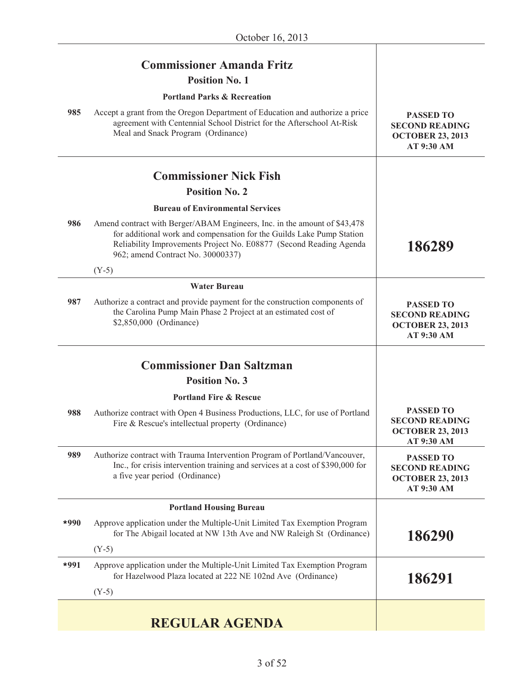|        | <b>Commissioner Amanda Fritz</b><br><b>Position No. 1</b>                                                                                                                                                                                                     |                                                                                    |
|--------|---------------------------------------------------------------------------------------------------------------------------------------------------------------------------------------------------------------------------------------------------------------|------------------------------------------------------------------------------------|
|        | <b>Portland Parks &amp; Recreation</b>                                                                                                                                                                                                                        |                                                                                    |
| 985    | Accept a grant from the Oregon Department of Education and authorize a price<br>agreement with Centennial School District for the Afterschool At-Risk<br>Meal and Snack Program (Ordinance)                                                                   | <b>PASSED TO</b><br><b>SECOND READING</b><br><b>OCTOBER 23, 2013</b><br>AT 9:30 AM |
|        | <b>Commissioner Nick Fish</b>                                                                                                                                                                                                                                 |                                                                                    |
|        | <b>Position No. 2</b>                                                                                                                                                                                                                                         |                                                                                    |
|        | <b>Bureau of Environmental Services</b>                                                                                                                                                                                                                       |                                                                                    |
| 986    | Amend contract with Berger/ABAM Engineers, Inc. in the amount of \$43,478<br>for additional work and compensation for the Guilds Lake Pump Station<br>Reliability Improvements Project No. E08877 (Second Reading Agenda<br>962; amend Contract No. 30000337) | 186289                                                                             |
|        | $(Y-5)$                                                                                                                                                                                                                                                       |                                                                                    |
|        | <b>Water Bureau</b>                                                                                                                                                                                                                                           |                                                                                    |
| 987    | Authorize a contract and provide payment for the construction components of<br>the Carolina Pump Main Phase 2 Project at an estimated cost of<br>\$2,850,000 (Ordinance)                                                                                      | <b>PASSED TO</b><br><b>SECOND READING</b><br><b>OCTOBER 23, 2013</b><br>AT 9:30 AM |
|        | <b>Commissioner Dan Saltzman</b>                                                                                                                                                                                                                              |                                                                                    |
|        | <b>Position No. 3</b>                                                                                                                                                                                                                                         |                                                                                    |
|        | <b>Portland Fire &amp; Rescue</b>                                                                                                                                                                                                                             |                                                                                    |
| 988    | Authorize contract with Open 4 Business Productions, LLC, for use of Portland<br>Fire & Rescue's intellectual property (Ordinance)                                                                                                                            | <b>PASSED TO</b><br><b>SECOND READING</b><br><b>OCTOBER 23, 2013</b><br>AT 9:30 AM |
| 989    | Authorize contract with Trauma Intervention Program of Portland/Vancouver,<br>Inc., for crisis intervention training and services at a cost of \$390,000 for<br>a five year period (Ordinance)                                                                | <b>PASSED TO</b><br><b>SECOND READING</b><br><b>OCTOBER 23, 2013</b><br>AT 9:30 AM |
|        | <b>Portland Housing Bureau</b>                                                                                                                                                                                                                                |                                                                                    |
| $*990$ | Approve application under the Multiple-Unit Limited Tax Exemption Program<br>for The Abigail located at NW 13th Ave and NW Raleigh St (Ordinance)                                                                                                             | 186290                                                                             |
|        | $(Y-5)$                                                                                                                                                                                                                                                       |                                                                                    |
| $*991$ | Approve application under the Multiple-Unit Limited Tax Exemption Program<br>for Hazelwood Plaza located at 222 NE 102nd Ave (Ordinance)                                                                                                                      | 186291                                                                             |
|        | $(Y-5)$                                                                                                                                                                                                                                                       |                                                                                    |
|        | <b>REGULAR AGENDA</b>                                                                                                                                                                                                                                         |                                                                                    |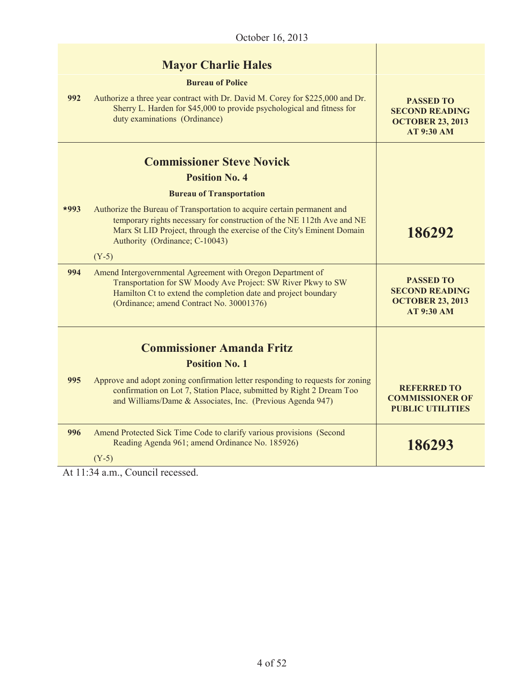| October 16, 2013 |                                                                                                                                                                                                                                                               |                                                                                           |
|------------------|---------------------------------------------------------------------------------------------------------------------------------------------------------------------------------------------------------------------------------------------------------------|-------------------------------------------------------------------------------------------|
| 992              | <b>Mayor Charlie Hales</b><br><b>Bureau of Police</b><br>Authorize a three year contract with Dr. David M. Corey for \$225,000 and Dr.<br>Sherry L. Harden for \$45,000 to provide psychological and fitness for<br>duty examinations (Ordinance)             | <b>PASSED TO</b><br><b>SECOND READING</b><br><b>OCTOBER 23, 2013</b><br><b>AT 9:30 AM</b> |
|                  | <b>Commissioner Steve Novick</b><br><b>Position No. 4</b><br><b>Bureau of Transportation</b>                                                                                                                                                                  |                                                                                           |
| $*993$           | Authorize the Bureau of Transportation to acquire certain permanent and<br>temporary rights necessary for construction of the NE 112th Ave and NE<br>Marx St LID Project, through the exercise of the City's Eminent Domain<br>Authority (Ordinance; C-10043) | 186292                                                                                    |
|                  | $(Y-5)$                                                                                                                                                                                                                                                       |                                                                                           |
| 994              | Amend Intergovernmental Agreement with Oregon Department of<br>Transportation for SW Moody Ave Project: SW River Pkwy to SW<br>Hamilton Ct to extend the completion date and project boundary<br>(Ordinance; amend Contract No. 30001376)                     | <b>PASSED TO</b><br><b>SECOND READING</b><br><b>OCTOBER 23, 2013</b><br><b>AT 9:30 AM</b> |
|                  |                                                                                                                                                                                                                                                               |                                                                                           |
|                  | <b>Commissioner Amanda Fritz</b>                                                                                                                                                                                                                              |                                                                                           |
|                  | <b>Position No. 1</b>                                                                                                                                                                                                                                         |                                                                                           |
| 995              | Approve and adopt zoning confirmation letter responding to requests for zoning<br>confirmation on Lot 7, Station Place, submitted by Right 2 Dream Too<br>and Williams/Dame & Associates, Inc. (Previous Agenda 947)                                          | <b>REFERRED TO</b><br><b>COMMISSIONER OF</b><br><b>PUBLIC UTILITIES</b>                   |
| 996              | Amend Protected Sick Time Code to clarify various provisions (Second<br>Reading Agenda 961; amend Ordinance No. 185926)<br>$(Y-5)$                                                                                                                            | 186293                                                                                    |

At 11:34 a.m., Council recessed.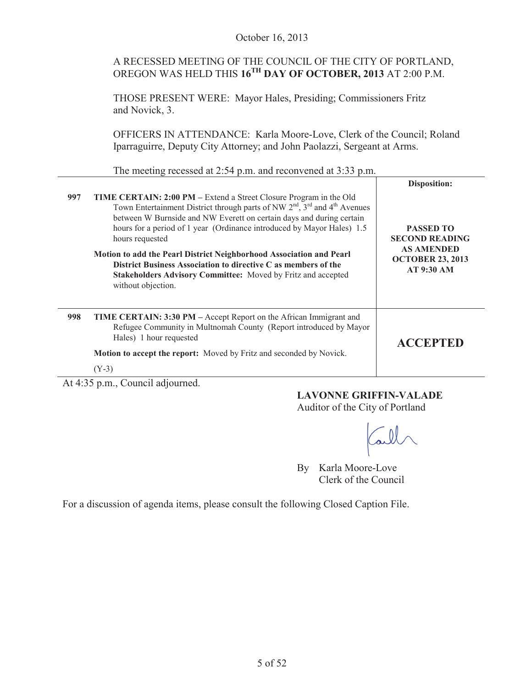A RECESSED MEETING OF THE COUNCIL OF THE CITY OF PORTLAND, OREGON WAS HELD THIS **16TH DAY OF OCTOBER, 2013** AT 2:00 P.M.

THOSE PRESENT WERE: Mayor Hales, Presiding; Commissioners Fritz and Novick, 3.

OFFICERS IN ATTENDANCE: Karla Moore-Love, Clerk of the Council; Roland Iparraguirre, Deputy City Attorney; and John Paolazzi, Sergeant at Arms.

The meeting recessed at 2:54 p.m. and reconvened at 3:33 p.m.

|     |                                                                                                                                                                                                                                                                                                                                                                                                                                                                                                                                                           | Disposition:                                                                                                   |
|-----|-----------------------------------------------------------------------------------------------------------------------------------------------------------------------------------------------------------------------------------------------------------------------------------------------------------------------------------------------------------------------------------------------------------------------------------------------------------------------------------------------------------------------------------------------------------|----------------------------------------------------------------------------------------------------------------|
| 997 | TIME CERTAIN: 2:00 PM – Extend a Street Closure Program in the Old<br>Town Entertainment District through parts of NW $2nd$ , $3rd$ and $4th$ Avenues<br>between W Burnside and NW Everett on certain days and during certain<br>hours for a period of 1 year (Ordinance introduced by Mayor Hales) 1.5<br>hours requested<br>Motion to add the Pearl District Neighborhood Association and Pearl<br>District Business Association to directive C as members of the<br>Stakeholders Advisory Committee: Moved by Fritz and accepted<br>without objection. | <b>PASSED TO</b><br><b>SECOND READING</b><br><b>AS AMENDED</b><br><b>OCTOBER 23, 2013</b><br><b>AT 9:30 AM</b> |
| 998 | <b>TIME CERTAIN: 3:30 PM</b> – Accept Report on the African Immigrant and<br>Refugee Community in Multnomah County (Report introduced by Mayor<br>Hales) 1 hour requested                                                                                                                                                                                                                                                                                                                                                                                 | <b>ACCEPTED</b>                                                                                                |
|     | <b>Motion to accept the report:</b> Moved by Fritz and seconded by Novick.                                                                                                                                                                                                                                                                                                                                                                                                                                                                                |                                                                                                                |
|     | $(Y-3)$                                                                                                                                                                                                                                                                                                                                                                                                                                                                                                                                                   |                                                                                                                |

At 4:35 p.m., Council adjourned.

**LAVONNE GRIFFIN-VALADE** Auditor of the City of Portland

By Karla Moore-Love Clerk of the Council

For a discussion of agenda items, please consult the following Closed Caption File.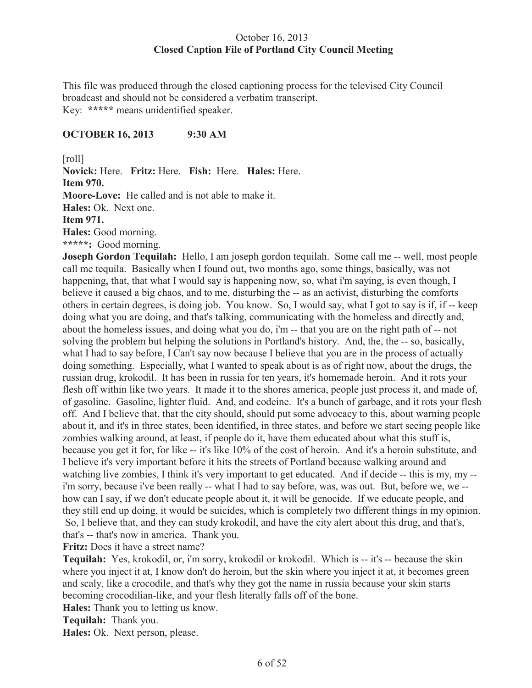# October 16, 2013 **Closed Caption File of Portland City Council Meeting**

This file was produced through the closed captioning process for the televised City Council broadcast and should not be considered a verbatim transcript. Key: **\*\*\*\*\*** means unidentified speaker.

## **OCTOBER 16, 2013 9:30 AM**

[roll]

**Novick:** Here. **Fritz:** Here. **Fish:** Here. **Hales:** Here. **Item 970. Moore-Love:** He called and is not able to make it.

**Hales:** Ok. Next one.

**Item 971.**

**Hales:** Good morning.

**\*\*\*\*\*:** Good morning.

**Joseph Gordon Tequilah:** Hello, I am joseph gordon tequilah. Some call me -- well, most people call me tequila. Basically when I found out, two months ago, some things, basically, was not happening, that, that what I would say is happening now, so, what i'm saying, is even though, I believe it caused a big chaos, and to me, disturbing the -- as an activist, disturbing the comforts others in certain degrees, is doing job. You know. So, I would say, what I got to say is if, if -- keep doing what you are doing, and that's talking, communicating with the homeless and directly and, about the homeless issues, and doing what you do, i'm -- that you are on the right path of -- not solving the problem but helping the solutions in Portland's history. And, the, the -- so, basically, what I had to say before, I Can't say now because I believe that you are in the process of actually doing something. Especially, what I wanted to speak about is as of right now, about the drugs, the russian drug, krokodil. It has been in russia for ten years, it's homemade heroin. And it rots your flesh off within like two years. It made it to the shores america, people just process it, and made of, of gasoline. Gasoline, lighter fluid. And, and codeine. It's a bunch of garbage, and it rots your flesh off. And I believe that, that the city should, should put some advocacy to this, about warning people about it, and it's in three states, been identified, in three states, and before we start seeing people like zombies walking around, at least, if people do it, have them educated about what this stuff is, because you get it for, for like -- it's like 10% of the cost of heroin. And it's a heroin substitute, and I believe it's very important before it hits the streets of Portland because walking around and watching live zombies, I think it's very important to get educated. And if decide -- this is my, my -i'm sorry, because i've been really -- what I had to say before, was, was out. But, before we, we - how can I say, if we don't educate people about it, it will be genocide. If we educate people, and they still end up doing, it would be suicides, which is completely two different things in my opinion. So, I believe that, and they can study krokodil, and have the city alert about this drug, and that's, that's -- that's now in america. Thank you.

**Fritz:** Does it have a street name?

**Tequilah:** Yes, krokodil, or, i'm sorry, krokodil or krokodil. Which is -- it's -- because the skin where you inject it at, I know don't do heroin, but the skin where you inject it at, it becomes green and scaly, like a crocodile, and that's why they got the name in russia because your skin starts becoming crocodilian-like, and your flesh literally falls off of the bone.

**Hales:** Thank you to letting us know.

**Tequilah:** Thank you.

**Hales:** Ok. Next person, please.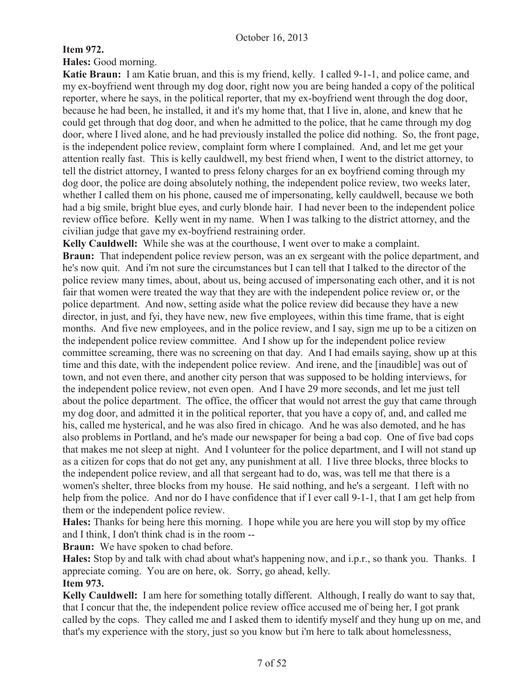# **Item 972.**

**Hales:** Good morning.

**Katie Braun:** I am Katie bruan, and this is my friend, kelly. I called 9-1-1, and police came, and my ex-boyfriend went through my dog door, right now you are being handed a copy of the political reporter, where he says, in the political reporter, that my ex-boyfriend went through the dog door, because he had been, he installed, it and it's my home that, that I live in, alone, and knew that he could get through that dog door, and when he admitted to the police, that he came through my dog door, where I lived alone, and he had previously installed the police did nothing. So, the front page, is the independent police review, complaint form where I complained. And, and let me get your attention really fast. This is kelly cauldwell, my best friend when, I went to the district attorney, to tell the district attorney, I wanted to press felony charges for an ex boyfriend coming through my dog door, the police are doing absolutely nothing, the independent police review, two weeks later, whether I called them on his phone, caused me of impersonating, kelly cauldwell, because we both had a big smile, bright blue eyes, and curly blonde hair. I had never been to the independent police review office before. Kelly went in my name. When I was talking to the district attorney, and the civilian judge that gave my ex-boyfriend restraining order.

**Kelly Cauldwell:** While she was at the courthouse, I went over to make a complaint. **Braun:** That independent police review person, was an ex sergeant with the police department, and he's now quit. And i'm not sure the circumstances but I can tell that I talked to the director of the police review many times, about, about us, being accused of impersonating each other, and it is not fair that women were treated the way that they are with the independent police review or, or the police department. And now, setting aside what the police review did because they have a new director, in just, and fyi, they have new, new five employees, within this time frame, that is eight months. And five new employees, and in the police review, and I say, sign me up to be a citizen on the independent police review committee. And I show up for the independent police review committee screaming, there was no screening on that day. And I had emails saying, show up at this time and this date, with the independent police review. And irene, and the [inaudible] was out of town, and not even there, and another city person that was supposed to be holding interviews, for the independent police review, not even open. And I have 29 more seconds, and let me just tell about the police department. The office, the officer that would not arrest the guy that came through my dog door, and admitted it in the political reporter, that you have a copy of, and, and called me his, called me hysterical, and he was also fired in chicago. And he was also demoted, and he has also problems in Portland, and he's made our newspaper for being a bad cop. One of five bad cops that makes me not sleep at night. And I volunteer for the police department, and I will not stand up as a citizen for cops that do not get any, any punishment at all. I live three blocks, three blocks to the independent police review, and all that sergeant had to do, was, was tell me that there is a women's shelter, three blocks from my house. He said nothing, and he's a sergeant. I left with no help from the police. And nor do I have confidence that if I ever call 9-1-1, that I am get help from them or the independent police review.

**Hales:** Thanks for being here this morning. I hope while you are here you will stop by my office and I think, I don't think chad is in the room --

**Braun:** We have spoken to chad before.

**Hales:** Stop by and talk with chad about what's happening now, and i.p.r., so thank you. Thanks. I appreciate coming. You are on here, ok. Sorry, go ahead, kelly. **Item 973.**

**Kelly Cauldwell:** I am here for something totally different. Although, I really do want to say that, that I concur that the, the independent police review office accused me of being her, I got prank called by the cops. They called me and I asked them to identify myself and they hung up on me, and that's my experience with the story, just so you know but i'm here to talk about homelessness,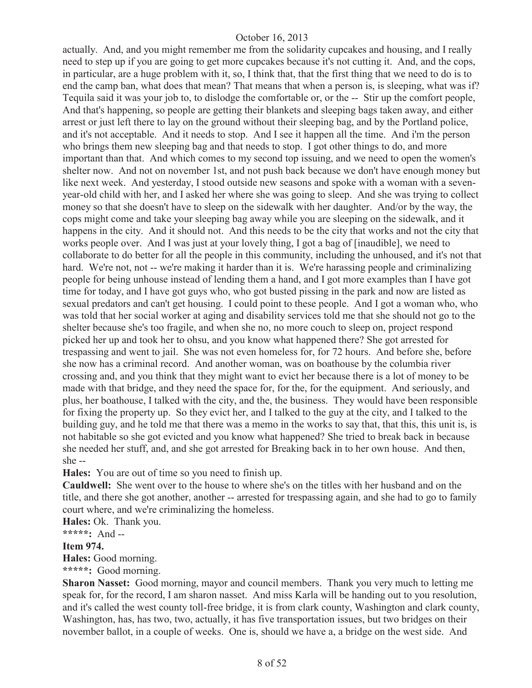actually. And, and you might remember me from the solidarity cupcakes and housing, and I really need to step up if you are going to get more cupcakes because it's not cutting it. And, and the cops, in particular, are a huge problem with it, so, I think that, that the first thing that we need to do is to end the camp ban, what does that mean? That means that when a person is, is sleeping, what was if? Tequila said it was your job to, to dislodge the comfortable or, or the -- Stir up the comfort people, And that's happening, so people are getting their blankets and sleeping bags taken away, and either arrest or just left there to lay on the ground without their sleeping bag, and by the Portland police, and it's not acceptable. And it needs to stop. And I see it happen all the time. And i'm the person who brings them new sleeping bag and that needs to stop. I got other things to do, and more important than that. And which comes to my second top issuing, and we need to open the women's shelter now. And not on november 1st, and not push back because we don't have enough money but like next week. And yesterday, I stood outside new seasons and spoke with a woman with a sevenyear-old child with her, and I asked her where she was going to sleep. And she was trying to collect money so that she doesn't have to sleep on the sidewalk with her daughter. And/or by the way, the cops might come and take your sleeping bag away while you are sleeping on the sidewalk, and it happens in the city. And it should not. And this needs to be the city that works and not the city that works people over. And I was just at your lovely thing, I got a bag of [inaudible], we need to collaborate to do better for all the people in this community, including the unhoused, and it's not that hard. We're not, not -- we're making it harder than it is. We're harassing people and criminalizing people for being unhouse instead of lending them a hand, and I got more examples than I have got time for today, and I have got guys who, who got busted pissing in the park and now are listed as sexual predators and can't get housing. I could point to these people. And I got a woman who, who was told that her social worker at aging and disability services told me that she should not go to the shelter because she's too fragile, and when she no, no more couch to sleep on, project respond picked her up and took her to ohsu, and you know what happened there? She got arrested for trespassing and went to jail. She was not even homeless for, for 72 hours. And before she, before she now has a criminal record. And another woman, was on boathouse by the columbia river crossing and, and you think that they might want to evict her because there is a lot of money to be made with that bridge, and they need the space for, for the, for the equipment. And seriously, and plus, her boathouse, I talked with the city, and the, the business. They would have been responsible for fixing the property up. So they evict her, and I talked to the guy at the city, and I talked to the building guy, and he told me that there was a memo in the works to say that, that this, this unit is, is not habitable so she got evicted and you know what happened? She tried to break back in because she needed her stuff, and, and she got arrested for Breaking back in to her own house. And then, she --

**Hales:** You are out of time so you need to finish up.

**Cauldwell:** She went over to the house to where she's on the titles with her husband and on the title, and there she got another, another -- arrested for trespassing again, and she had to go to family court where, and we're criminalizing the homeless.

**Hales:** Ok. Thank you.

**\*\*\*\*\*:** And --

#### **Item 974.**

**Hales:** Good morning.

#### **\*\*\*\*\*:** Good morning.

**Sharon Nasset:** Good morning, mayor and council members. Thank you very much to letting me speak for, for the record, I am sharon nasset. And miss Karla will be handing out to you resolution, and it's called the west county toll-free bridge, it is from clark county, Washington and clark county, Washington, has, has two, two, actually, it has five transportation issues, but two bridges on their november ballot, in a couple of weeks. One is, should we have a, a bridge on the west side. And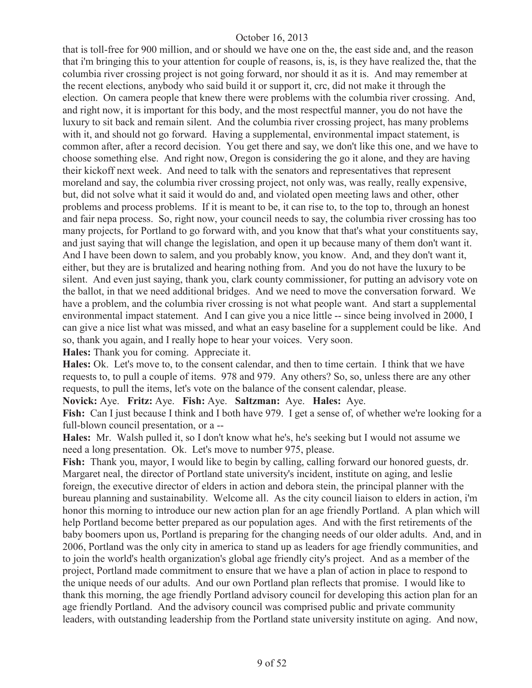that is toll-free for 900 million, and or should we have one on the, the east side and, and the reason that i'm bringing this to your attention for couple of reasons, is, is, is they have realized the, that the columbia river crossing project is not going forward, nor should it as it is. And may remember at the recent elections, anybody who said build it or support it, crc, did not make it through the election. On camera people that knew there were problems with the columbia river crossing. And, and right now, it is important for this body, and the most respectful manner, you do not have the luxury to sit back and remain silent. And the columbia river crossing project, has many problems with it, and should not go forward. Having a supplemental, environmental impact statement, is common after, after a record decision. You get there and say, we don't like this one, and we have to choose something else. And right now, Oregon is considering the go it alone, and they are having their kickoff next week. And need to talk with the senators and representatives that represent moreland and say, the columbia river crossing project, not only was, was really, really expensive, but, did not solve what it said it would do and, and violated open meeting laws and other, other problems and process problems. If it is meant to be, it can rise to, to the top to, through an honest and fair nepa process. So, right now, your council needs to say, the columbia river crossing has too many projects, for Portland to go forward with, and you know that that's what your constituents say, and just saying that will change the legislation, and open it up because many of them don't want it. And I have been down to salem, and you probably know, you know. And, and they don't want it, either, but they are is brutalized and hearing nothing from. And you do not have the luxury to be silent. And even just saying, thank you, clark county commissioner, for putting an advisory vote on the ballot, in that we need additional bridges. And we need to move the conversation forward. We have a problem, and the columbia river crossing is not what people want. And start a supplemental environmental impact statement. And I can give you a nice little -- since being involved in 2000, I can give a nice list what was missed, and what an easy baseline for a supplement could be like. And so, thank you again, and I really hope to hear your voices. Very soon.

**Hales:** Thank you for coming. Appreciate it.

**Hales:** Ok. Let's move to, to the consent calendar, and then to time certain. I think that we have requests to, to pull a couple of items. 978 and 979. Any others? So, so, unless there are any other requests, to pull the items, let's vote on the balance of the consent calendar, please.

**Novick:** Aye. **Fritz:** Aye. **Fish:** Aye. **Saltzman:** Aye. **Hales:** Aye.

**Fish:** Can I just because I think and I both have 979. I get a sense of, of whether we're looking for a full-blown council presentation, or a --

**Hales:** Mr. Walsh pulled it, so I don't know what he's, he's seeking but I would not assume we need a long presentation. Ok. Let's move to number 975, please.

**Fish:** Thank you, mayor, I would like to begin by calling, calling forward our honored guests, dr. Margaret neal, the director of Portland state university's incident, institute on aging, and leslie foreign, the executive director of elders in action and debora stein, the principal planner with the bureau planning and sustainability. Welcome all. As the city council liaison to elders in action, i'm honor this morning to introduce our new action plan for an age friendly Portland. A plan which will help Portland become better prepared as our population ages. And with the first retirements of the baby boomers upon us, Portland is preparing for the changing needs of our older adults. And, and in 2006, Portland was the only city in america to stand up as leaders for age friendly communities, and to join the world's health organization's global age friendly city's project. And as a member of the project, Portland made commitment to ensure that we have a plan of action in place to respond to the unique needs of our adults. And our own Portland plan reflects that promise. I would like to thank this morning, the age friendly Portland advisory council for developing this action plan for an age friendly Portland. And the advisory council was comprised public and private community leaders, with outstanding leadership from the Portland state university institute on aging. And now,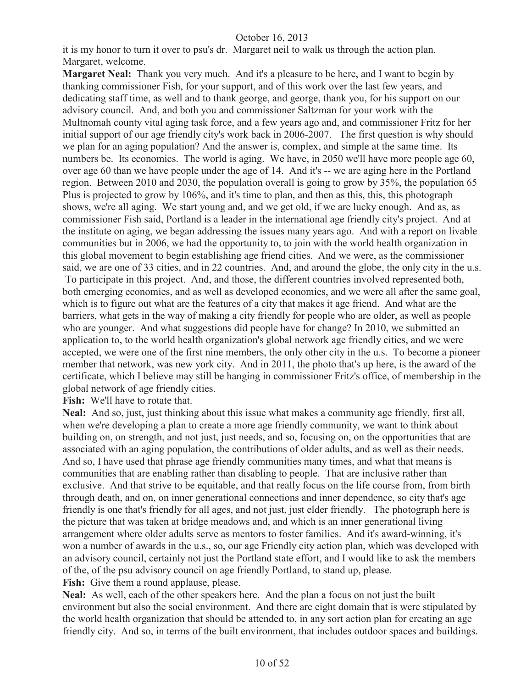it is my honor to turn it over to psu's dr. Margaret neil to walk us through the action plan. Margaret, welcome.

**Margaret Neal:** Thank you very much. And it's a pleasure to be here, and I want to begin by thanking commissioner Fish, for your support, and of this work over the last few years, and dedicating staff time, as well and to thank george, and george, thank you, for his support on our advisory council. And, and both you and commissioner Saltzman for your work with the Multnomah county vital aging task force, and a few years ago and, and commissioner Fritz for her initial support of our age friendly city's work back in 2006-2007. The first question is why should we plan for an aging population? And the answer is, complex, and simple at the same time. Its numbers be. Its economics. The world is aging. We have, in 2050 we'll have more people age 60, over age 60 than we have people under the age of 14. And it's -- we are aging here in the Portland region. Between 2010 and 2030, the population overall is going to grow by 35%, the population 65 Plus is projected to grow by 106%, and it's time to plan, and then as this, this, this photograph shows, we're all aging. We start young and, and we get old, if we are lucky enough. And as, as commissioner Fish said, Portland is a leader in the international age friendly city's project. And at the institute on aging, we began addressing the issues many years ago. And with a report on livable communities but in 2006, we had the opportunity to, to join with the world health organization in this global movement to begin establishing age friend cities. And we were, as the commissioner said, we are one of 33 cities, and in 22 countries. And, and around the globe, the only city in the u.s. To participate in this project. And, and those, the different countries involved represented both, both emerging economies, and as well as developed economies, and we were all after the same goal, which is to figure out what are the features of a city that makes it age friend. And what are the barriers, what gets in the way of making a city friendly for people who are older, as well as people who are younger. And what suggestions did people have for change? In 2010, we submitted an application to, to the world health organization's global network age friendly cities, and we were accepted, we were one of the first nine members, the only other city in the u.s. To become a pioneer member that network, was new york city. And in 2011, the photo that's up here, is the award of the certificate, which I believe may still be hanging in commissioner Fritz's office, of membership in the global network of age friendly cities.

Fish: We'll have to rotate that.

**Neal:** And so, just, just thinking about this issue what makes a community age friendly, first all, when we're developing a plan to create a more age friendly community, we want to think about building on, on strength, and not just, just needs, and so, focusing on, on the opportunities that are associated with an aging population, the contributions of older adults, and as well as their needs. And so, I have used that phrase age friendly communities many times, and what that means is communities that are enabling rather than disabling to people. That are inclusive rather than exclusive. And that strive to be equitable, and that really focus on the life course from, from birth through death, and on, on inner generational connections and inner dependence, so city that's age friendly is one that's friendly for all ages, and not just, just elder friendly. The photograph here is the picture that was taken at bridge meadows and, and which is an inner generational living arrangement where older adults serve as mentors to foster families. And it's award-winning, it's won a number of awards in the u.s., so, our age Friendly city action plan, which was developed with an advisory council, certainly not just the Portland state effort, and I would like to ask the members of the, of the psu advisory council on age friendly Portland, to stand up, please. Fish: Give them a round applause, please.

**Neal:** As well, each of the other speakers here. And the plan a focus on not just the built environment but also the social environment. And there are eight domain that is were stipulated by the world health organization that should be attended to, in any sort action plan for creating an age friendly city. And so, in terms of the built environment, that includes outdoor spaces and buildings.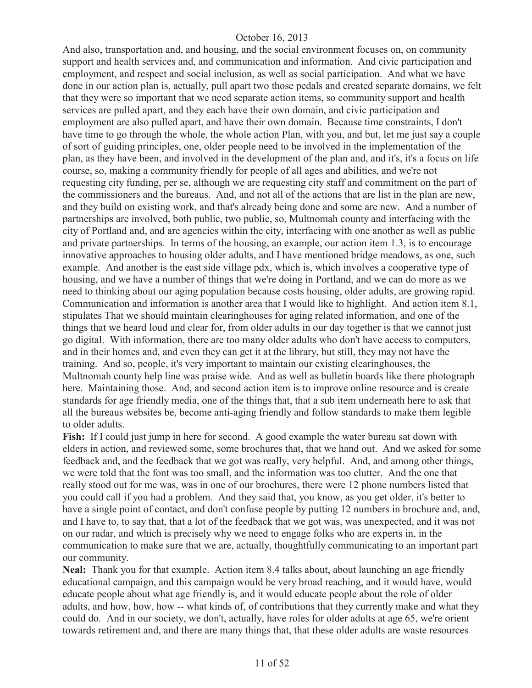And also, transportation and, and housing, and the social environment focuses on, on community support and health services and, and communication and information. And civic participation and employment, and respect and social inclusion, as well as social participation. And what we have done in our action plan is, actually, pull apart two those pedals and created separate domains, we felt that they were so important that we need separate action items, so community support and health services are pulled apart, and they each have their own domain, and civic participation and employment are also pulled apart, and have their own domain. Because time constraints, I don't have time to go through the whole, the whole action Plan, with you, and but, let me just say a couple of sort of guiding principles, one, older people need to be involved in the implementation of the plan, as they have been, and involved in the development of the plan and, and it's, it's a focus on life course, so, making a community friendly for people of all ages and abilities, and we're not requesting city funding, per se, although we are requesting city staff and commitment on the part of the commissioners and the bureaus. And, and not all of the actions that are list in the plan are new, and they build on existing work, and that's already being done and some are new. And a number of partnerships are involved, both public, two public, so, Multnomah county and interfacing with the city of Portland and, and are agencies within the city, interfacing with one another as well as public and private partnerships. In terms of the housing, an example, our action item 1.3, is to encourage innovative approaches to housing older adults, and I have mentioned bridge meadows, as one, such example. And another is the east side village pdx, which is, which involves a cooperative type of housing, and we have a number of things that we're doing in Portland, and we can do more as we need to thinking about our aging population because costs housing, older adults, are growing rapid. Communication and information is another area that I would like to highlight. And action item 8.1, stipulates That we should maintain clearinghouses for aging related information, and one of the things that we heard loud and clear for, from older adults in our day together is that we cannot just go digital. With information, there are too many older adults who don't have access to computers, and in their homes and, and even they can get it at the library, but still, they may not have the training. And so, people, it's very important to maintain our existing clearinghouses, the Multnomah county help line was praise wide. And as well as bulletin boards like there photograph here. Maintaining those. And, and second action item is to improve online resource and is create standards for age friendly media, one of the things that, that a sub item underneath here to ask that all the bureaus websites be, become anti-aging friendly and follow standards to make them legible to older adults.

Fish: If I could just jump in here for second. A good example the water bureau sat down with elders in action, and reviewed some, some brochures that, that we hand out. And we asked for some feedback and, and the feedback that we got was really, very helpful. And, and among other things, we were told that the font was too small, and the information was too clutter. And the one that really stood out for me was, was in one of our brochures, there were 12 phone numbers listed that you could call if you had a problem. And they said that, you know, as you get older, it's better to have a single point of contact, and don't confuse people by putting 12 numbers in brochure and, and, and I have to, to say that, that a lot of the feedback that we got was, was unexpected, and it was not on our radar, and which is precisely why we need to engage folks who are experts in, in the communication to make sure that we are, actually, thoughtfully communicating to an important part our community.

**Neal:** Thank you for that example. Action item 8.4 talks about, about launching an age friendly educational campaign, and this campaign would be very broad reaching, and it would have, would educate people about what age friendly is, and it would educate people about the role of older adults, and how, how, how -- what kinds of, of contributions that they currently make and what they could do. And in our society, we don't, actually, have roles for older adults at age 65, we're orient towards retirement and, and there are many things that, that these older adults are waste resources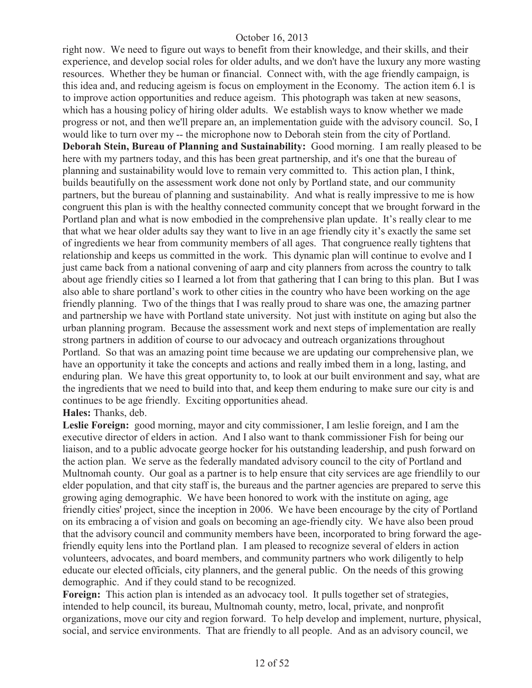right now. We need to figure out ways to benefit from their knowledge, and their skills, and their experience, and develop social roles for older adults, and we don't have the luxury any more wasting resources. Whether they be human or financial. Connect with, with the age friendly campaign, is this idea and, and reducing ageism is focus on employment in the Economy. The action item 6.1 is to improve action opportunities and reduce ageism. This photograph was taken at new seasons, which has a housing policy of hiring older adults. We establish ways to know whether we made progress or not, and then we'll prepare an, an implementation guide with the advisory council. So, I would like to turn over my -- the microphone now to Deborah stein from the city of Portland. **Deborah Stein, Bureau of Planning and Sustainability:** Good morning. I am really pleased to be here with my partners today, and this has been great partnership, and it's one that the bureau of planning and sustainability would love to remain very committed to. This action plan, I think, builds beautifully on the assessment work done not only by Portland state, and our community partners, but the bureau of planning and sustainability. And what is really impressive to me is how congruent this plan is with the healthy connected community concept that we brought forward in the Portland plan and what is now embodied in the comprehensive plan update. It's really clear to me that what we hear older adults say they want to live in an age friendly city it's exactly the same set of ingredients we hear from community members of all ages. That congruence really tightens that relationship and keeps us committed in the work. This dynamic plan will continue to evolve and I just came back from a national convening of aarp and city planners from across the country to talk about age friendly cities so I learned a lot from that gathering that I can bring to this plan. But I was also able to share portland's work to other cities in the country who have been working on the age friendly planning. Two of the things that I was really proud to share was one, the amazing partner and partnership we have with Portland state university. Not just with institute on aging but also the urban planning program. Because the assessment work and next steps of implementation are really strong partners in addition of course to our advocacy and outreach organizations throughout Portland. So that was an amazing point time because we are updating our comprehensive plan, we have an opportunity it take the concepts and actions and really imbed them in a long, lasting, and enduring plan. We have this great opportunity to, to look at our built environment and say, what are the ingredients that we need to build into that, and keep them enduring to make sure our city is and continues to be age friendly. Exciting opportunities ahead.

## **Hales:** Thanks, deb.

**Leslie Foreign:** good morning, mayor and city commissioner, I am leslie foreign, and I am the executive director of elders in action. And I also want to thank commissioner Fish for being our liaison, and to a public advocate george hocker for his outstanding leadership, and push forward on the action plan. We serve as the federally mandated advisory council to the city of Portland and Multnomah county. Our goal as a partner is to help ensure that city services are age friendlily to our elder population, and that city staff is, the bureaus and the partner agencies are prepared to serve this growing aging demographic. We have been honored to work with the institute on aging, age friendly cities' project, since the inception in 2006. We have been encourage by the city of Portland on its embracing a of vision and goals on becoming an age-friendly city. We have also been proud that the advisory council and community members have been, incorporated to bring forward the agefriendly equity lens into the Portland plan. I am pleased to recognize several of elders in action volunteers, advocates, and board members, and community partners who work diligently to help educate our elected officials, city planners, and the general public. On the needs of this growing demographic. And if they could stand to be recognized.

**Foreign:** This action plan is intended as an advocacy tool. It pulls together set of strategies, intended to help council, its bureau, Multnomah county, metro, local, private, and nonprofit organizations, move our city and region forward. To help develop and implement, nurture, physical, social, and service environments. That are friendly to all people. And as an advisory council, we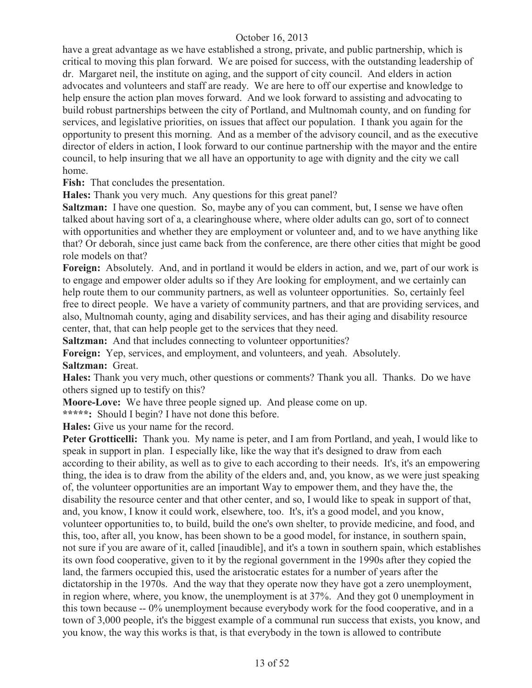have a great advantage as we have established a strong, private, and public partnership, which is critical to moving this plan forward. We are poised for success, with the outstanding leadership of dr. Margaret neil, the institute on aging, and the support of city council. And elders in action advocates and volunteers and staff are ready. We are here to off our expertise and knowledge to help ensure the action plan moves forward. And we look forward to assisting and advocating to build robust partnerships between the city of Portland, and Multnomah county, and on funding for services, and legislative priorities, on issues that affect our population. I thank you again for the opportunity to present this morning. And as a member of the advisory council, and as the executive director of elders in action, I look forward to our continue partnership with the mayor and the entire council, to help insuring that we all have an opportunity to age with dignity and the city we call home.

**Fish:** That concludes the presentation.

**Hales:** Thank you very much. Any questions for this great panel?

**Saltzman:** I have one question. So, maybe any of you can comment, but, I sense we have often talked about having sort of a, a clearinghouse where, where older adults can go, sort of to connect with opportunities and whether they are employment or volunteer and, and to we have anything like that? Or deborah, since just came back from the conference, are there other cities that might be good role models on that?

**Foreign:** Absolutely. And, and in portland it would be elders in action, and we, part of our work is to engage and empower older adults so if they Are looking for employment, and we certainly can help route them to our community partners, as well as volunteer opportunities. So, certainly feel free to direct people. We have a variety of community partners, and that are providing services, and also, Multnomah county, aging and disability services, and has their aging and disability resource center, that, that can help people get to the services that they need.

**Saltzman:** And that includes connecting to volunteer opportunities?

**Foreign:** Yep, services, and employment, and volunteers, and yeah. Absolutely. **Saltzman:** Great.

**Hales:** Thank you very much, other questions or comments? Thank you all. Thanks. Do we have others signed up to testify on this?

**Moore-Love:** We have three people signed up. And please come on up.

**\*\*\*\*\*:** Should I begin? I have not done this before.

**Hales:** Give us your name for the record.

**Peter Grotticelli:** Thank you. My name is peter, and I am from Portland, and yeah, I would like to speak in support in plan. I especially like, like the way that it's designed to draw from each according to their ability, as well as to give to each according to their needs. It's, it's an empowering thing, the idea is to draw from the ability of the elders and, and, you know, as we were just speaking of, the volunteer opportunities are an important Way to empower them, and they have the, the disability the resource center and that other center, and so, I would like to speak in support of that, and, you know, I know it could work, elsewhere, too. It's, it's a good model, and you know, volunteer opportunities to, to build, build the one's own shelter, to provide medicine, and food, and this, too, after all, you know, has been shown to be a good model, for instance, in southern spain, not sure if you are aware of it, called [inaudible], and it's a town in southern spain, which establishes its own food cooperative, given to it by the regional government in the 1990s after they copied the land, the farmers occupied this, used the aristocratic estates for a number of years after the dictatorship in the 1970s. And the way that they operate now they have got a zero unemployment, in region where, where, you know, the unemployment is at 37%. And they got 0 unemployment in this town because -- 0% unemployment because everybody work for the food cooperative, and in a town of 3,000 people, it's the biggest example of a communal run success that exists, you know, and you know, the way this works is that, is that everybody in the town is allowed to contribute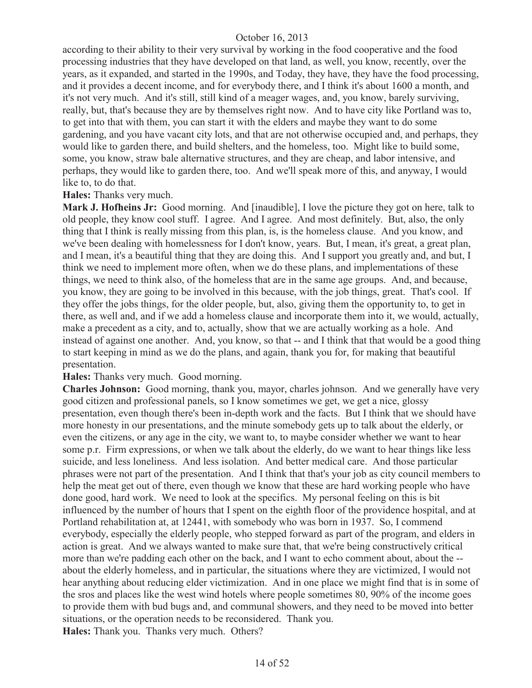according to their ability to their very survival by working in the food cooperative and the food processing industries that they have developed on that land, as well, you know, recently, over the years, as it expanded, and started in the 1990s, and Today, they have, they have the food processing, and it provides a decent income, and for everybody there, and I think it's about 1600 a month, and it's not very much. And it's still, still kind of a meager wages, and, you know, barely surviving, really, but, that's because they are by themselves right now. And to have city like Portland was to, to get into that with them, you can start it with the elders and maybe they want to do some gardening, and you have vacant city lots, and that are not otherwise occupied and, and perhaps, they would like to garden there, and build shelters, and the homeless, too. Might like to build some, some, you know, straw bale alternative structures, and they are cheap, and labor intensive, and perhaps, they would like to garden there, too. And we'll speak more of this, and anyway, I would like to, to do that.

**Hales:** Thanks very much.

**Mark J. Hofheins Jr:** Good morning. And [inaudible], I love the picture they got on here, talk to old people, they know cool stuff. I agree. And I agree. And most definitely. But, also, the only thing that I think is really missing from this plan, is, is the homeless clause. And you know, and we've been dealing with homelessness for I don't know, years. But, I mean, it's great, a great plan, and I mean, it's a beautiful thing that they are doing this. And I support you greatly and, and but, I think we need to implement more often, when we do these plans, and implementations of these things, we need to think also, of the homeless that are in the same age groups. And, and because, you know, they are going to be involved in this because, with the job things, great. That's cool. If they offer the jobs things, for the older people, but, also, giving them the opportunity to, to get in there, as well and, and if we add a homeless clause and incorporate them into it, we would, actually, make a precedent as a city, and to, actually, show that we are actually working as a hole. And instead of against one another. And, you know, so that -- and I think that that would be a good thing to start keeping in mind as we do the plans, and again, thank you for, for making that beautiful presentation.

**Hales:** Thanks very much. Good morning.

**Charles Johnson:** Good morning, thank you, mayor, charles johnson. And we generally have very good citizen and professional panels, so I know sometimes we get, we get a nice, glossy presentation, even though there's been in-depth work and the facts. But I think that we should have more honesty in our presentations, and the minute somebody gets up to talk about the elderly, or even the citizens, or any age in the city, we want to, to maybe consider whether we want to hear some p.r. Firm expressions, or when we talk about the elderly, do we want to hear things like less suicide, and less loneliness. And less isolation. And better medical care. And those particular phrases were not part of the presentation. And I think that that's your job as city council members to help the meat get out of there, even though we know that these are hard working people who have done good, hard work. We need to look at the specifics. My personal feeling on this is bit influenced by the number of hours that I spent on the eighth floor of the providence hospital, and at Portland rehabilitation at, at 12441, with somebody who was born in 1937. So, I commend everybody, especially the elderly people, who stepped forward as part of the program, and elders in action is great. And we always wanted to make sure that, that we're being constructively critical more than we're padding each other on the back, and I want to echo comment about, about the - about the elderly homeless, and in particular, the situations where they are victimized, I would not hear anything about reducing elder victimization. And in one place we might find that is in some of the sros and places like the west wind hotels where people sometimes 80, 90% of the income goes to provide them with bud bugs and, and communal showers, and they need to be moved into better situations, or the operation needs to be reconsidered. Thank you. **Hales:** Thank you. Thanks very much. Others?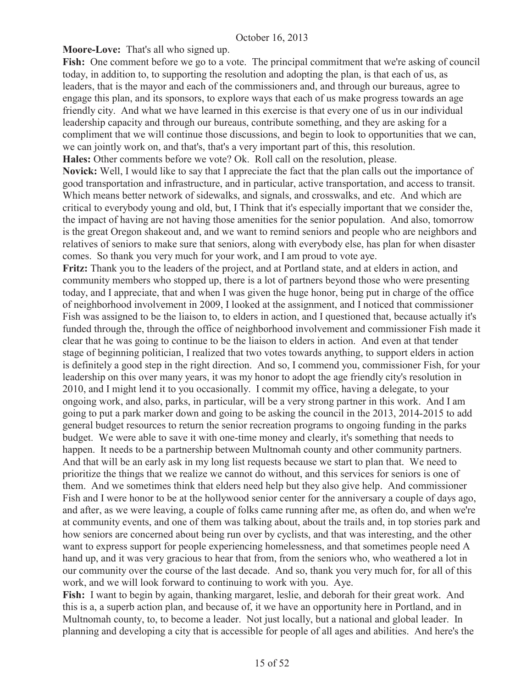**Moore-Love:** That's all who signed up.

Fish: One comment before we go to a vote. The principal commitment that we're asking of council today, in addition to, to supporting the resolution and adopting the plan, is that each of us, as leaders, that is the mayor and each of the commissioners and, and through our bureaus, agree to engage this plan, and its sponsors, to explore ways that each of us make progress towards an age friendly city. And what we have learned in this exercise is that every one of us in our individual leadership capacity and through our bureaus, contribute something, and they are asking for a compliment that we will continue those discussions, and begin to look to opportunities that we can, we can jointly work on, and that's, that's a very important part of this, this resolution. **Hales:** Other comments before we vote? Ok. Roll call on the resolution, please.

**Novick:** Well, I would like to say that I appreciate the fact that the plan calls out the importance of good transportation and infrastructure, and in particular, active transportation, and access to transit. Which means better network of sidewalks, and signals, and crosswalks, and etc. And which are critical to everybody young and old, but, I Think that it's especially important that we consider the, the impact of having are not having those amenities for the senior population. And also, tomorrow is the great Oregon shakeout and, and we want to remind seniors and people who are neighbors and relatives of seniors to make sure that seniors, along with everybody else, has plan for when disaster comes. So thank you very much for your work, and I am proud to vote aye.

**Fritz:** Thank you to the leaders of the project, and at Portland state, and at elders in action, and community members who stopped up, there is a lot of partners beyond those who were presenting today, and I appreciate, that and when I was given the huge honor, being put in charge of the office of neighborhood involvement in 2009, I looked at the assignment, and I noticed that commissioner Fish was assigned to be the liaison to, to elders in action, and I questioned that, because actually it's funded through the, through the office of neighborhood involvement and commissioner Fish made it clear that he was going to continue to be the liaison to elders in action. And even at that tender stage of beginning politician, I realized that two votes towards anything, to support elders in action is definitely a good step in the right direction. And so, I commend you, commissioner Fish, for your leadership on this over many years, it was my honor to adopt the age friendly city's resolution in 2010, and I might lend it to you occasionally. I commit my office, having a delegate, to your ongoing work, and also, parks, in particular, will be a very strong partner in this work. And I am going to put a park marker down and going to be asking the council in the 2013, 2014-2015 to add general budget resources to return the senior recreation programs to ongoing funding in the parks budget. We were able to save it with one-time money and clearly, it's something that needs to happen. It needs to be a partnership between Multnomah county and other community partners. And that will be an early ask in my long list requests because we start to plan that. We need to prioritize the things that we realize we cannot do without, and this services for seniors is one of them. And we sometimes think that elders need help but they also give help. And commissioner Fish and I were honor to be at the hollywood senior center for the anniversary a couple of days ago, and after, as we were leaving, a couple of folks came running after me, as often do, and when we're at community events, and one of them was talking about, about the trails and, in top stories park and how seniors are concerned about being run over by cyclists, and that was interesting, and the other want to express support for people experiencing homelessness, and that sometimes people need A hand up, and it was very gracious to hear that from, from the seniors who, who weathered a lot in our community over the course of the last decade. And so, thank you very much for, for all of this work, and we will look forward to continuing to work with you. Aye.

**Fish:** I want to begin by again, thanking margaret, leslie, and deborah for their great work. And this is a, a superb action plan, and because of, it we have an opportunity here in Portland, and in Multnomah county, to, to become a leader. Not just locally, but a national and global leader. In planning and developing a city that is accessible for people of all ages and abilities. And here's the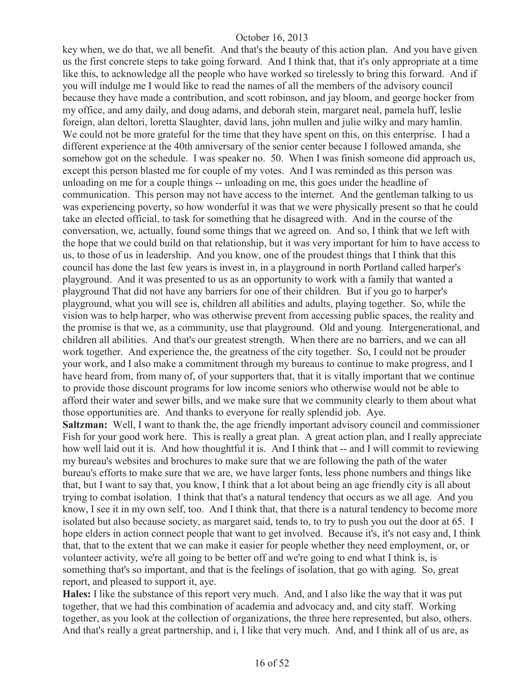key when, we do that, we all benefit. And that's the beauty of this action plan. And you have given us the first concrete steps to take going forward. And I think that, that it's only appropriate at a time like this, to acknowledge all the people who have worked so tirelessly to bring this forward. And if you will indulge me I would like to read the names of all the members of the advisory council because they have made a contribution, and scott robinson, and jay bloom, and george hocker from my office, and amy daily, and doug adams, and deborah stein, margaret neal, pamela huff, leslie foreign, alan deltori, loretta Slaughter, david lans, john mullen and julie wilky and mary hamlin. We could not be more grateful for the time that they have spent on this, on this enterprise. I had a different experience at the 40th anniversary of the senior center because I followed amanda, she somehow got on the schedule. I was speaker no. 50. When I was finish someone did approach us, except this person blasted me for couple of my votes. And I was reminded as this person was unloading on me for a couple things -- unloading on me, this goes under the headline of communication. This person may not have access to the internet. And the gentleman talking to us was experiencing poverty, so how wonderful it was that we were physically present so that he could take an elected official, to task for something that he disagreed with. And in the course of the conversation, we, actually, found some things that we agreed on. And so, I think that we left with the hope that we could build on that relationship, but it was very important for him to have access to us, to those of us in leadership. And you know, one of the proudest things that I think that this council has done the last few years is invest in, in a playground in north Portland called harper's playground. And it was presented to us as an opportunity to work with a family that wanted a playground That did not have any barriers for one of their children. But if you go to harper's playground, what you will see is, children all abilities and adults, playing together. So, while the vision was to help harper, who was otherwise prevent from accessing public spaces, the reality and the promise is that we, as a community, use that playground. Old and young. Intergenerational, and children all abilities. And that's our greatest strength. When there are no barriers, and we can all work together. And experience the, the greatness of the city together. So, I could not be prouder your work, and I also make a commitment through my bureaus to continue to make progress, and I have heard from, from many of, of your supporters that, that it is vitally important that we continue to provide those discount programs for low income seniors who otherwise would not be able to afford their water and sewer bills, and we make sure that we community clearly to them about what those opportunities are. And thanks to everyone for really splendid job. Aye.

**Saltzman:** Well, I want to thank the, the age friendly important advisory council and commissioner Fish for your good work here. This is really a great plan. A great action plan, and I really appreciate how well laid out it is. And how thoughtful it is. And I think that -- and I will commit to reviewing my bureau's websites and brochures to make sure that we are following the path of the water bureau's efforts to make sure that we are, we have larger fonts, less phone numbers and things like that, but I want to say that, you know, I think that a lot about being an age friendly city is all about trying to combat isolation. I think that that's a natural tendency that occurs as we all age. And you know, I see it in my own self, too. And I think that, that there is a natural tendency to become more isolated but also because society, as margaret said, tends to, to try to push you out the door at 65. I hope elders in action connect people that want to get involved. Because it's, it's not easy and, I think that, that to the extent that we can make it easier for people whether they need employment, or, or volunteer activity, we're all going to be better off and we're going to end what I think is, is something that's so important, and that is the feelings of isolation, that go with aging. So, great report, and pleased to support it, aye.

**Hales:** I like the substance of this report very much. And, and I also like the way that it was put together, that we had this combination of academia and advocacy and, and city staff. Working together, as you look at the collection of organizations, the three here represented, but also, others. And that's really a great partnership, and i, I like that very much. And, and I think all of us are, as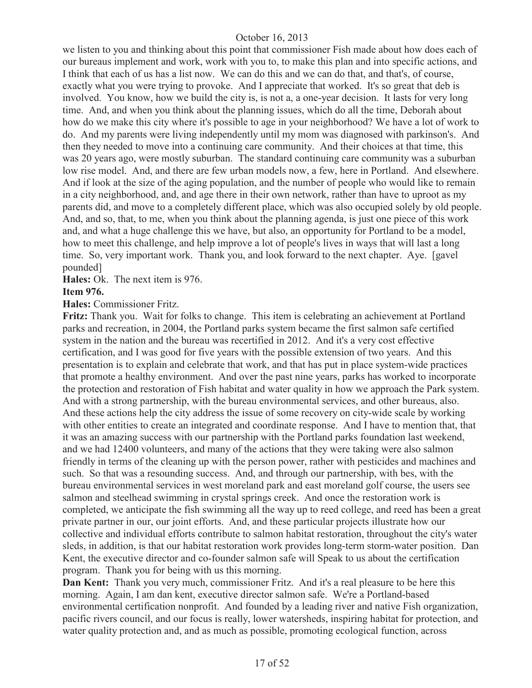we listen to you and thinking about this point that commissioner Fish made about how does each of our bureaus implement and work, work with you to, to make this plan and into specific actions, and I think that each of us has a list now. We can do this and we can do that, and that's, of course, exactly what you were trying to provoke. And I appreciate that worked. It's so great that deb is involved. You know, how we build the city is, is not a, a one-year decision. It lasts for very long time. And, and when you think about the planning issues, which do all the time, Deborah about how do we make this city where it's possible to age in your neighborhood? We have a lot of work to do. And my parents were living independently until my mom was diagnosed with parkinson's. And then they needed to move into a continuing care community. And their choices at that time, this was 20 years ago, were mostly suburban. The standard continuing care community was a suburban low rise model. And, and there are few urban models now, a few, here in Portland. And elsewhere. And if look at the size of the aging population, and the number of people who would like to remain in a city neighborhood, and, and age there in their own network, rather than have to uproot as my parents did, and move to a completely different place, which was also occupied solely by old people. And, and so, that, to me, when you think about the planning agenda, is just one piece of this work and, and what a huge challenge this we have, but also, an opportunity for Portland to be a model, how to meet this challenge, and help improve a lot of people's lives in ways that will last a long time. So, very important work. Thank you, and look forward to the next chapter. Aye. [gavel pounded]

**Hales:** Ok. The next item is 976.

#### **Item 976.**

**Hales:** Commissioner Fritz.

**Fritz:** Thank you. Wait for folks to change. This item is celebrating an achievement at Portland parks and recreation, in 2004, the Portland parks system became the first salmon safe certified system in the nation and the bureau was recertified in 2012. And it's a very cost effective certification, and I was good for five years with the possible extension of two years. And this presentation is to explain and celebrate that work, and that has put in place system-wide practices that promote a healthy environment. And over the past nine years, parks has worked to incorporate the protection and restoration of Fish habitat and water quality in how we approach the Park system. And with a strong partnership, with the bureau environmental services, and other bureaus, also. And these actions help the city address the issue of some recovery on city-wide scale by working with other entities to create an integrated and coordinate response. And I have to mention that, that it was an amazing success with our partnership with the Portland parks foundation last weekend, and we had 12400 volunteers, and many of the actions that they were taking were also salmon friendly in terms of the cleaning up with the person power, rather with pesticides and machines and such. So that was a resounding success. And, and through our partnership, with bes, with the bureau environmental services in west moreland park and east moreland golf course, the users see salmon and steelhead swimming in crystal springs creek. And once the restoration work is completed, we anticipate the fish swimming all the way up to reed college, and reed has been a great private partner in our, our joint efforts. And, and these particular projects illustrate how our collective and individual efforts contribute to salmon habitat restoration, throughout the city's water sleds, in addition, is that our habitat restoration work provides long-term storm-water position. Dan Kent, the executive director and co-founder salmon safe will Speak to us about the certification program. Thank you for being with us this morning.

**Dan Kent:** Thank you very much, commissioner Fritz. And it's a real pleasure to be here this morning. Again, I am dan kent, executive director salmon safe. We're a Portland-based environmental certification nonprofit. And founded by a leading river and native Fish organization, pacific rivers council, and our focus is really, lower watersheds, inspiring habitat for protection, and water quality protection and, and as much as possible, promoting ecological function, across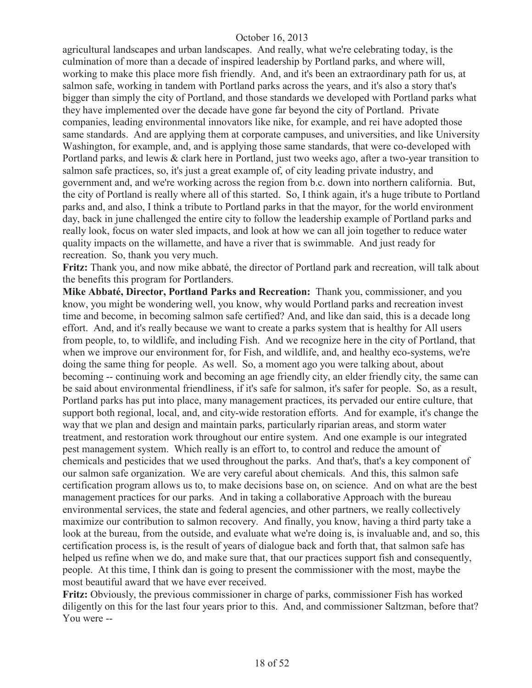agricultural landscapes and urban landscapes. And really, what we're celebrating today, is the culmination of more than a decade of inspired leadership by Portland parks, and where will, working to make this place more fish friendly. And, and it's been an extraordinary path for us, at salmon safe, working in tandem with Portland parks across the years, and it's also a story that's bigger than simply the city of Portland, and those standards we developed with Portland parks what they have implemented over the decade have gone far beyond the city of Portland. Private companies, leading environmental innovators like nike, for example, and rei have adopted those same standards. And are applying them at corporate campuses, and universities, and like University Washington, for example, and, and is applying those same standards, that were co-developed with Portland parks, and lewis & clark here in Portland, just two weeks ago, after a two-year transition to salmon safe practices, so, it's just a great example of, of city leading private industry, and government and, and we're working across the region from b.c. down into northern california. But, the city of Portland is really where all of this started. So, I think again, it's a huge tribute to Portland parks and, and also, I think a tribute to Portland parks in that the mayor, for the world environment day, back in june challenged the entire city to follow the leadership example of Portland parks and really look, focus on water sled impacts, and look at how we can all join together to reduce water quality impacts on the willamette, and have a river that is swimmable. And just ready for recreation. So, thank you very much.

**Fritz:** Thank you, and now mike abbaté, the director of Portland park and recreation, will talk about the benefits this program for Portlanders.

**Mike Abbaté, Director, Portland Parks and Recreation:** Thank you, commissioner, and you know, you might be wondering well, you know, why would Portland parks and recreation invest time and become, in becoming salmon safe certified? And, and like dan said, this is a decade long effort. And, and it's really because we want to create a parks system that is healthy for All users from people, to, to wildlife, and including Fish. And we recognize here in the city of Portland, that when we improve our environment for, for Fish, and wildlife, and, and healthy eco-systems, we're doing the same thing for people. As well. So, a moment ago you were talking about, about becoming -- continuing work and becoming an age friendly city, an elder friendly city, the same can be said about environmental friendliness, if it's safe for salmon, it's safer for people. So, as a result, Portland parks has put into place, many management practices, its pervaded our entire culture, that support both regional, local, and, and city-wide restoration efforts. And for example, it's change the way that we plan and design and maintain parks, particularly riparian areas, and storm water treatment, and restoration work throughout our entire system. And one example is our integrated pest management system. Which really is an effort to, to control and reduce the amount of chemicals and pesticides that we used throughout the parks. And that's, that's a key component of our salmon safe organization. We are very careful about chemicals. And this, this salmon safe certification program allows us to, to make decisions base on, on science. And on what are the best management practices for our parks. And in taking a collaborative Approach with the bureau environmental services, the state and federal agencies, and other partners, we really collectively maximize our contribution to salmon recovery. And finally, you know, having a third party take a look at the bureau, from the outside, and evaluate what we're doing is, is invaluable and, and so, this certification process is, is the result of years of dialogue back and forth that, that salmon safe has helped us refine when we do, and make sure that, that our practices support fish and consequently, people. At this time, I think dan is going to present the commissioner with the most, maybe the most beautiful award that we have ever received.

**Fritz:** Obviously, the previous commissioner in charge of parks, commissioner Fish has worked diligently on this for the last four years prior to this. And, and commissioner Saltzman, before that? You were --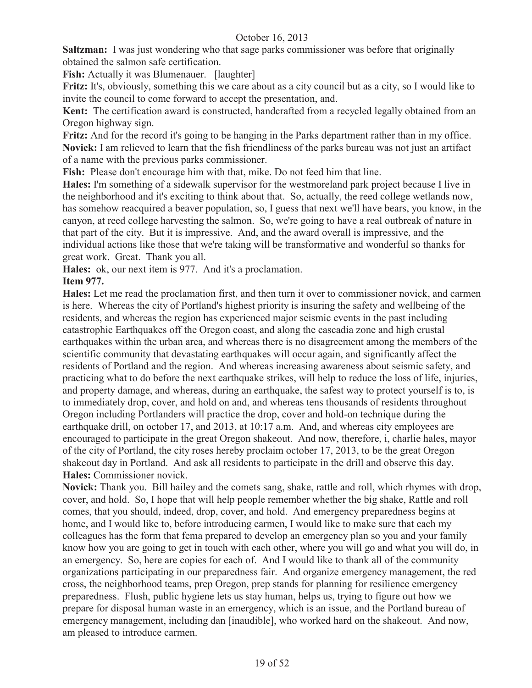**Saltzman:** I was just wondering who that sage parks commissioner was before that originally obtained the salmon safe certification.

**Fish:** Actually it was Blumenauer. [laughter]

**Fritz:** It's, obviously, something this we care about as a city council but as a city, so I would like to invite the council to come forward to accept the presentation, and.

**Kent:** The certification award is constructed, handcrafted from a recycled legally obtained from an Oregon highway sign.

**Fritz:** And for the record it's going to be hanging in the Parks department rather than in my office. **Novick:** I am relieved to learn that the fish friendliness of the parks bureau was not just an artifact of a name with the previous parks commissioner.

**Fish:** Please don't encourage him with that, mike. Do not feed him that line.

**Hales:** I'm something of a sidewalk supervisor for the westmoreland park project because I live in the neighborhood and it's exciting to think about that. So, actually, the reed college wetlands now, has somehow reacquired a beaver population, so, I guess that next we'll have bears, you know, in the canyon, at reed college harvesting the salmon. So, we're going to have a real outbreak of nature in that part of the city. But it is impressive. And, and the award overall is impressive, and the individual actions like those that we're taking will be transformative and wonderful so thanks for great work. Great. Thank you all.

**Hales:** ok, our next item is 977. And it's a proclamation.

## **Item 977.**

**Hales:** Let me read the proclamation first, and then turn it over to commissioner novick, and carmen is here. Whereas the city of Portland's highest priority is insuring the safety and wellbeing of the residents, and whereas the region has experienced major seismic events in the past including catastrophic Earthquakes off the Oregon coast, and along the cascadia zone and high crustal earthquakes within the urban area, and whereas there is no disagreement among the members of the scientific community that devastating earthquakes will occur again, and significantly affect the residents of Portland and the region. And whereas increasing awareness about seismic safety, and practicing what to do before the next earthquake strikes, will help to reduce the loss of life, injuries, and property damage, and whereas, during an earthquake, the safest way to protect yourself is to, is to immediately drop, cover, and hold on and, and whereas tens thousands of residents throughout Oregon including Portlanders will practice the drop, cover and hold-on technique during the earthquake drill, on october 17, and 2013, at 10:17 a.m. And, and whereas city employees are encouraged to participate in the great Oregon shakeout. And now, therefore, i, charlie hales, mayor of the city of Portland, the city roses hereby proclaim october 17, 2013, to be the great Oregon shakeout day in Portland. And ask all residents to participate in the drill and observe this day. **Hales:** Commissioner novick.

**Novick:** Thank you. Bill hailey and the comets sang, shake, rattle and roll, which rhymes with drop, cover, and hold. So, I hope that will help people remember whether the big shake, Rattle and roll comes, that you should, indeed, drop, cover, and hold. And emergency preparedness begins at home, and I would like to, before introducing carmen, I would like to make sure that each my colleagues has the form that fema prepared to develop an emergency plan so you and your family know how you are going to get in touch with each other, where you will go and what you will do, in an emergency. So, here are copies for each of. And I would like to thank all of the community organizations participating in our preparedness fair. And organize emergency management, the red cross, the neighborhood teams, prep Oregon, prep stands for planning for resilience emergency preparedness. Flush, public hygiene lets us stay human, helps us, trying to figure out how we prepare for disposal human waste in an emergency, which is an issue, and the Portland bureau of emergency management, including dan [inaudible], who worked hard on the shakeout. And now, am pleased to introduce carmen.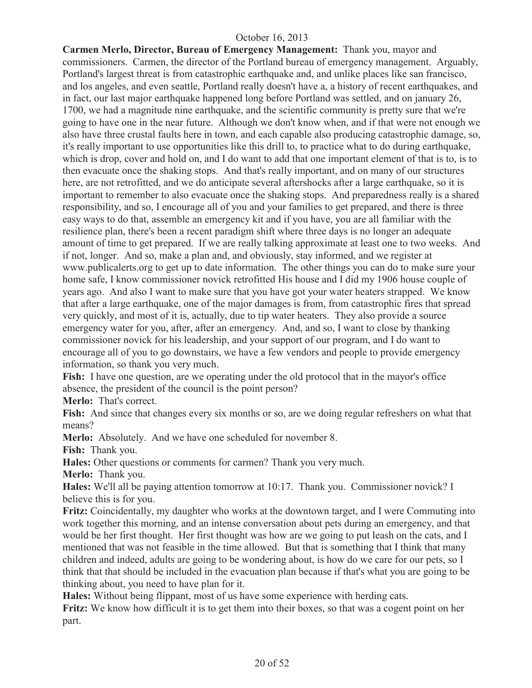**Carmen Merlo, Director, Bureau of Emergency Management:** Thank you, mayor and commissioners. Carmen, the director of the Portland bureau of emergency management. Arguably, Portland's largest threat is from catastrophic earthquake and, and unlike places like san francisco, and los angeles, and even seattle, Portland really doesn't have a, a history of recent earthquakes, and in fact, our last major earthquake happened long before Portland was settled, and on january 26, 1700, we had a magnitude nine earthquake, and the scientific community is pretty sure that we're going to have one in the near future. Although we don't know when, and if that were not enough we also have three crustal faults here in town, and each capable also producing catastrophic damage, so, it's really important to use opportunities like this drill to, to practice what to do during earthquake, which is drop, cover and hold on, and I do want to add that one important element of that is to, is to then evacuate once the shaking stops. And that's really important, and on many of our structures here, are not retrofitted, and we do anticipate several aftershocks after a large earthquake, so it is important to remember to also evacuate once the shaking stops. And preparedness really is a shared responsibility, and so, I encourage all of you and your families to get prepared, and there is three easy ways to do that, assemble an emergency kit and if you have, you are all familiar with the resilience plan, there's been a recent paradigm shift where three days is no longer an adequate amount of time to get prepared. If we are really talking approximate at least one to two weeks. And if not, longer. And so, make a plan and, and obviously, stay informed, and we register at www.publicalerts.org to get up to date information. The other things you can do to make sure your home safe, I know commissioner novick retrofitted His house and I did my 1906 house couple of years ago. And also I want to make sure that you have got your water heaters strapped. We know that after a large earthquake, one of the major damages is from, from catastrophic fires that spread very quickly, and most of it is, actually, due to tip water heaters. They also provide a source emergency water for you, after, after an emergency. And, and so, I want to close by thanking commissioner novick for his leadership, and your support of our program, and I do want to encourage all of you to go downstairs, we have a few vendors and people to provide emergency information, so thank you very much.

**Fish:** I have one question, are we operating under the old protocol that in the mayor's office absence, the president of the council is the point person?

**Merlo:** That's correct.

**Fish:** And since that changes every six months or so, are we doing regular refreshers on what that means?

**Merlo:** Absolutely. And we have one scheduled for november 8.

**Fish:** Thank you.

**Hales:** Other questions or comments for carmen? Thank you very much.

**Merlo:** Thank you.

**Hales:** We'll all be paying attention tomorrow at 10:17. Thank you. Commissioner novick? I believe this is for you.

**Fritz:** Coincidentally, my daughter who works at the downtown target, and I were Commuting into work together this morning, and an intense conversation about pets during an emergency, and that would be her first thought. Her first thought was how are we going to put leash on the cats, and I mentioned that was not feasible in the time allowed. But that is something that I think that many children and indeed, adults are going to be wondering about, is how do we care for our pets, so I think that that should be included in the evacuation plan because if that's what you are going to be thinking about, you need to have plan for it.

**Hales:** Without being flippant, most of us have some experience with herding cats.

**Fritz:** We know how difficult it is to get them into their boxes, so that was a cogent point on her part.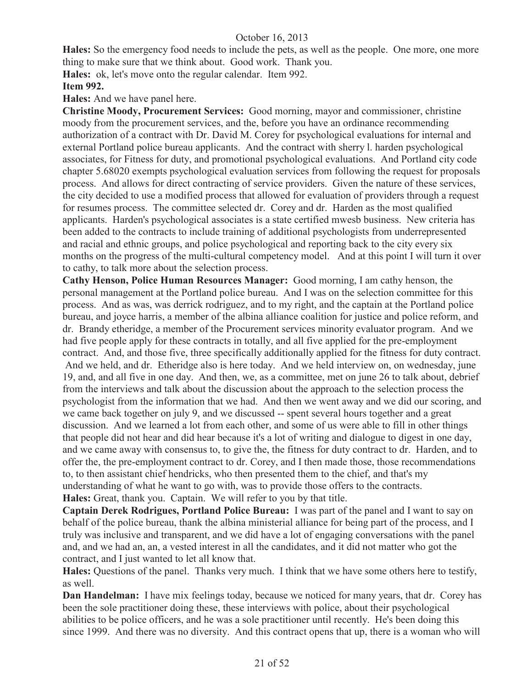**Hales:** So the emergency food needs to include the pets, as well as the people. One more, one more thing to make sure that we think about. Good work. Thank you.

**Hales:** ok, let's move onto the regular calendar. Item 992.

# **Item 992.**

**Hales:** And we have panel here.

**Christine Moody, Procurement Services:** Good morning, mayor and commissioner, christine moody from the procurement services, and the, before you have an ordinance recommending authorization of a contract with Dr. David M. Corey for psychological evaluations for internal and external Portland police bureau applicants. And the contract with sherry l. harden psychological associates, for Fitness for duty, and promotional psychological evaluations. And Portland city code chapter 5.68020 exempts psychological evaluation services from following the request for proposals process. And allows for direct contracting of service providers. Given the nature of these services, the city decided to use a modified process that allowed for evaluation of providers through a request for resumes process. The committee selected dr. Corey and dr. Harden as the most qualified applicants. Harden's psychological associates is a state certified mwesb business. New criteria has been added to the contracts to include training of additional psychologists from underrepresented and racial and ethnic groups, and police psychological and reporting back to the city every six months on the progress of the multi-cultural competency model. And at this point I will turn it over to cathy, to talk more about the selection process.

**Cathy Henson, Police Human Resources Manager:** Good morning, I am cathy henson, the personal management at the Portland police bureau. And I was on the selection committee for this process. And as was, was derrick rodriguez, and to my right, and the captain at the Portland police bureau, and joyce harris, a member of the albina alliance coalition for justice and police reform, and dr. Brandy etheridge, a member of the Procurement services minority evaluator program. And we had five people apply for these contracts in totally, and all five applied for the pre-employment contract. And, and those five, three specifically additionally applied for the fitness for duty contract. And we held, and dr. Etheridge also is here today. And we held interview on, on wednesday, june 19, and, and all five in one day. And then, we, as a committee, met on june 26 to talk about, debrief from the interviews and talk about the discussion about the approach to the selection process the psychologist from the information that we had. And then we went away and we did our scoring, and we came back together on july 9, and we discussed -- spent several hours together and a great discussion. And we learned a lot from each other, and some of us were able to fill in other things that people did not hear and did hear because it's a lot of writing and dialogue to digest in one day, and we came away with consensus to, to give the, the fitness for duty contract to dr. Harden, and to offer the, the pre-employment contract to dr. Corey, and I then made those, those recommendations to, to then assistant chief hendricks, who then presented them to the chief, and that's my understanding of what he want to go with, was to provide those offers to the contracts. **Hales:** Great, thank you. Captain. We will refer to you by that title.

**Captain Derek Rodrigues, Portland Police Bureau:** I was part of the panel and I want to say on behalf of the police bureau, thank the albina ministerial alliance for being part of the process, and I truly was inclusive and transparent, and we did have a lot of engaging conversations with the panel and, and we had an, an, a vested interest in all the candidates, and it did not matter who got the contract, and I just wanted to let all know that.

**Hales:** Questions of the panel. Thanks very much. I think that we have some others here to testify, as well.

**Dan Handelman:** I have mix feelings today, because we noticed for many years, that dr. Corey has been the sole practitioner doing these, these interviews with police, about their psychological abilities to be police officers, and he was a sole practitioner until recently. He's been doing this since 1999. And there was no diversity. And this contract opens that up, there is a woman who will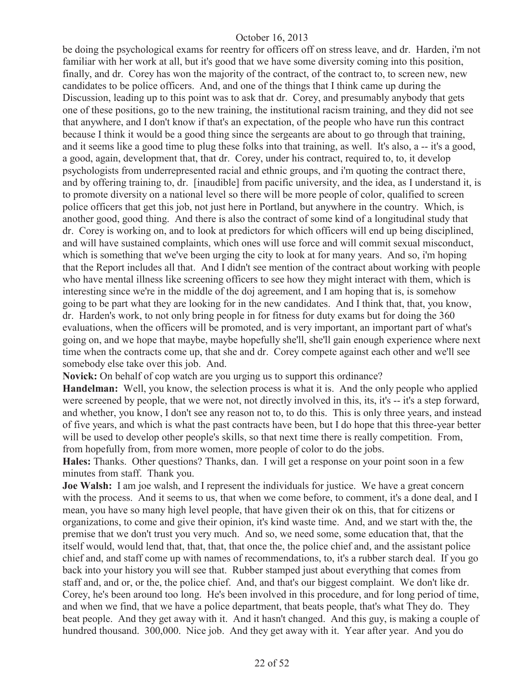be doing the psychological exams for reentry for officers off on stress leave, and dr. Harden, i'm not familiar with her work at all, but it's good that we have some diversity coming into this position, finally, and dr. Corey has won the majority of the contract, of the contract to, to screen new, new candidates to be police officers. And, and one of the things that I think came up during the Discussion, leading up to this point was to ask that dr. Corey, and presumably anybody that gets one of these positions, go to the new training, the institutional racism training, and they did not see that anywhere, and I don't know if that's an expectation, of the people who have run this contract because I think it would be a good thing since the sergeants are about to go through that training, and it seems like a good time to plug these folks into that training, as well. It's also, a -- it's a good, a good, again, development that, that dr. Corey, under his contract, required to, to, it develop psychologists from underrepresented racial and ethnic groups, and i'm quoting the contract there, and by offering training to, dr. [inaudible] from pacific university, and the idea, as I understand it, is to promote diversity on a national level so there will be more people of color, qualified to screen police officers that get this job, not just here in Portland, but anywhere in the country. Which, is another good, good thing. And there is also the contract of some kind of a longitudinal study that dr. Corey is working on, and to look at predictors for which officers will end up being disciplined, and will have sustained complaints, which ones will use force and will commit sexual misconduct, which is something that we've been urging the city to look at for many years. And so, i'm hoping that the Report includes all that. And I didn't see mention of the contract about working with people who have mental illness like screening officers to see how they might interact with them, which is interesting since we're in the middle of the doj agreement, and I am hoping that is, is somehow going to be part what they are looking for in the new candidates. And I think that, that, you know, dr. Harden's work, to not only bring people in for fitness for duty exams but for doing the 360 evaluations, when the officers will be promoted, and is very important, an important part of what's going on, and we hope that maybe, maybe hopefully she'll, she'll gain enough experience where next time when the contracts come up, that she and dr. Corey compete against each other and we'll see somebody else take over this job. And.

**Novick:** On behalf of cop watch are you urging us to support this ordinance?

**Handelman:** Well, you know, the selection process is what it is. And the only people who applied were screened by people, that we were not, not directly involved in this, its, it's -- it's a step forward, and whether, you know, I don't see any reason not to, to do this. This is only three years, and instead of five years, and which is what the past contracts have been, but I do hope that this three-year better will be used to develop other people's skills, so that next time there is really competition. From, from hopefully from, from more women, more people of color to do the jobs.

**Hales:** Thanks. Other questions? Thanks, dan. I will get a response on your point soon in a few minutes from staff. Thank you.

**Joe Walsh:** I am joe walsh, and I represent the individuals for justice. We have a great concern with the process. And it seems to us, that when we come before, to comment, it's a done deal, and I mean, you have so many high level people, that have given their ok on this, that for citizens or organizations, to come and give their opinion, it's kind waste time. And, and we start with the, the premise that we don't trust you very much. And so, we need some, some education that, that the itself would, would lend that, that, that, that once the, the police chief and, and the assistant police chief and, and staff come up with names of recommendations, to, it's a rubber starch deal. If you go back into your history you will see that. Rubber stamped just about everything that comes from staff and, and or, or the, the police chief. And, and that's our biggest complaint. We don't like dr. Corey, he's been around too long. He's been involved in this procedure, and for long period of time, and when we find, that we have a police department, that beats people, that's what They do. They beat people. And they get away with it. And it hasn't changed. And this guy, is making a couple of hundred thousand. 300,000. Nice job. And they get away with it. Year after year. And you do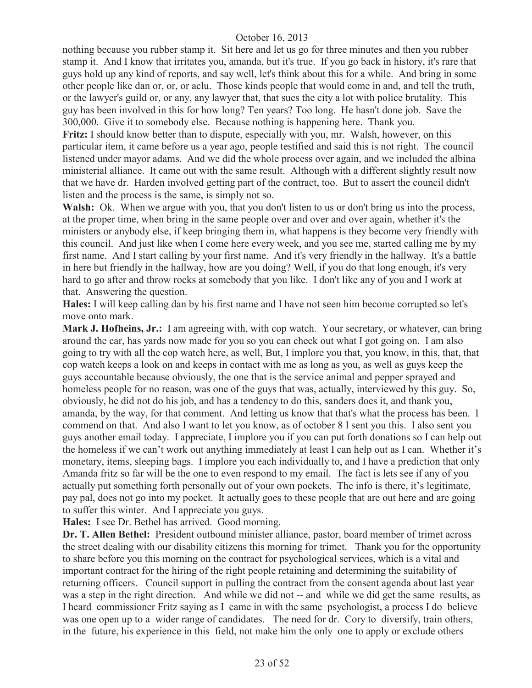nothing because you rubber stamp it. Sit here and let us go for three minutes and then you rubber stamp it. And I know that irritates you, amanda, but it's true. If you go back in history, it's rare that guys hold up any kind of reports, and say well, let's think about this for a while. And bring in some other people like dan or, or, or aclu. Those kinds people that would come in and, and tell the truth, or the lawyer's guild or, or any, any lawyer that, that sues the city a lot with police brutality. This guy has been involved in this for how long? Ten years? Too long. He hasn't done job. Save the 300,000. Give it to somebody else. Because nothing is happening here. Thank you.

**Fritz:** I should know better than to dispute, especially with you, mr. Walsh, however, on this particular item, it came before us a year ago, people testified and said this is not right. The council listened under mayor adams. And we did the whole process over again, and we included the albina ministerial alliance. It came out with the same result. Although with a different slightly result now that we have dr. Harden involved getting part of the contract, too. But to assert the council didn't listen and the process is the same, is simply not so.

Walsh: Ok. When we argue with you, that you don't listen to us or don't bring us into the process, at the proper time, when bring in the same people over and over and over again, whether it's the ministers or anybody else, if keep bringing them in, what happens is they become very friendly with this council. And just like when I come here every week, and you see me, started calling me by my first name. And I start calling by your first name. And it's very friendly in the hallway. It's a battle in here but friendly in the hallway, how are you doing? Well, if you do that long enough, it's very hard to go after and throw rocks at somebody that you like. I don't like any of you and I work at that. Answering the question.

**Hales:** I will keep calling dan by his first name and I have not seen him become corrupted so let's move onto mark.

**Mark J. Hofheins, Jr.:** I am agreeing with, with cop watch. Your secretary, or whatever, can bring around the car, has yards now made for you so you can check out what I got going on. I am also going to try with all the cop watch here, as well, But, I implore you that, you know, in this, that, that cop watch keeps a look on and keeps in contact with me as long as you, as well as guys keep the guys accountable because obviously, the one that is the service animal and pepper sprayed and homeless people for no reason, was one of the guys that was, actually, interviewed by this guy. So, obviously, he did not do his job, and has a tendency to do this, sanders does it, and thank you, amanda, by the way, for that comment. And letting us know that that's what the process has been. I commend on that. And also I want to let you know, as of october 8 I sent you this. I also sent you guys another email today. I appreciate, I implore you if you can put forth donations so I can help out the homeless if we can't work out anything immediately at least I can help out as I can. Whether it's monetary, items, sleeping bags. I implore you each individually to, and I have a prediction that only Amanda fritz so far will be the one to even respond to my email. The fact is lets see if any of you actually put something forth personally out of your own pockets. The info is there, it's legitimate, pay pal, does not go into my pocket. It actually goes to these people that are out here and are going to suffer this winter. And I appreciate you guys.

**Hales:** I see Dr. Bethel has arrived. Good morning.

**Dr. T. Allen Bethel:** President outbound minister alliance, pastor, board member of trimet across the street dealing with our disability citizens this morning for trimet. Thank you for the opportunity to share before you this morning on the contract for psychological services, which is a vital and important contract for the hiring of the right people retaining and determining the suitability of returning officers. Council support in pulling the contract from the consent agenda about last year was a step in the right direction. And while we did not -- and while we did get the same results, as I heard commissioner Fritz saying as I came in with the same psychologist, a process I do believe was one open up to a wider range of candidates. The need for dr. Cory to diversify, train others, in the future, his experience in this field, not make him the only one to apply or exclude others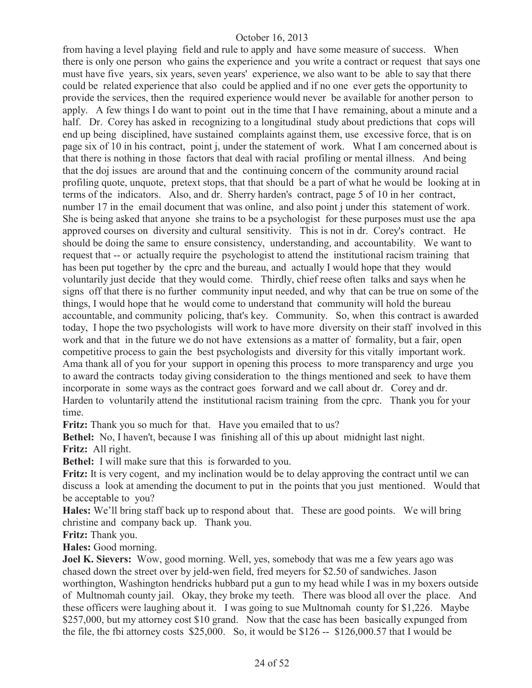from having a level playing field and rule to apply and have some measure of success. When there is only one person who gains the experience and you write a contract or request that says one must have five years, six years, seven years' experience, we also want to be able to say that there could be related experience that also could be applied and if no one ever gets the opportunity to provide the services, then the required experience would never be available for another person to apply. A few things I do want to point out in the time that I have remaining, about a minute and a half. Dr. Corey has asked in recognizing to a longitudinal study about predictions that cops will end up being disciplined, have sustained complaints against them, use excessive force, that is on page six of 10 in his contract, point j, under the statement of work. What I am concerned about is that there is nothing in those factors that deal with racial profiling or mental illness. And being that the doj issues are around that and the continuing concern of the community around racial profiling quote, unquote, pretext stops, that that should be a part of what he would be looking at in terms of the indicators. Also, and dr. Sherry harden's contract, page 5 of 10 in her contract, number 17 in the email document that was online, and also point j under this statement of work. She is being asked that anyone she trains to be a psychologist for these purposes must use the apa approved courses on diversity and cultural sensitivity. This is not in dr. Corey's contract. He should be doing the same to ensure consistency, understanding, and accountability. We want to request that -- or actually require the psychologist to attend the institutional racism training that has been put together by the cprc and the bureau, and actually I would hope that they would voluntarily just decide that they would come. Thirdly, chief reese often talks and says when he signs off that there is no further community input needed, and why that can be true on some of the things, I would hope that he would come to understand that community will hold the bureau accountable, and community policing, that's key. Community. So, when this contract is awarded today, I hope the two psychologists will work to have more diversity on their staff involved in this work and that in the future we do not have extensions as a matter of formality, but a fair, open competitive process to gain the best psychologists and diversity for this vitally important work. Ama thank all of you for your support in opening this process to more transparency and urge you to award the contracts today giving consideration to the things mentioned and seek to have them incorporate in some ways as the contract goes forward and we call about dr. Corey and dr. Harden to voluntarily attend the institutional racism training from the cprc. Thank you for your time.

**Fritz:** Thank you so much for that. Have you emailed that to us?

**Bethel:** No, I haven't, because I was finishing all of this up about midnight last night. **Fritz:** All right.

**Bethel:** I will make sure that this is forwarded to you.

**Fritz:** It is very cogent, and my inclination would be to delay approving the contract until we can discuss a look at amending the document to put in the points that you just mentioned. Would that be acceptable to you?

**Hales:** We'll bring staff back up to respond about that. These are good points. We will bring christine and company back up. Thank you.

**Fritz:** Thank you.

**Hales:** Good morning.

**Joel K. Sievers:** Wow, good morning. Well, yes, somebody that was me a few years ago was chased down the street over by jeld-wen field, fred meyers for \$2.50 of sandwiches. Jason worthington, Washington hendricks hubbard put a gun to my head while I was in my boxers outside of Multnomah county jail. Okay, they broke my teeth. There was blood all over the place. And these officers were laughing about it. I was going to sue Multnomah county for \$1,226. Maybe \$257,000, but my attorney cost \$10 grand. Now that the case has been basically expunged from the file, the fbi attorney costs \$25,000. So, it would be \$126 -- \$126,000.57 that I would be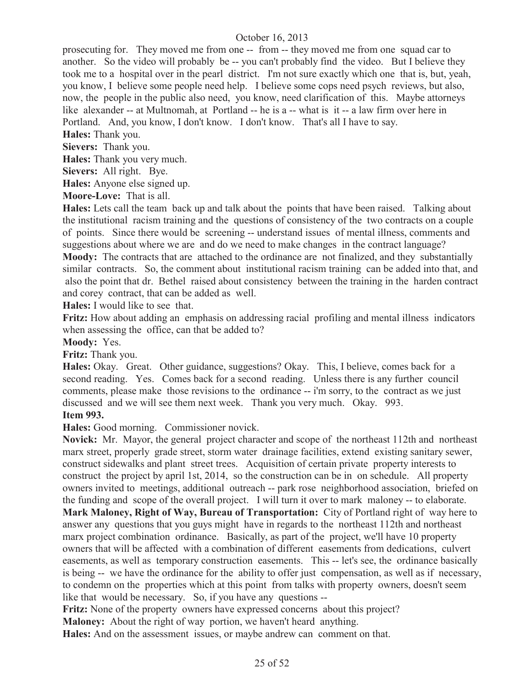prosecuting for. They moved me from one -- from -- they moved me from one squad car to another. So the video will probably be -- you can't probably find the video. But I believe they took me to a hospital over in the pearl district. I'm not sure exactly which one that is, but, yeah, you know, I believe some people need help. I believe some cops need psych reviews, but also, now, the people in the public also need, you know, need clarification of this. Maybe attorneys like alexander -- at Multnomah, at Portland -- he is a -- what is it -- a law firm over here in Portland. And, you know, I don't know. I don't know. That's all I have to say.

**Hales:** Thank you.

**Sievers:** Thank you.

**Hales:** Thank you very much.

**Sievers:** All right. Bye.

**Hales:** Anyone else signed up.

**Moore-Love:** That is all.

**Hales:** Lets call the team back up and talk about the points that have been raised. Talking about the institutional racism training and the questions of consistency of the two contracts on a couple of points. Since there would be screening -- understand issues of mental illness, comments and suggestions about where we are and do we need to make changes in the contract language?

**Moody:** The contracts that are attached to the ordinance are not finalized, and they substantially similar contracts. So, the comment about institutional racism training can be added into that, and also the point that dr. Bethel raised about consistency between the training in the harden contract and corey contract, that can be added as well.

**Hales:** I would like to see that.

**Fritz:** How about adding an emphasis on addressing racial profiling and mental illness indicators when assessing the office, can that be added to?

**Moody:** Yes.

**Fritz:** Thank you.

**Hales:** Okay. Great. Other guidance, suggestions? Okay. This, I believe, comes back for a second reading. Yes. Comes back for a second reading. Unless there is any further council comments, please make those revisions to the ordinance -- i'm sorry, to the contract as we just discussed and we will see them next week. Thank you very much. Okay. 993.

# **Item 993.**

**Hales:** Good morning. Commissioner novick.

**Novick:** Mr. Mayor, the general project character and scope of the northeast 112th and northeast marx street, properly grade street, storm water drainage facilities, extend existing sanitary sewer, construct sidewalks and plant street trees. Acquisition of certain private property interests to construct the project by april 1st, 2014, so the construction can be in on schedule. All property owners invited to meetings, additional outreach -- park rose neighborhood association, briefed on the funding and scope of the overall project. I will turn it over to mark maloney -- to elaborate. **Mark Maloney, Right of Way, Bureau of Transportation:** City of Portland right of way here to answer any questions that you guys might have in regards to the northeast 112th and northeast marx project combination ordinance. Basically, as part of the project, we'll have 10 property owners that will be affected with a combination of different easements from dedications, culvert easements, as well as temporary construction easements. This -- let's see, the ordinance basically is being -- we have the ordinance for the ability to offer just compensation, as well as if necessary, to condemn on the properties which at this point from talks with property owners, doesn't seem like that would be necessary. So, if you have any questions --

**Fritz:** None of the property owners have expressed concerns about this project?

**Maloney:** About the right of way portion, we haven't heard anything.

**Hales:** And on the assessment issues, or maybe andrew can comment on that.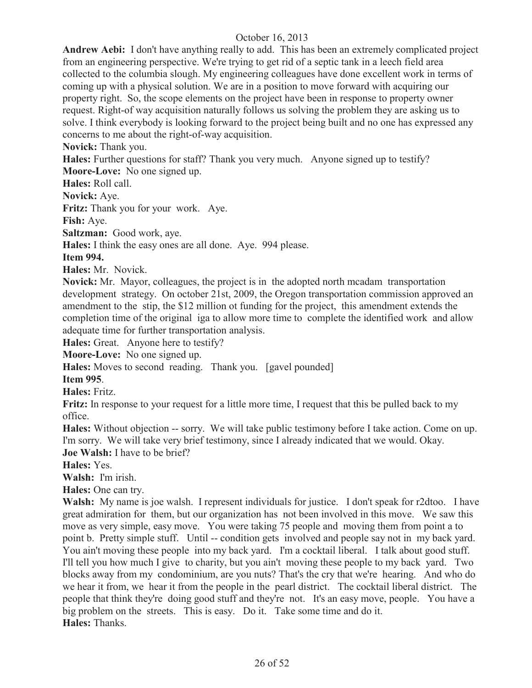**Andrew Aebi:** I don't have anything really to add. This has been an extremely complicated project from an engineering perspective. We're trying to get rid of a septic tank in a leech field area collected to the columbia slough. My engineering colleagues have done excellent work in terms of coming up with a physical solution. We are in a position to move forward with acquiring our property right. So, the scope elements on the project have been in response to property owner request. Right-of way acquisition naturally follows us solving the problem they are asking us to solve. I think everybody is looking forward to the project being built and no one has expressed any concerns to me about the right-of-way acquisition.

**Novick:** Thank you.

**Hales:** Further questions for staff? Thank you very much. Anyone signed up to testify?

**Moore-Love:** No one signed up.

**Hales:** Roll call.

**Novick:** Aye.

**Fritz:** Thank you for your work. Aye.

**Fish:** Aye.

**Saltzman:** Good work, aye.

**Hales:** I think the easy ones are all done. Aye. 994 please.

#### **Item 994.**

**Hales:** Mr. Novick.

**Novick:** Mr. Mayor, colleagues, the project is in the adopted north mcadam transportation development strategy. On october 21st, 2009, the Oregon transportation commission approved an amendment to the stip, the \$12 million ot funding for the project, this amendment extends the completion time of the original iga to allow more time to complete the identified work and allow adequate time for further transportation analysis.

**Hales:** Great. Anyone here to testify?

**Moore-Love:** No one signed up.

**Hales:** Moves to second reading. Thank you. [gavel pounded]

**Item 995**.

**Hales:** Fritz.

**Fritz:** In response to your request for a little more time. I request that this be pulled back to my office.

**Hales:** Without objection -- sorry. We will take public testimony before I take action. Come on up. I'm sorry. We will take very brief testimony, since I already indicated that we would. Okay.

**Joe Walsh:** I have to be brief?

**Hales:** Yes.

**Walsh:** I'm irish.

**Hales:** One can try.

**Walsh:** My name is joe walsh. I represent individuals for justice. I don't speak for r2dtoo. I have great admiration for them, but our organization has not been involved in this move. We saw this move as very simple, easy move. You were taking 75 people and moving them from point a to point b. Pretty simple stuff. Until -- condition gets involved and people say not in my back yard. You ain't moving these people into my back yard. I'm a cocktail liberal. I talk about good stuff. I'll tell you how much I give to charity, but you ain't moving these people to my back yard. Two blocks away from my condominium, are you nuts? That's the cry that we're hearing. And who do we hear it from, we hear it from the people in the pearl district. The cocktail liberal district. The people that think they're doing good stuff and they're not. It's an easy move, people. You have a big problem on the streets. This is easy. Do it. Take some time and do it. **Hales:** Thanks.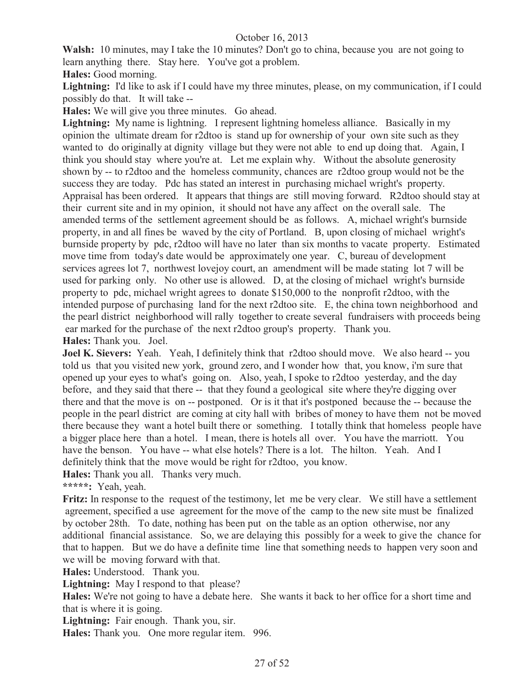**Walsh:** 10 minutes, may I take the 10 minutes? Don't go to china, because you are not going to learn anything there. Stay here. You've got a problem.

**Hales:** Good morning.

**Lightning:** I'd like to ask if I could have my three minutes, please, on my communication, if I could possibly do that. It will take --

**Hales:** We will give you three minutes. Go ahead.

Lightning: My name is lightning. I represent lightning homeless alliance. Basically in my opinion the ultimate dream for r2dtoo is stand up for ownership of your own site such as they wanted to do originally at dignity village but they were not able to end up doing that. Again, I think you should stay where you're at. Let me explain why. Without the absolute generosity shown by -- to r2dtoo and the homeless community, chances are r2dtoo group would not be the success they are today. Pdc has stated an interest in purchasing michael wright's property. Appraisal has been ordered. It appears that things are still moving forward. R2dtoo should stay at their current site and in my opinion, it should not have any affect on the overall sale. The amended terms of the settlement agreement should be as follows. A, michael wright's burnside property, in and all fines be waved by the city of Portland. B, upon closing of michael wright's burnside property by pdc, r2dtoo will have no later than six months to vacate property. Estimated move time from today's date would be approximately one year. C, bureau of development services agrees lot 7, northwest lovejoy court, an amendment will be made stating lot 7 will be used for parking only. No other use is allowed. D, at the closing of michael wright's burnside property to pdc, michael wright agrees to donate \$150,000 to the nonprofit r2dtoo, with the intended purpose of purchasing land for the next r2dtoo site. E, the china town neighborhood and the pearl district neighborhood will rally together to create several fundraisers with proceeds being ear marked for the purchase of the next r2dtoo group's property. Thank you. **Hales:** Thank you. Joel.

**Joel K. Sievers:** Yeah. Yeah, I definitely think that r2dtoo should move. We also heard -- you told us that you visited new york, ground zero, and I wonder how that, you know, i'm sure that opened up your eyes to what's going on. Also, yeah, I spoke to r2dtoo yesterday, and the day before, and they said that there -- that they found a geological site where they're digging over there and that the move is on -- postponed. Or is it that it's postponed because the -- because the people in the pearl district are coming at city hall with bribes of money to have them not be moved there because they want a hotel built there or something. I totally think that homeless people have a bigger place here than a hotel. I mean, there is hotels all over. You have the marriott. You have the benson. You have -- what else hotels? There is a lot. The hilton. Yeah. And I definitely think that the move would be right for r2dtoo, you know.

**Hales:** Thank you all. Thanks very much.

**\*\*\*\*\*:** Yeah, yeah.

**Fritz:** In response to the request of the testimony, let me be very clear. We still have a settlement agreement, specified a use agreement for the move of the camp to the new site must be finalized by october 28th. To date, nothing has been put on the table as an option otherwise, nor any additional financial assistance. So, we are delaying this possibly for a week to give the chance for that to happen. But we do have a definite time line that something needs to happen very soon and we will be moving forward with that.

**Hales:** Understood. Thank you.

**Lightning:** May I respond to that please?

**Hales:** We're not going to have a debate here. She wants it back to her office for a short time and that is where it is going.

**Lightning:** Fair enough. Thank you, sir.

**Hales:** Thank you. One more regular item. 996.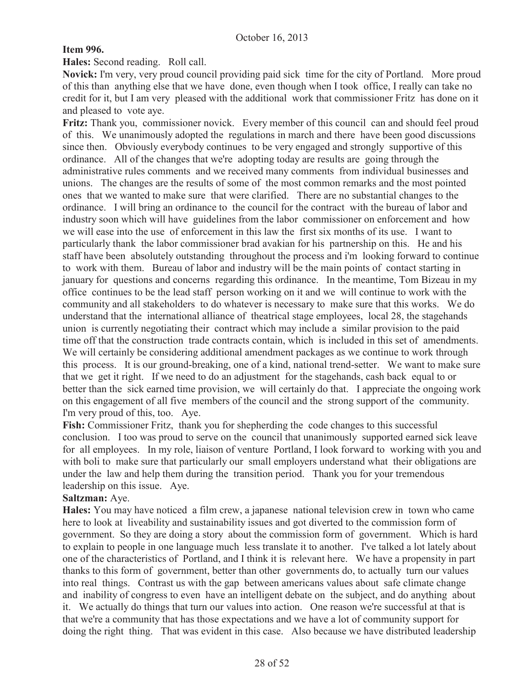# **Item 996.**

**Hales:** Second reading. Roll call.

**Novick:** I'm very, very proud council providing paid sick time for the city of Portland. More proud of this than anything else that we have done, even though when I took office, I really can take no credit for it, but I am very pleased with the additional work that commissioner Fritz has done on it and pleased to vote aye.

**Fritz:** Thank you, commissioner novick. Every member of this council can and should feel proud of this. We unanimously adopted the regulations in march and there have been good discussions since then. Obviously everybody continues to be very engaged and strongly supportive of this ordinance. All of the changes that we're adopting today are results are going through the administrative rules comments and we received many comments from individual businesses and unions. The changes are the results of some of the most common remarks and the most pointed ones that we wanted to make sure that were clarified. There are no substantial changes to the ordinance. I will bring an ordinance to the council for the contract with the bureau of labor and industry soon which will have guidelines from the labor commissioner on enforcement and how we will ease into the use of enforcement in this law the first six months of its use. I want to particularly thank the labor commissioner brad avakian for his partnership on this. He and his staff have been absolutely outstanding throughout the process and i'm looking forward to continue to work with them. Bureau of labor and industry will be the main points of contact starting in january for questions and concerns regarding this ordinance. In the meantime, Tom Bizeau in my office continues to be the lead staff person working on it and we will continue to work with the community and all stakeholders to do whatever is necessary to make sure that this works. We do understand that the international alliance of theatrical stage employees, local 28, the stagehands union is currently negotiating their contract which may include a similar provision to the paid time off that the construction trade contracts contain, which is included in this set of amendments. We will certainly be considering additional amendment packages as we continue to work through this process. It is our ground-breaking, one of a kind, national trend-setter. We want to make sure that we get it right. If we need to do an adjustment for the stagehands, cash back equal to or better than the sick earned time provision, we will certainly do that. I appreciate the ongoing work on this engagement of all five members of the council and the strong support of the community. I'm very proud of this, too. Aye.

**Fish:** Commissioner Fritz, thank you for shepherding the code changes to this successful conclusion. I too was proud to serve on the council that unanimously supported earned sick leave for all employees. In my role, liaison of venture Portland, I look forward to working with you and with boli to make sure that particularly our small employers understand what their obligations are under the law and help them during the transition period. Thank you for your tremendous leadership on this issue. Aye.

## **Saltzman:** Aye.

**Hales:** You may have noticed a film crew, a japanese national television crew in town who came here to look at liveability and sustainability issues and got diverted to the commission form of government. So they are doing a story about the commission form of government. Which is hard to explain to people in one language much less translate it to another. I've talked a lot lately about one of the characteristics of Portland, and I think it is relevant here. We have a propensity in part thanks to this form of government, better than other governments do, to actually turn our values into real things. Contrast us with the gap between americans values about safe climate change and inability of congress to even have an intelligent debate on the subject, and do anything about it. We actually do things that turn our values into action. One reason we're successful at that is that we're a community that has those expectations and we have a lot of community support for doing the right thing. That was evident in this case. Also because we have distributed leadership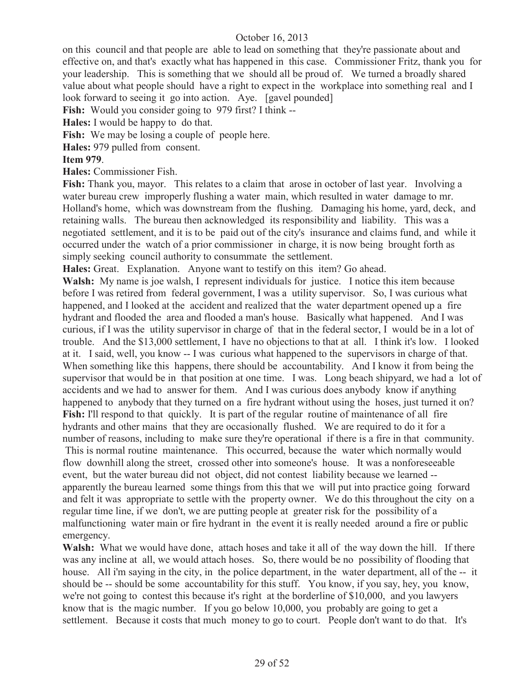on this council and that people are able to lead on something that they're passionate about and effective on, and that's exactly what has happened in this case. Commissioner Fritz, thank you for your leadership. This is something that we should all be proud of. We turned a broadly shared value about what people should have a right to expect in the workplace into something real and I look forward to seeing it go into action. Aye. [gavel pounded]

Fish: Would you consider going to 979 first? I think --

**Hales:** I would be happy to do that.

Fish: We may be losing a couple of people here.

**Hales:** 979 pulled from consent.

#### **Item 979**.

**Hales:** Commissioner Fish.

**Fish:** Thank you, mayor. This relates to a claim that arose in october of last year. Involving a water bureau crew improperly flushing a water main, which resulted in water damage to mr. Holland's home, which was downstream from the flushing. Damaging his home, yard, deck, and retaining walls. The bureau then acknowledged its responsibility and liability. This was a negotiated settlement, and it is to be paid out of the city's insurance and claims fund, and while it occurred under the watch of a prior commissioner in charge, it is now being brought forth as simply seeking council authority to consummate the settlement.

**Hales:** Great. Explanation. Anyone want to testify on this item? Go ahead.

**Walsh:** My name is joe walsh, I represent individuals for justice. I notice this item because before I was retired from federal government, I was a utility supervisor. So, I was curious what happened, and I looked at the accident and realized that the water department opened up a fire hydrant and flooded the area and flooded a man's house. Basically what happened. And I was curious, if I was the utility supervisor in charge of that in the federal sector, I would be in a lot of trouble. And the \$13,000 settlement, I have no objections to that at all. I think it's low. I looked at it. I said, well, you know -- I was curious what happened to the supervisors in charge of that. When something like this happens, there should be accountability. And I know it from being the supervisor that would be in that position at one time. I was. Long beach shipyard, we had a lot of accidents and we had to answer for them. And I was curious does anybody know if anything happened to anybody that they turned on a fire hydrant without using the hoses, just turned it on? **Fish:** I'll respond to that quickly. It is part of the regular routine of maintenance of all fire hydrants and other mains that they are occasionally flushed. We are required to do it for a number of reasons, including to make sure they're operational if there is a fire in that community.

This is normal routine maintenance. This occurred, because the water which normally would flow downhill along the street, crossed other into someone's house. It was a nonforeseeable event, but the water bureau did not object, did not contest liability because we learned - apparently the bureau learned some things from this that we will put into practice going forward and felt it was appropriate to settle with the property owner. We do this throughout the city on a regular time line, if we don't, we are putting people at greater risk for the possibility of a malfunctioning water main or fire hydrant in the event it is really needed around a fire or public emergency.

**Walsh:** What we would have done, attach hoses and take it all of the way down the hill. If there was any incline at all, we would attach hoses. So, there would be no possibility of flooding that house. All i'm saying in the city, in the police department, in the water department, all of the -- it should be -- should be some accountability for this stuff. You know, if you say, hey, you know, we're not going to contest this because it's right at the borderline of \$10,000, and you lawyers know that is the magic number. If you go below 10,000, you probably are going to get a settlement. Because it costs that much money to go to court. People don't want to do that. It's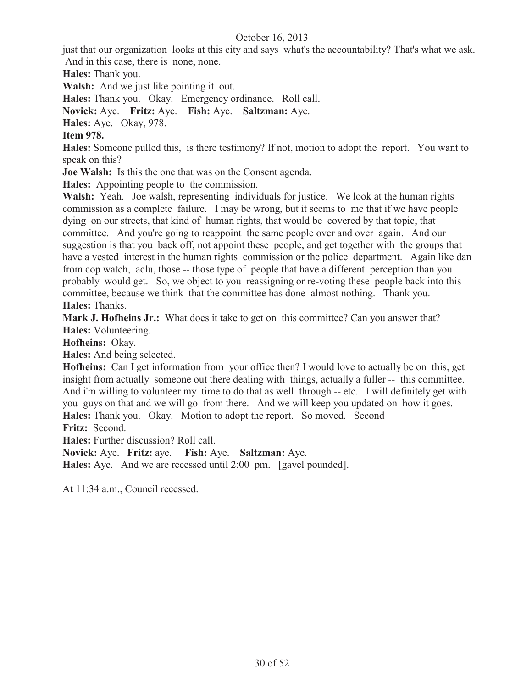just that our organization looks at this city and says what's the accountability? That's what we ask. And in this case, there is none, none.

**Hales:** Thank you.

**Walsh:** And we just like pointing it out.

**Hales:** Thank you. Okay. Emergency ordinance. Roll call.

**Novick:** Aye. **Fritz:** Aye. **Fish:** Aye. **Saltzman:** Aye.

**Hales:** Aye. Okay, 978.

## **Item 978.**

**Hales:** Someone pulled this, is there testimony? If not, motion to adopt the report. You want to speak on this?

**Joe Walsh:** Is this the one that was on the Consent agenda.

**Hales:** Appointing people to the commission.

**Walsh:** Yeah. Joe walsh, representing individuals for justice. We look at the human rights commission as a complete failure. I may be wrong, but it seems to me that if we have people dying on our streets, that kind of human rights, that would be covered by that topic, that committee. And you're going to reappoint the same people over and over again. And our suggestion is that you back off, not appoint these people, and get together with the groups that have a vested interest in the human rights commission or the police department. Again like dan from cop watch, aclu, those -- those type of people that have a different perception than you probably would get. So, we object to you reassigning or re-voting these people back into this committee, because we think that the committee has done almost nothing. Thank you. **Hales:** Thanks.

Mark J. Hofheins Jr.: What does it take to get on this committee? Can you answer that? **Hales:** Volunteering.

**Hofheins:** Okay.

**Hales:** And being selected.

**Hofheins:** Can I get information from your office then? I would love to actually be on this, get insight from actually someone out there dealing with things, actually a fuller -- this committee. And i'm willing to volunteer my time to do that as well through -- etc. I will definitely get with you guys on that and we will go from there. And we will keep you updated on how it goes. **Hales:** Thank you. Okay. Motion to adopt the report. So moved. Second **Fritz:** Second.

**Hales:** Further discussion? Roll call.

**Novick:** Aye. **Fritz:** aye. **Fish:** Aye. **Saltzman:** Aye.

**Hales:** Aye. And we are recessed until 2:00 pm. [gavel pounded].

At 11:34 a.m., Council recessed.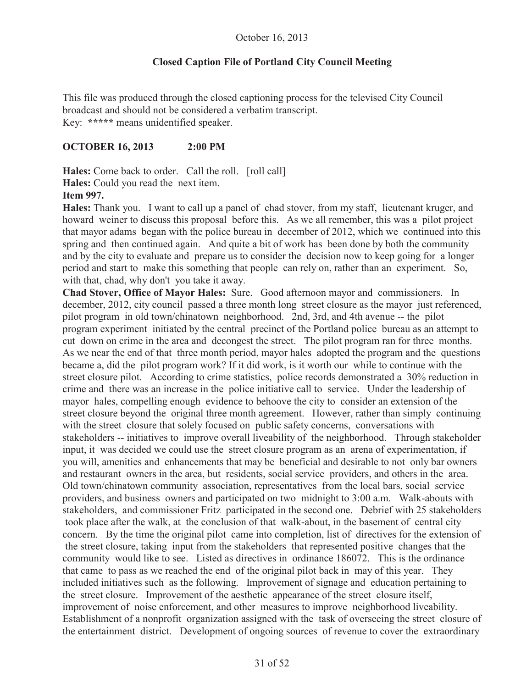# **Closed Caption File of Portland City Council Meeting**

This file was produced through the closed captioning process for the televised City Council broadcast and should not be considered a verbatim transcript. Key: **\*\*\*\*\*** means unidentified speaker.

## **OCTOBER 16, 2013 2:00 PM**

**Hales:** Come back to order. Call the roll. [roll call] **Hales:** Could you read the next item. **Item 997.**

**Hales:** Thank you. I want to call up a panel of chad stover, from my staff, lieutenant kruger, and howard weiner to discuss this proposal before this. As we all remember, this was a pilot project that mayor adams began with the police bureau in december of 2012, which we continued into this spring and then continued again. And quite a bit of work has been done by both the community and by the city to evaluate and prepare us to consider the decision now to keep going for a longer period and start to make this something that people can rely on, rather than an experiment. So, with that, chad, why don't you take it away.

**Chad Stover, Office of Mayor Hales:** Sure. Good afternoon mayor and commissioners. In december, 2012, city council passed a three month long street closure as the mayor just referenced, pilot program in old town/chinatown neighborhood. 2nd, 3rd, and 4th avenue -- the pilot program experiment initiated by the central precinct of the Portland police bureau as an attempt to cut down on crime in the area and decongest the street. The pilot program ran for three months. As we near the end of that three month period, mayor hales adopted the program and the questions became a, did the pilot program work? If it did work, is it worth our while to continue with the street closure pilot. According to crime statistics, police records demonstrated a 30% reduction in crime and there was an increase in the police initiative call to service. Under the leadership of mayor hales, compelling enough evidence to behoove the city to consider an extension of the street closure beyond the original three month agreement. However, rather than simply continuing with the street closure that solely focused on public safety concerns, conversations with stakeholders -- initiatives to improve overall liveability of the neighborhood. Through stakeholder input, it was decided we could use the street closure program as an arena of experimentation, if you will, amenities and enhancements that may be beneficial and desirable to not only bar owners and restaurant owners in the area, but residents, social service providers, and others in the area. Old town/chinatown community association, representatives from the local bars, social service providers, and business owners and participated on two midnight to 3:00 a.m. Walk-abouts with stakeholders, and commissioner Fritz participated in the second one. Debrief with 25 stakeholders took place after the walk, at the conclusion of that walk-about, in the basement of central city concern. By the time the original pilot came into completion, list of directives for the extension of the street closure, taking input from the stakeholders that represented positive changes that the community would like to see. Listed as directives in ordinance 186072. This is the ordinance that came to pass as we reached the end of the original pilot back in may of this year. They included initiatives such as the following. Improvement of signage and education pertaining to the street closure. Improvement of the aesthetic appearance of the street closure itself, improvement of noise enforcement, and other measures to improve neighborhood liveability. Establishment of a nonprofit organization assigned with the task of overseeing the street closure of the entertainment district. Development of ongoing sources of revenue to cover the extraordinary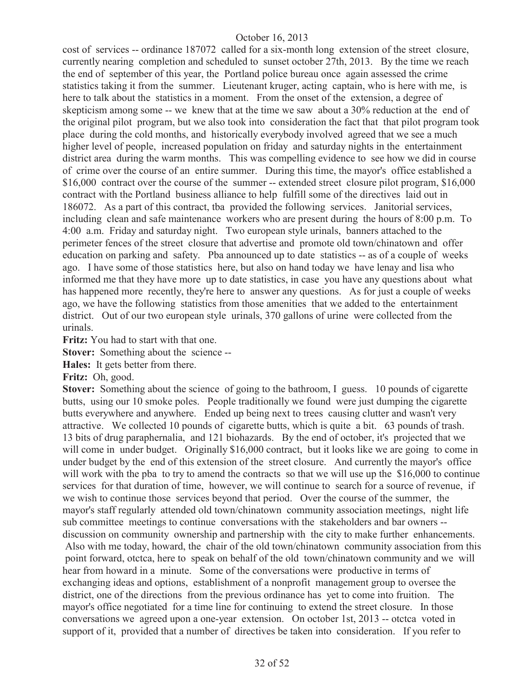cost of services -- ordinance 187072 called for a six-month long extension of the street closure, currently nearing completion and scheduled to sunset october 27th, 2013. By the time we reach the end of september of this year, the Portland police bureau once again assessed the crime statistics taking it from the summer. Lieutenant kruger, acting captain, who is here with me, is here to talk about the statistics in a moment. From the onset of the extension, a degree of skepticism among some -- we knew that at the time we saw about a 30% reduction at the end of the original pilot program, but we also took into consideration the fact that that pilot program took place during the cold months, and historically everybody involved agreed that we see a much higher level of people, increased population on friday and saturday nights in the entertainment district area during the warm months. This was compelling evidence to see how we did in course of crime over the course of an entire summer. During this time, the mayor's office established a \$16,000 contract over the course of the summer -- extended street closure pilot program, \$16,000 contract with the Portland business alliance to help fulfill some of the directives laid out in 186072. As a part of this contract, tba provided the following services. Janitorial services, including clean and safe maintenance workers who are present during the hours of 8:00 p.m. To 4:00 a.m. Friday and saturday night. Two european style urinals, banners attached to the perimeter fences of the street closure that advertise and promote old town/chinatown and offer education on parking and safety. Pba announced up to date statistics -- as of a couple of weeks ago. I have some of those statistics here, but also on hand today we have lenay and lisa who informed me that they have more up to date statistics, in case you have any questions about what has happened more recently, they're here to answer any questions. As for just a couple of weeks ago, we have the following statistics from those amenities that we added to the entertainment district. Out of our two european style urinals, 370 gallons of urine were collected from the urinals.

**Fritz:** You had to start with that one.

**Stover:** Something about the science --

**Hales:** It gets better from there.

**Fritz:** Oh, good.

**Stover:** Something about the science of going to the bathroom, I guess. 10 pounds of cigarette butts, using our 10 smoke poles. People traditionally we found were just dumping the cigarette butts everywhere and anywhere. Ended up being next to trees causing clutter and wasn't very attractive. We collected 10 pounds of cigarette butts, which is quite a bit. 63 pounds of trash. 13 bits of drug paraphernalia, and 121 biohazards. By the end of october, it's projected that we will come in under budget. Originally \$16,000 contract, but it looks like we are going to come in under budget by the end of this extension of the street closure. And currently the mayor's office will work with the pba to try to amend the contracts so that we will use up the \$16,000 to continue services for that duration of time, however, we will continue to search for a source of revenue, if we wish to continue those services beyond that period. Over the course of the summer, the mayor's staff regularly attended old town/chinatown community association meetings, night life sub committee meetings to continue conversations with the stakeholders and bar owners - discussion on community ownership and partnership with the city to make further enhancements. Also with me today, howard, the chair of the old town/chinatown community association from this point forward, otctca, here to speak on behalf of the old town/chinatown community and we will hear from howard in a minute. Some of the conversations were productive in terms of exchanging ideas and options, establishment of a nonprofit management group to oversee the district, one of the directions from the previous ordinance has yet to come into fruition. The mayor's office negotiated for a time line for continuing to extend the street closure. In those conversations we agreed upon a one-year extension. On october 1st, 2013 -- otctca voted in support of it, provided that a number of directives be taken into consideration. If you refer to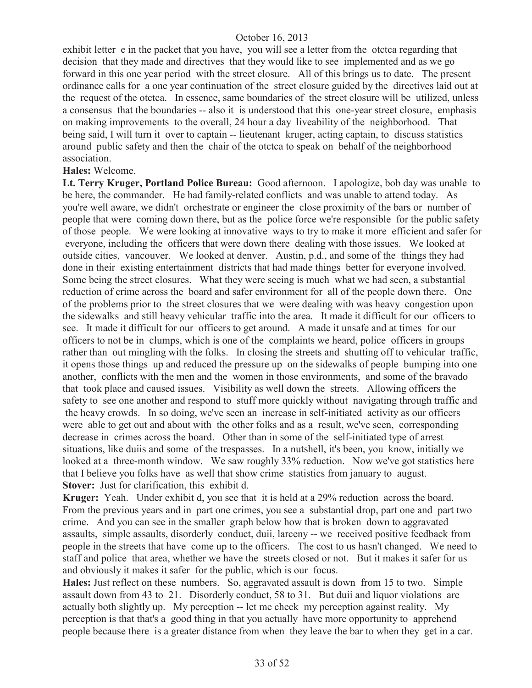exhibit letter e in the packet that you have, you will see a letter from the otctca regarding that decision that they made and directives that they would like to see implemented and as we go forward in this one year period with the street closure. All of this brings us to date. The present ordinance calls for a one year continuation of the street closure guided by the directives laid out at the request of the otctca. In essence, same boundaries of the street closure will be utilized, unless a consensus that the boundaries -- also it is understood that this one-year street closure, emphasis on making improvements to the overall, 24 hour a day liveability of the neighborhood. That being said, I will turn it over to captain -- lieutenant kruger, acting captain, to discuss statistics around public safety and then the chair of the otctca to speak on behalf of the neighborhood association.

#### **Hales:** Welcome.

**Lt. Terry Kruger, Portland Police Bureau:** Good afternoon. I apologize, bob day was unable to be here, the commander. He had family-related conflicts and was unable to attend today. As you're well aware, we didn't orchestrate or engineer the close proximity of the bars or number of people that were coming down there, but as the police force we're responsible for the public safety of those people. We were looking at innovative ways to try to make it more efficient and safer for everyone, including the officers that were down there dealing with those issues. We looked at outside cities, vancouver. We looked at denver. Austin, p.d., and some of the things they had done in their existing entertainment districts that had made things better for everyone involved. Some being the street closures. What they were seeing is much what we had seen, a substantial reduction of crime across the board and safer environment for all of the people down there. One of the problems prior to the street closures that we were dealing with was heavy congestion upon the sidewalks and still heavy vehicular traffic into the area. It made it difficult for our officers to see. It made it difficult for our officers to get around. A made it unsafe and at times for our officers to not be in clumps, which is one of the complaints we heard, police officers in groups rather than out mingling with the folks. In closing the streets and shutting off to vehicular traffic, it opens those things up and reduced the pressure up on the sidewalks of people bumping into one another, conflicts with the men and the women in those environments, and some of the bravado that took place and caused issues. Visibility as well down the streets. Allowing officers the safety to see one another and respond to stuff more quickly without navigating through traffic and the heavy crowds. In so doing, we've seen an increase in self-initiated activity as our officers were able to get out and about with the other folks and as a result, we've seen, corresponding decrease in crimes across the board. Other than in some of the self-initiated type of arrest situations, like duiis and some of the trespasses. In a nutshell, it's been, you know, initially we looked at a three-month window. We saw roughly 33% reduction. Now we've got statistics here that I believe you folks have as well that show crime statistics from january to august. **Stover:** Just for clarification, this exhibit d.

**Kruger:** Yeah. Under exhibit d, you see that it is held at a 29% reduction across the board. From the previous years and in part one crimes, you see a substantial drop, part one and part two crime. And you can see in the smaller graph below how that is broken down to aggravated assaults, simple assaults, disorderly conduct, duii, larceny -- we received positive feedback from people in the streets that have come up to the officers. The cost to us hasn't changed. We need to staff and police that area, whether we have the streets closed or not. But it makes it safer for us and obviously it makes it safer for the public, which is our focus.

**Hales:** Just reflect on these numbers. So, aggravated assault is down from 15 to two. Simple assault down from 43 to 21. Disorderly conduct, 58 to 31. But duii and liquor violations are actually both slightly up. My perception -- let me check my perception against reality. My perception is that that's a good thing in that you actually have more opportunity to apprehend people because there is a greater distance from when they leave the bar to when they get in a car.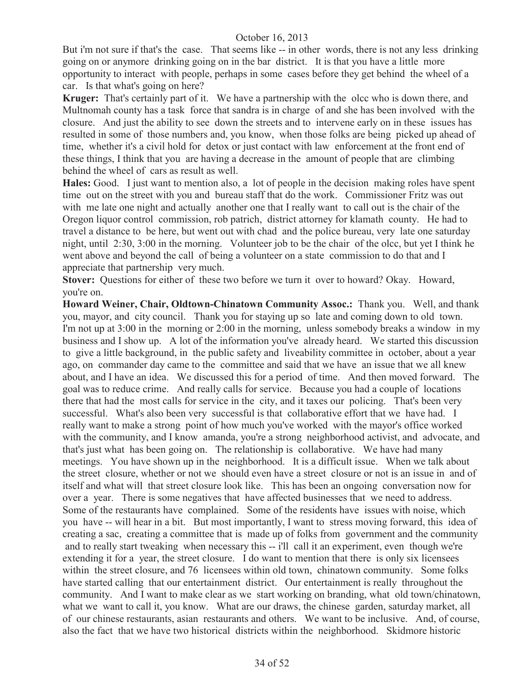But i'm not sure if that's the case. That seems like -- in other words, there is not any less drinking going on or anymore drinking going on in the bar district. It is that you have a little more opportunity to interact with people, perhaps in some cases before they get behind the wheel of a car. Is that what's going on here?

**Kruger:** That's certainly part of it. We have a partnership with the olcc who is down there, and Multnomah county has a task force that sandra is in charge of and she has been involved with the closure. And just the ability to see down the streets and to intervene early on in these issues has resulted in some of those numbers and, you know, when those folks are being picked up ahead of time, whether it's a civil hold for detox or just contact with law enforcement at the front end of these things, I think that you are having a decrease in the amount of people that are climbing behind the wheel of cars as result as well.

**Hales:** Good. I just want to mention also, a lot of people in the decision making roles have spent time out on the street with you and bureau staff that do the work. Commissioner Fritz was out with me late one night and actually another one that I really want to call out is the chair of the Oregon liquor control commission, rob patrich, district attorney for klamath county. He had to travel a distance to be here, but went out with chad and the police bureau, very late one saturday night, until 2:30, 3:00 in the morning. Volunteer job to be the chair of the olcc, but yet I think he went above and beyond the call of being a volunteer on a state commission to do that and I appreciate that partnership very much.

**Stover:** Questions for either of these two before we turn it over to howard? Okay. Howard, you're on.

**Howard Weiner, Chair, Oldtown-Chinatown Community Assoc.:** Thank you. Well, and thank you, mayor, and city council. Thank you for staying up so late and coming down to old town. I'm not up at 3:00 in the morning or 2:00 in the morning, unless somebody breaks a window in my business and I show up. A lot of the information you've already heard. We started this discussion to give a little background, in the public safety and liveability committee in october, about a year ago, on commander day came to the committee and said that we have an issue that we all knew about, and I have an idea. We discussed this for a period of time. And then moved forward. The goal was to reduce crime. And really calls for service. Because you had a couple of locations there that had the most calls for service in the city, and it taxes our policing. That's been very successful. What's also been very successful is that collaborative effort that we have had. I really want to make a strong point of how much you've worked with the mayor's office worked with the community, and I know amanda, you're a strong neighborhood activist, and advocate, and that's just what has been going on. The relationship is collaborative. We have had many meetings. You have shown up in the neighborhood. It is a difficult issue. When we talk about the street closure, whether or not we should even have a street closure or not is an issue in and of itself and what will that street closure look like. This has been an ongoing conversation now for over a year. There is some negatives that have affected businesses that we need to address. Some of the restaurants have complained. Some of the residents have issues with noise, which you have -- will hear in a bit. But most importantly, I want to stress moving forward, this idea of creating a sac, creating a committee that is made up of folks from government and the community and to really start tweaking when necessary this -- i'll call it an experiment, even though we're extending it for a year, the street closure. I do want to mention that there is only six licensees within the street closure, and 76 licensees within old town, chinatown community. Some folks have started calling that our entertainment district. Our entertainment is really throughout the community. And I want to make clear as we start working on branding, what old town/chinatown, what we want to call it, you know. What are our draws, the chinese garden, saturday market, all of our chinese restaurants, asian restaurants and others. We want to be inclusive. And, of course, also the fact that we have two historical districts within the neighborhood. Skidmore historic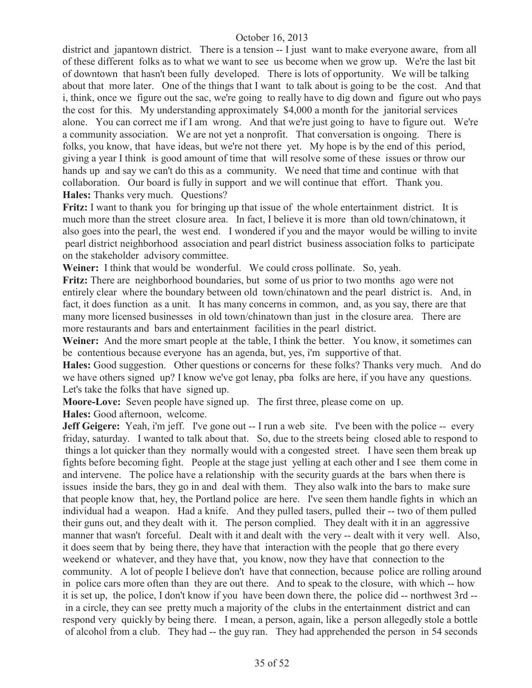district and japantown district. There is a tension -- I just want to make everyone aware, from all of these different folks as to what we want to see us become when we grow up. We're the last bit of downtown that hasn't been fully developed. There is lots of opportunity. We will be talking about that more later. One of the things that I want to talk about is going to be the cost. And that i, think, once we figure out the sac, we're going to really have to dig down and figure out who pays the cost for this. My understanding approximately \$4,000 a month for the janitorial services alone. You can correct me if I am wrong. And that we're just going to have to figure out. We're a community association. We are not yet a nonprofit. That conversation is ongoing. There is folks, you know, that have ideas, but we're not there yet. My hope is by the end of this period, giving a year I think is good amount of time that will resolve some of these issues or throw our hands up and say we can't do this as a community. We need that time and continue with that collaboration. Our board is fully in support and we will continue that effort. Thank you. **Hales:** Thanks very much. Questions?

**Fritz:** I want to thank you for bringing up that issue of the whole entertainment district. It is much more than the street closure area. In fact, I believe it is more than old town/chinatown, it also goes into the pearl, the west end. I wondered if you and the mayor would be willing to invite pearl district neighborhood association and pearl district business association folks to participate on the stakeholder advisory committee.

**Weiner:** I think that would be wonderful. We could cross pollinate. So, yeah.

**Fritz:** There are neighborhood boundaries, but some of us prior to two months ago were not entirely clear where the boundary between old town/chinatown and the pearl district is. And, in fact, it does function as a unit. It has many concerns in common, and, as you say, there are that many more licensed businesses in old town/chinatown than just in the closure area. There are more restaurants and bars and entertainment facilities in the pearl district.

Weiner: And the more smart people at the table, I think the better. You know, it sometimes can be contentious because everyone has an agenda, but, yes, i'm supportive of that.

**Hales:** Good suggestion. Other questions or concerns for these folks? Thanks very much. And do we have others signed up? I know we've got lenay, pba folks are here, if you have any questions. Let's take the folks that have signed up.

**Moore-Love:** Seven people have signed up. The first three, please come on up.

**Hales:** Good afternoon, welcome.

**Jeff Geigere:** Yeah, i'm jeff. I've gone out -- I run a web site. I've been with the police -- every friday, saturday. I wanted to talk about that. So, due to the streets being closed able to respond to things a lot quicker than they normally would with a congested street. I have seen them break up fights before becoming fight. People at the stage just yelling at each other and I see them come in and intervene. The police have a relationship with the security guards at the bars when there is issues inside the bars, they go in and deal with them. They also walk into the bars to make sure that people know that, hey, the Portland police are here. I've seen them handle fights in which an individual had a weapon. Had a knife. And they pulled tasers, pulled their -- two of them pulled their guns out, and they dealt with it. The person complied. They dealt with it in an aggressive manner that wasn't forceful. Dealt with it and dealt with the very -- dealt with it very well. Also, it does seem that by being there, they have that interaction with the people that go there every weekend or whatever, and they have that, you know, now they have that connection to the community. A lot of people I believe don't have that connection, because police are rolling around in police cars more often than they are out there. And to speak to the closure, with which -- how it is set up, the police, I don't know if you have been down there, the police did -- northwest 3rd - in a circle, they can see pretty much a majority of the clubs in the entertainment district and can respond very quickly by being there. I mean, a person, again, like a person allegedly stole a bottle of alcohol from a club. They had -- the guy ran. They had apprehended the person in 54 seconds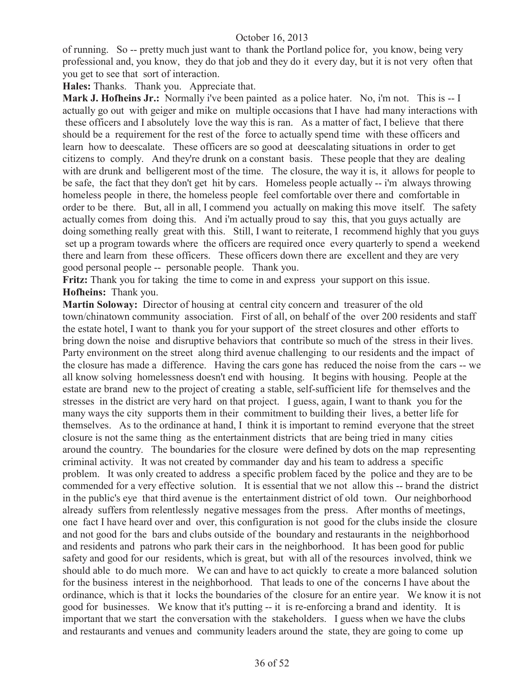of running. So -- pretty much just want to thank the Portland police for, you know, being very professional and, you know, they do that job and they do it every day, but it is not very often that you get to see that sort of interaction.

**Hales:** Thanks. Thank you. Appreciate that.

**Mark J. Hofheins Jr.:** Normally i've been painted as a police hater. No, i'm not. This is -- I actually go out with geiger and mike on multiple occasions that I have had many interactions with these officers and I absolutely love the way this is ran. As a matter of fact, I believe that there should be a requirement for the rest of the force to actually spend time with these officers and learn how to deescalate. These officers are so good at deescalating situations in order to get citizens to comply. And they're drunk on a constant basis. These people that they are dealing with are drunk and belligerent most of the time. The closure, the way it is, it allows for people to be safe, the fact that they don't get hit by cars. Homeless people actually -- i'm always throwing homeless people in there, the homeless people feel comfortable over there and comfortable in order to be there. But, all in all, I commend you actually on making this move itself. The safety actually comes from doing this. And i'm actually proud to say this, that you guys actually are doing something really great with this. Still, I want to reiterate, I recommend highly that you guys set up a program towards where the officers are required once every quarterly to spend a weekend there and learn from these officers. These officers down there are excellent and they are very good personal people -- personable people. Thank you.

**Fritz:** Thank you for taking the time to come in and express your support on this issue. **Hofheins:** Thank you.

**Martin Soloway:** Director of housing at central city concern and treasurer of the old town/chinatown community association. First of all, on behalf of the over 200 residents and staff the estate hotel, I want to thank you for your support of the street closures and other efforts to bring down the noise and disruptive behaviors that contribute so much of the stress in their lives. Party environment on the street along third avenue challenging to our residents and the impact of the closure has made a difference. Having the cars gone has reduced the noise from the cars -- we all know solving homelessness doesn't end with housing. It begins with housing. People at the estate are brand new to the project of creating a stable, self-sufficient life for themselves and the stresses in the district are very hard on that project. I guess, again, I want to thank you for the many ways the city supports them in their commitment to building their lives, a better life for themselves. As to the ordinance at hand, I think it is important to remind everyone that the street closure is not the same thing as the entertainment districts that are being tried in many cities around the country. The boundaries for the closure were defined by dots on the map representing criminal activity. It was not created by commander day and his team to address a specific problem. It was only created to address a specific problem faced by the police and they are to be commended for a very effective solution. It is essential that we not allow this -- brand the district in the public's eye that third avenue is the entertainment district of old town. Our neighborhood already suffers from relentlessly negative messages from the press. After months of meetings, one fact I have heard over and over, this configuration is not good for the clubs inside the closure and not good for the bars and clubs outside of the boundary and restaurants in the neighborhood and residents and patrons who park their cars in the neighborhood. It has been good for public safety and good for our residents, which is great, but with all of the resources involved, think we should able to do much more. We can and have to act quickly to create a more balanced solution for the business interest in the neighborhood. That leads to one of the concerns I have about the ordinance, which is that it locks the boundaries of the closure for an entire year. We know it is not good for businesses. We know that it's putting -- it is re-enforcing a brand and identity. It is important that we start the conversation with the stakeholders. I guess when we have the clubs and restaurants and venues and community leaders around the state, they are going to come up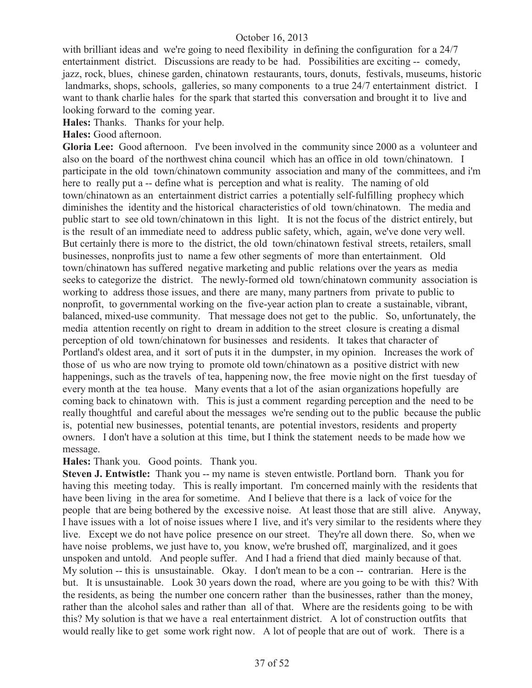with brilliant ideas and we're going to need flexibility in defining the configuration for a 24/7 entertainment district. Discussions are ready to be had. Possibilities are exciting -- comedy, jazz, rock, blues, chinese garden, chinatown restaurants, tours, donuts, festivals, museums, historic landmarks, shops, schools, galleries, so many components to a true 24/7 entertainment district. I want to thank charlie hales for the spark that started this conversation and brought it to live and looking forward to the coming year.

**Hales:** Thanks. Thanks for your help.

**Hales:** Good afternoon.

**Gloria Lee:** Good afternoon. I've been involved in the community since 2000 as a volunteer and also on the board of the northwest china council which has an office in old town/chinatown. I participate in the old town/chinatown community association and many of the committees, and i'm here to really put a -- define what is perception and what is reality. The naming of old town/chinatown as an entertainment district carries a potentially self-fulfilling prophecy which diminishes the identity and the historical characteristics of old town/chinatown. The media and public start to see old town/chinatown in this light. It is not the focus of the district entirely, but is the result of an immediate need to address public safety, which, again, we've done very well. But certainly there is more to the district, the old town/chinatown festival streets, retailers, small businesses, nonprofits just to name a few other segments of more than entertainment. Old town/chinatown has suffered negative marketing and public relations over the years as media seeks to categorize the district. The newly-formed old town/chinatown community association is working to address those issues, and there are many, many partners from private to public to nonprofit, to governmental working on the five-year action plan to create a sustainable, vibrant, balanced, mixed-use community. That message does not get to the public. So, unfortunately, the media attention recently on right to dream in addition to the street closure is creating a dismal perception of old town/chinatown for businesses and residents. It takes that character of Portland's oldest area, and it sort of puts it in the dumpster, in my opinion. Increases the work of those of us who are now trying to promote old town/chinatown as a positive district with new happenings, such as the travels of tea, happening now, the free movie night on the first tuesday of every month at the tea house. Many events that a lot of the asian organizations hopefully are coming back to chinatown with. This is just a comment regarding perception and the need to be really thoughtful and careful about the messages we're sending out to the public because the public is, potential new businesses, potential tenants, are potential investors, residents and property owners. I don't have a solution at this time, but I think the statement needs to be made how we message.

**Hales:** Thank you. Good points. Thank you.

**Steven J. Entwistle:** Thank you -- my name is steven entwistle. Portland born. Thank you for having this meeting today. This is really important. I'm concerned mainly with the residents that have been living in the area for sometime. And I believe that there is a lack of voice for the people that are being bothered by the excessive noise. At least those that are still alive. Anyway, I have issues with a lot of noise issues where I live, and it's very similar to the residents where they live. Except we do not have police presence on our street. They're all down there. So, when we have noise problems, we just have to, you know, we're brushed off, marginalized, and it goes unspoken and untold. And people suffer. And I had a friend that died mainly because of that. My solution -- this is unsustainable. Okay. I don't mean to be a con -- contrarian. Here is the but. It is unsustainable. Look 30 years down the road, where are you going to be with this? With the residents, as being the number one concern rather than the businesses, rather than the money, rather than the alcohol sales and rather than all of that. Where are the residents going to be with this? My solution is that we have a real entertainment district. A lot of construction outfits that would really like to get some work right now. A lot of people that are out of work. There is a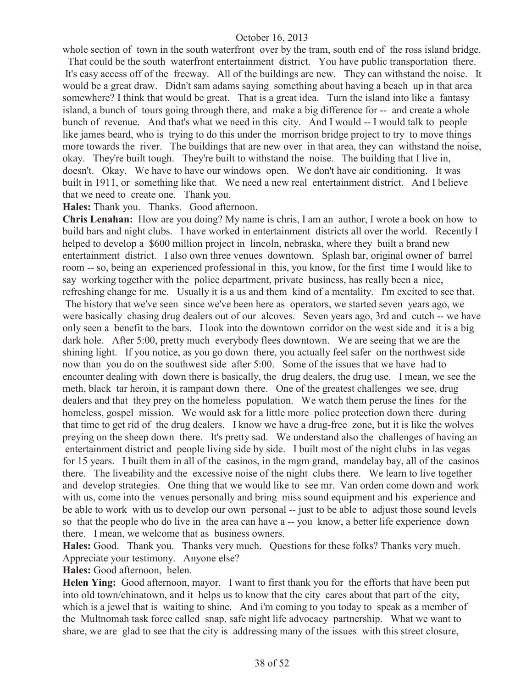whole section of town in the south waterfront over by the tram, south end of the ross island bridge.

That could be the south waterfront entertainment district. You have public transportation there. It's easy access off of the freeway. All of the buildings are new. They can withstand the noise. It would be a great draw. Didn't sam adams saying something about having a beach up in that area somewhere? I think that would be great. That is a great idea. Turn the island into like a fantasy island, a bunch of tours going through there, and make a big difference for -- and create a whole bunch of revenue. And that's what we need in this city. And I would -- I would talk to people like james beard, who is trying to do this under the morrison bridge project to try to move things more towards the river. The buildings that are new over in that area, they can withstand the noise, okay. They're built tough. They're built to withstand the noise. The building that I live in, doesn't. Okay. We have to have our windows open. We don't have air conditioning. It was built in 1911, or something like that. We need a new real entertainment district. And I believe that we need to create one. Thank you.

**Hales:** Thank you. Thanks. Good afternoon.

**Chris Lenahan:** How are you doing? My name is chris, I am an author, I wrote a book on how to build bars and night clubs. I have worked in entertainment districts all over the world. Recently I helped to develop a \$600 million project in lincoln, nebraska, where they built a brand new entertainment district. I also own three venues downtown. Splash bar, original owner of barrel room -- so, being an experienced professional in this, you know, for the first time I would like to say working together with the police department, private business, has really been a nice, refreshing change for me. Usually it is a us and them kind of a mentality. I'm excited to see that. The history that we've seen since we've been here as operators, we started seven years ago, we were basically chasing drug dealers out of our alcoves. Seven years ago, 3rd and cutch -- we have only seen a benefit to the bars. I look into the downtown corridor on the west side and it is a big dark hole. After 5:00, pretty much everybody flees downtown. We are seeing that we are the shining light. If you notice, as you go down there, you actually feel safer on the northwest side now than you do on the southwest side after 5:00. Some of the issues that we have had to encounter dealing with down there is basically, the drug dealers, the drug use. I mean, we see the meth, black tar heroin, it is rampant down there. One of the greatest challenges we see, drug dealers and that they prey on the homeless population. We watch them peruse the lines for the homeless, gospel mission. We would ask for a little more police protection down there during that time to get rid of the drug dealers. I know we have a drug-free zone, but it is like the wolves preying on the sheep down there. It's pretty sad. We understand also the challenges of having an entertainment district and people living side by side. I built most of the night clubs in las vegas for 15 years. I built them in all of the casinos, in the mgm grand, mandelay bay, all of the casinos there. The liveability and the excessive noise of the night clubs there. We learn to live together and develop strategies. One thing that we would like to see mr. Van orden come down and work with us, come into the venues personally and bring miss sound equipment and his experience and be able to work with us to develop our own personal -- just to be able to adjust those sound levels so that the people who do live in the area can have a -- you know, a better life experience down there. I mean, we welcome that as business owners.

**Hales:** Good. Thank you. Thanks very much. Questions for these folks? Thanks very much. Appreciate your testimony. Anyone else?

**Hales:** Good afternoon, helen.

**Helen Ying:** Good afternoon, mayor. I want to first thank you for the efforts that have been put into old town/chinatown, and it helps us to know that the city cares about that part of the city, which is a jewel that is waiting to shine. And i'm coming to you today to speak as a member of the Multnomah task force called snap, safe night life advocacy partnership. What we want to share, we are glad to see that the city is addressing many of the issues with this street closure,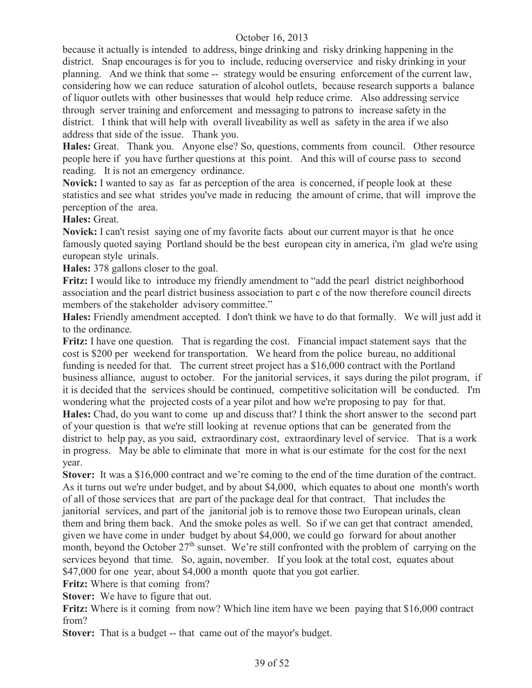because it actually is intended to address, binge drinking and risky drinking happening in the district. Snap encourages is for you to include, reducing overservice and risky drinking in your planning. And we think that some -- strategy would be ensuring enforcement of the current law, considering how we can reduce saturation of alcohol outlets, because research supports a balance of liquor outlets with other businesses that would help reduce crime. Also addressing service through server training and enforcement and messaging to patrons to increase safety in the district. I think that will help with overall liveability as well as safety in the area if we also address that side of the issue. Thank you.

**Hales:** Great. Thank you. Anyone else? So, questions, comments from council. Other resource people here if you have further questions at this point. And this will of course pass to second reading. It is not an emergency ordinance.

**Novick:** I wanted to say as far as perception of the area is concerned, if people look at these statistics and see what strides you've made in reducing the amount of crime, that will improve the perception of the area.

**Hales:** Great.

**Novick:** I can't resist saying one of my favorite facts about our current mayor is that he once famously quoted saying Portland should be the best european city in america, i'm glad we're using european style urinals.

**Hales:** 378 gallons closer to the goal.

**Fritz:** I would like to introduce my friendly amendment to "add the pearl district neighborhood association and the pearl district business association to part c of the now therefore council directs members of the stakeholder advisory committee."

**Hales:** Friendly amendment accepted. I don't think we have to do that formally. We will just add it to the ordinance.

**Fritz:** I have one question. That is regarding the cost. Financial impact statement says that the cost is \$200 per weekend for transportation. We heard from the police bureau, no additional funding is needed for that. The current street project has a \$16,000 contract with the Portland business alliance, august to october. For the janitorial services, it says during the pilot program, if it is decided that the services should be continued, competitive solicitation will be conducted. I'm wondering what the projected costs of a year pilot and how we're proposing to pay for that. **Hales:** Chad, do you want to come up and discuss that? I think the short answer to the second part

of your question is that we're still looking at revenue options that can be generated from the district to help pay, as you said, extraordinary cost, extraordinary level of service. That is a work in progress. May be able to eliminate that more in what is our estimate for the cost for the next year.

**Stover:** It was a \$16,000 contract and we're coming to the end of the time duration of the contract. As it turns out we're under budget, and by about \$4,000, which equates to about one month's worth of all of those services that are part of the package deal for that contract. That includes the janitorial services, and part of the janitorial job is to remove those two European urinals, clean them and bring them back. And the smoke poles as well. So if we can get that contract amended, given we have come in under budget by about \$4,000, we could go forward for about another month, beyond the October  $27<sup>th</sup>$  sunset. We're still confronted with the problem of carrying on the services beyond that time. So, again, november. If you look at the total cost, equates about \$47,000 for one year, about \$4,000 a month quote that you got earlier.

**Fritz:** Where is that coming from?

**Stover:** We have to figure that out.

**Fritz:** Where is it coming from now? Which line item have we been paying that \$16,000 contract from?

**Stover:** That is a budget -- that came out of the mayor's budget.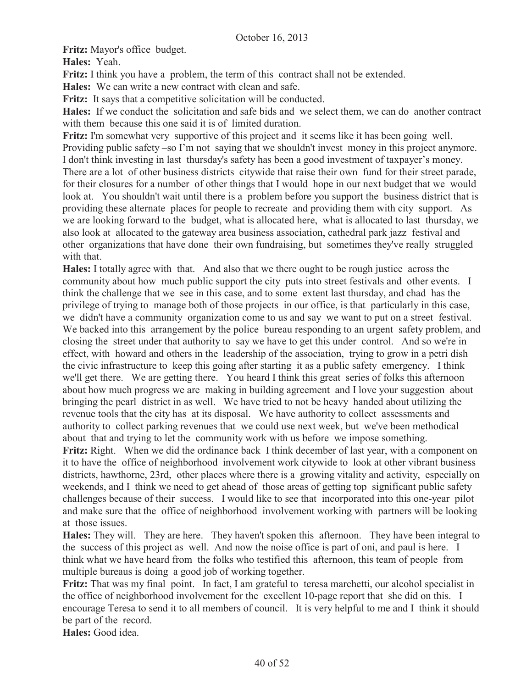**Fritz:** Mayor's office budget.

**Hales:** Yeah.

**Fritz:** I think you have a problem, the term of this contract shall not be extended.

**Hales:** We can write a new contract with clean and safe.

**Fritz:** It says that a competitive solicitation will be conducted.

**Hales:** If we conduct the solicitation and safe bids and we select them, we can do another contract with them because this one said it is of limited duration.

**Fritz:** I'm somewhat very supportive of this project and it seems like it has been going well. Providing public safety –so I'm not saying that we shouldn't invest money in this project anymore. I don't think investing in last thursday's safety has been a good investment of taxpayer's money. There are a lot of other business districts citywide that raise their own fund for their street parade, for their closures for a number of other things that I would hope in our next budget that we would look at. You shouldn't wait until there is a problem before you support the business district that is providing these alternate places for people to recreate and providing them with city support. As we are looking forward to the budget, what is allocated here, what is allocated to last thursday, we also look at allocated to the gateway area business association, cathedral park jazz festival and other organizations that have done their own fundraising, but sometimes they've really struggled with that.

**Hales:** I totally agree with that. And also that we there ought to be rough justice across the community about how much public support the city puts into street festivals and other events. I think the challenge that we see in this case, and to some extent last thursday, and chad has the privilege of trying to manage both of those projects in our office, is that particularly in this case, we didn't have a community organization come to us and say we want to put on a street festival. We backed into this arrangement by the police bureau responding to an urgent safety problem, and closing the street under that authority to say we have to get this under control. And so we're in effect, with howard and others in the leadership of the association, trying to grow in a petri dish the civic infrastructure to keep this going after starting it as a public safety emergency. I think we'll get there. We are getting there. You heard I think this great series of folks this afternoon about how much progress we are making in building agreement and I love your suggestion about bringing the pearl district in as well. We have tried to not be heavy handed about utilizing the revenue tools that the city has at its disposal. We have authority to collect assessments and authority to collect parking revenues that we could use next week, but we've been methodical about that and trying to let the community work with us before we impose something.

**Fritz:** Right. When we did the ordinance back I think december of last year, with a component on it to have the office of neighborhood involvement work citywide to look at other vibrant business districts, hawthorne, 23rd, other places where there is a growing vitality and activity, especially on weekends, and I think we need to get ahead of those areas of getting top significant public safety challenges because of their success. I would like to see that incorporated into this one-year pilot and make sure that the office of neighborhood involvement working with partners will be looking at those issues.

**Hales:** They will. They are here. They haven't spoken this afternoon. They have been integral to the success of this project as well. And now the noise office is part of oni, and paul is here. I think what we have heard from the folks who testified this afternoon, this team of people from multiple bureaus is doing a good job of working together.

**Fritz:** That was my final point. In fact, I am grateful to teresa marchetti, our alcohol specialist in the office of neighborhood involvement for the excellent 10-page report that she did on this. I encourage Teresa to send it to all members of council. It is very helpful to me and I think it should be part of the record.

**Hales:** Good idea.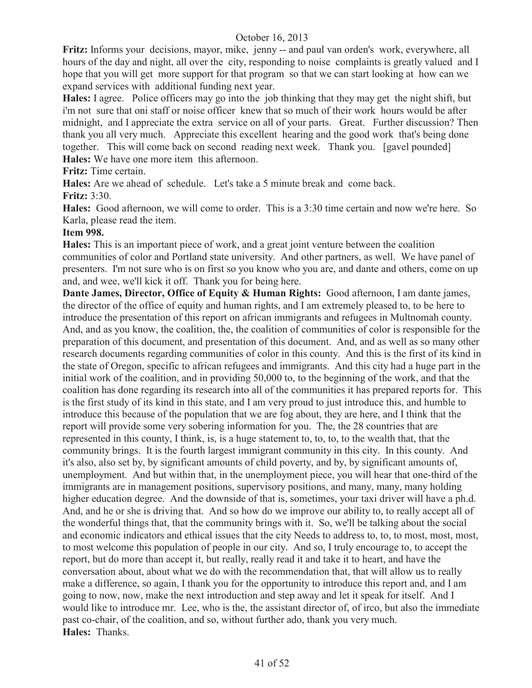**Fritz:** Informs your decisions, mayor, mike, jenny -- and paul van orden's work, everywhere, all hours of the day and night, all over the city, responding to noise complaints is greatly valued and I hope that you will get more support for that program so that we can start looking at how can we expand services with additional funding next year.

**Hales:** I agree. Police officers may go into the job thinking that they may get the night shift, but i'm not sure that oni staff or noise officer knew that so much of their work hours would be after midnight, and I appreciate the extra service on all of your parts. Great. Further discussion? Then thank you all very much. Appreciate this excellent hearing and the good work that's being done together. This will come back on second reading next week. Thank you. [gavel pounded] **Hales:** We have one more item this afternoon.

**Fritz:** Time certain.

**Hales:** Are we ahead of schedule. Let's take a 5 minute break and come back. **Fritz:** 3:30.

**Hales:** Good afternoon, we will come to order. This is a 3:30 time certain and now we're here. So Karla, please read the item.

#### **Item 998.**

**Hales:** This is an important piece of work, and a great joint venture between the coalition communities of color and Portland state university. And other partners, as well. We have panel of presenters. I'm not sure who is on first so you know who you are, and dante and others, come on up and, and wee, we'll kick it off. Thank you for being here.

**Dante James, Director, Office of Equity & Human Rights:** Good afternoon, I am dante james, the director of the office of equity and human rights, and I am extremely pleased to, to be here to introduce the presentation of this report on african immigrants and refugees in Multnomah county. And, and as you know, the coalition, the, the coalition of communities of color is responsible for the preparation of this document, and presentation of this document. And, and as well as so many other research documents regarding communities of color in this county. And this is the first of its kind in the state of Oregon, specific to african refugees and immigrants. And this city had a huge part in the initial work of the coalition, and in providing 50,000 to, to the beginning of the work, and that the coalition has done regarding its research into all of the communities it has prepared reports for. This is the first study of its kind in this state, and I am very proud to just introduce this, and humble to introduce this because of the population that we are fog about, they are here, and I think that the report will provide some very sobering information for you. The, the 28 countries that are represented in this county, I think, is, is a huge statement to, to, to, to the wealth that, that the community brings. It is the fourth largest immigrant community in this city. In this county. And it's also, also set by, by significant amounts of child poverty, and by, by significant amounts of, unemployment. And but within that, in the unemployment piece, you will hear that one-third of the immigrants are in management positions, supervisory positions, and many, many, many holding higher education degree. And the downside of that is, sometimes, your taxi driver will have a ph.d. And, and he or she is driving that. And so how do we improve our ability to, to really accept all of the wonderful things that, that the community brings with it. So, we'll be talking about the social and economic indicators and ethical issues that the city Needs to address to, to, to most, most, most, to most welcome this population of people in our city. And so, I truly encourage to, to accept the report, but do more than accept it, but really, really read it and take it to heart, and have the conversation about, about what we do with the recommendation that, that will allow us to really make a difference, so again, I thank you for the opportunity to introduce this report and, and I am going to now, now, make the next introduction and step away and let it speak for itself. And I would like to introduce mr. Lee, who is the, the assistant director of, of irco, but also the immediate past co-chair, of the coalition, and so, without further ado, thank you very much. **Hales:** Thanks.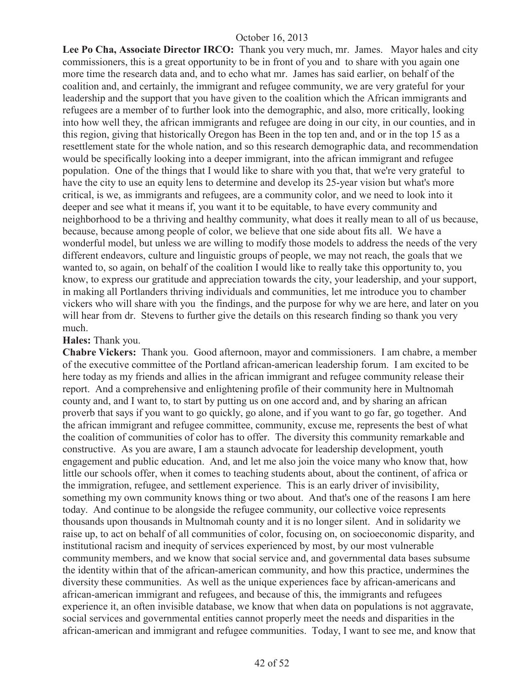**Lee Po Cha, Associate Director IRCO:** Thank you very much, mr. James. Mayor hales and city commissioners, this is a great opportunity to be in front of you and to share with you again one more time the research data and, and to echo what mr. James has said earlier, on behalf of the coalition and, and certainly, the immigrant and refugee community, we are very grateful for your leadership and the support that you have given to the coalition which the African immigrants and refugees are a member of to further look into the demographic, and also, more critically, looking into how well they, the african immigrants and refugee are doing in our city, in our counties, and in this region, giving that historically Oregon has Been in the top ten and, and or in the top 15 as a resettlement state for the whole nation, and so this research demographic data, and recommendation would be specifically looking into a deeper immigrant, into the african immigrant and refugee population. One of the things that I would like to share with you that, that we're very grateful to have the city to use an equity lens to determine and develop its 25-year vision but what's more critical, is we, as immigrants and refugees, are a community color, and we need to look into it deeper and see what it means if, you want it to be equitable, to have every community and neighborhood to be a thriving and healthy community, what does it really mean to all of us because, because, because among people of color, we believe that one side about fits all. We have a wonderful model, but unless we are willing to modify those models to address the needs of the very different endeavors, culture and linguistic groups of people, we may not reach, the goals that we wanted to, so again, on behalf of the coalition I would like to really take this opportunity to, you know, to express our gratitude and appreciation towards the city, your leadership, and your support, in making all Portlanders thriving individuals and communities, let me introduce you to chamber vickers who will share with you the findings, and the purpose for why we are here, and later on you will hear from dr. Stevens to further give the details on this research finding so thank you very much.

#### **Hales:** Thank you.

**Chabre Vickers:** Thank you. Good afternoon, mayor and commissioners. I am chabre, a member of the executive committee of the Portland african-american leadership forum. I am excited to be here today as my friends and allies in the african immigrant and refugee community release their report. And a comprehensive and enlightening profile of their community here in Multnomah county and, and I want to, to start by putting us on one accord and, and by sharing an african proverb that says if you want to go quickly, go alone, and if you want to go far, go together. And the african immigrant and refugee committee, community, excuse me, represents the best of what the coalition of communities of color has to offer. The diversity this community remarkable and constructive. As you are aware, I am a staunch advocate for leadership development, youth engagement and public education. And, and let me also join the voice many who know that, how little our schools offer, when it comes to teaching students about, about the continent, of africa or the immigration, refugee, and settlement experience. This is an early driver of invisibility, something my own community knows thing or two about. And that's one of the reasons I am here today. And continue to be alongside the refugee community, our collective voice represents thousands upon thousands in Multnomah county and it is no longer silent. And in solidarity we raise up, to act on behalf of all communities of color, focusing on, on socioeconomic disparity, and institutional racism and inequity of services experienced by most, by our most vulnerable community members, and we know that social service and, and governmental data bases subsume the identity within that of the african-american community, and how this practice, undermines the diversity these communities. As well as the unique experiences face by african-americans and african-american immigrant and refugees, and because of this, the immigrants and refugees experience it, an often invisible database, we know that when data on populations is not aggravate, social services and governmental entities cannot properly meet the needs and disparities in the african-american and immigrant and refugee communities. Today, I want to see me, and know that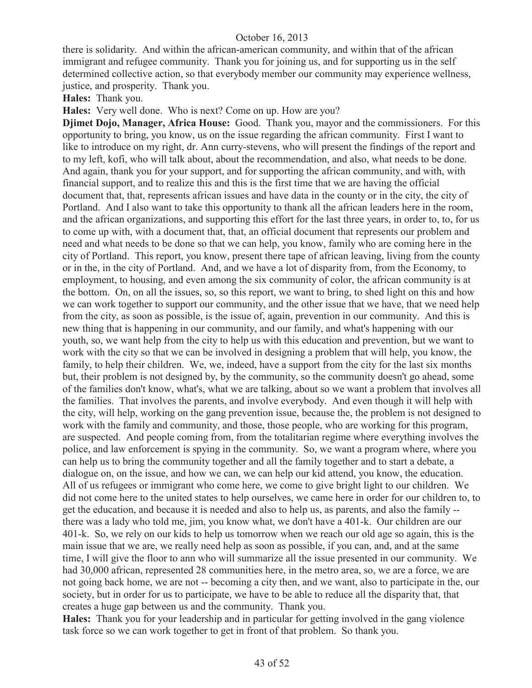there is solidarity. And within the african-american community, and within that of the african immigrant and refugee community. Thank you for joining us, and for supporting us in the self determined collective action, so that everybody member our community may experience wellness, justice, and prosperity. Thank you.

**Hales:** Thank you.

**Hales:** Very well done. Who is next? Come on up. How are you?

**Djimet Dojo, Manager, Africa House:** Good. Thank you, mayor and the commissioners. For this opportunity to bring, you know, us on the issue regarding the african community. First I want to like to introduce on my right, dr. Ann curry-stevens, who will present the findings of the report and to my left, kofi, who will talk about, about the recommendation, and also, what needs to be done. And again, thank you for your support, and for supporting the african community, and with, with financial support, and to realize this and this is the first time that we are having the official document that, that, represents african issues and have data in the county or in the city, the city of Portland. And I also want to take this opportunity to thank all the african leaders here in the room, and the african organizations, and supporting this effort for the last three years, in order to, to, for us to come up with, with a document that, that, an official document that represents our problem and need and what needs to be done so that we can help, you know, family who are coming here in the city of Portland. This report, you know, present there tape of african leaving, living from the county or in the, in the city of Portland. And, and we have a lot of disparity from, from the Economy, to employment, to housing, and even among the six community of color, the african community is at the bottom. On, on all the issues, so, so this report, we want to bring, to shed light on this and how we can work together to support our community, and the other issue that we have, that we need help from the city, as soon as possible, is the issue of, again, prevention in our community. And this is new thing that is happening in our community, and our family, and what's happening with our youth, so, we want help from the city to help us with this education and prevention, but we want to work with the city so that we can be involved in designing a problem that will help, you know, the family, to help their children. We, we, indeed, have a support from the city for the last six months but, their problem is not designed by, by the community, so the community doesn't go ahead, some of the families don't know, what's, what we are talking, about so we want a problem that involves all the families. That involves the parents, and involve everybody. And even though it will help with the city, will help, working on the gang prevention issue, because the, the problem is not designed to work with the family and community, and those, those people, who are working for this program, are suspected. And people coming from, from the totalitarian regime where everything involves the police, and law enforcement is spying in the community. So, we want a program where, where you can help us to bring the community together and all the family together and to start a debate, a dialogue on, on the issue, and how we can, we can help our kid attend, you know, the education. All of us refugees or immigrant who come here, we come to give bright light to our children. We did not come here to the united states to help ourselves, we came here in order for our children to, to get the education, and because it is needed and also to help us, as parents, and also the family - there was a lady who told me, jim, you know what, we don't have a 401-k. Our children are our 401-k. So, we rely on our kids to help us tomorrow when we reach our old age so again, this is the main issue that we are, we really need help as soon as possible, if you can, and, and at the same time, I will give the floor to ann who will summarize all the issue presented in our community. We had 30,000 african, represented 28 communities here, in the metro area, so, we are a force, we are not going back home, we are not -- becoming a city then, and we want, also to participate in the, our society, but in order for us to participate, we have to be able to reduce all the disparity that, that creates a huge gap between us and the community. Thank you.

**Hales:** Thank you for your leadership and in particular for getting involved in the gang violence task force so we can work together to get in front of that problem. So thank you.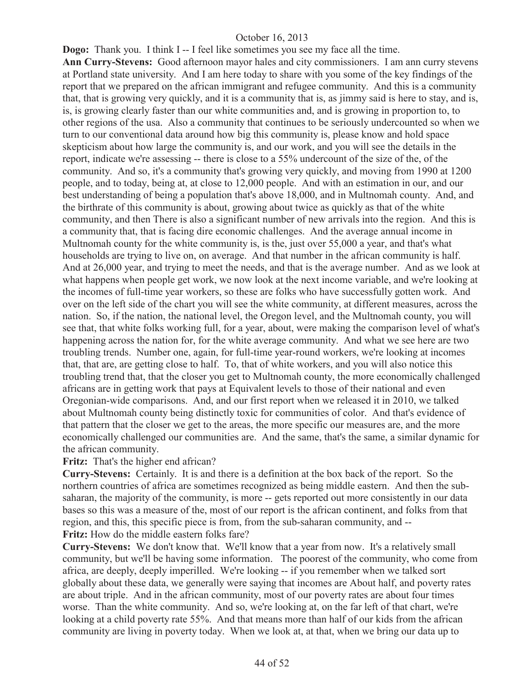**Dogo:** Thank you. I think I-- I feel like sometimes you see my face all the time. **Ann Curry-Stevens:** Good afternoon mayor hales and city commissioners. I am ann curry stevens at Portland state university. And I am here today to share with you some of the key findings of the report that we prepared on the african immigrant and refugee community. And this is a community that, that is growing very quickly, and it is a community that is, as jimmy said is here to stay, and is, is, is growing clearly faster than our white communities and, and is growing in proportion to, to other regions of the usa. Also a community that continues to be seriously undercounted so when we turn to our conventional data around how big this community is, please know and hold space skepticism about how large the community is, and our work, and you will see the details in the report, indicate we're assessing -- there is close to a 55% undercount of the size of the, of the community. And so, it's a community that's growing very quickly, and moving from 1990 at 1200 people, and to today, being at, at close to 12,000 people. And with an estimation in our, and our best understanding of being a population that's above 18,000, and in Multnomah county. And, and the birthrate of this community is about, growing about twice as quickly as that of the white community, and then There is also a significant number of new arrivals into the region. And this is a community that, that is facing dire economic challenges. And the average annual income in Multnomah county for the white community is, is the, just over 55,000 a year, and that's what households are trying to live on, on average. And that number in the african community is half. And at 26,000 year, and trying to meet the needs, and that is the average number. And as we look at what happens when people get work, we now look at the next income variable, and we're looking at the incomes of full-time year workers, so these are folks who have successfully gotten work. And over on the left side of the chart you will see the white community, at different measures, across the nation. So, if the nation, the national level, the Oregon level, and the Multnomah county, you will see that, that white folks working full, for a year, about, were making the comparison level of what's happening across the nation for, for the white average community. And what we see here are two troubling trends. Number one, again, for full-time year-round workers, we're looking at incomes that, that are, are getting close to half. To, that of white workers, and you will also notice this troubling trend that, that the closer you get to Multnomah county, the more economically challenged africans are in getting work that pays at Equivalent levels to those of their national and even Oregonian-wide comparisons. And, and our first report when we released it in 2010, we talked about Multnomah county being distinctly toxic for communities of color. And that's evidence of that pattern that the closer we get to the areas, the more specific our measures are, and the more economically challenged our communities are. And the same, that's the same, a similar dynamic for the african community.

#### **Fritz:** That's the higher end african?

**Curry-Stevens:** Certainly. It is and there is a definition at the box back of the report. So the northern countries of africa are sometimes recognized as being middle eastern. And then the subsaharan, the majority of the community, is more -- gets reported out more consistently in our data bases so this was a measure of the, most of our report is the african continent, and folks from that region, and this, this specific piece is from, from the sub-saharan community, and -- **Fritz:** How do the middle eastern folks fare?

**Curry-Stevens:** We don't know that. We'll know that a year from now. It's a relatively small community, but we'll be having some information. The poorest of the community, who come from africa, are deeply, deeply imperilled. We're looking -- if you remember when we talked sort globally about these data, we generally were saying that incomes are About half, and poverty rates are about triple. And in the african community, most of our poverty rates are about four times worse. Than the white community. And so, we're looking at, on the far left of that chart, we're looking at a child poverty rate 55%. And that means more than half of our kids from the african community are living in poverty today. When we look at, at that, when we bring our data up to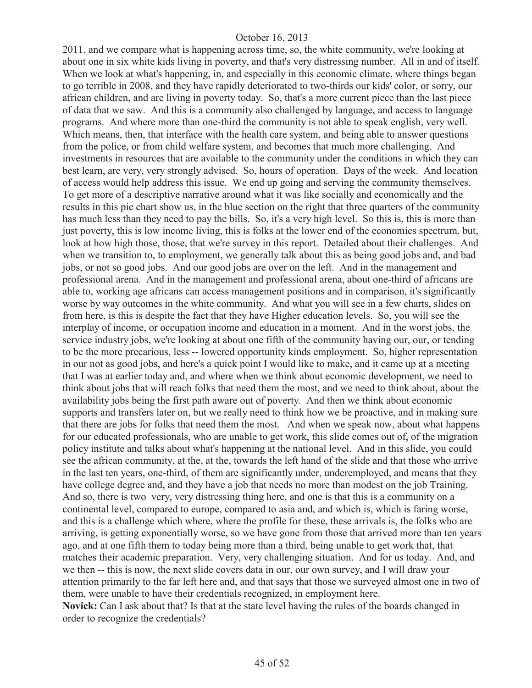2011, and we compare what is happening across time, so, the white community, we're looking at about one in six white kids living in poverty, and that's very distressing number. All in and of itself. When we look at what's happening, in, and especially in this economic climate, where things began to go terrible in 2008, and they have rapidly deteriorated to two-thirds our kids' color, or sorry, our african children, and are living in poverty today. So, that's a more current piece than the last piece of data that we saw. And this is a community also challenged by language, and access to language programs. And where more than one-third the community is not able to speak english, very well. Which means, then, that interface with the health care system, and being able to answer questions from the police, or from child welfare system, and becomes that much more challenging. And investments in resources that are available to the community under the conditions in which they can best learn, are very, very strongly advised. So, hours of operation. Days of the week. And location of access would help address this issue. We end up going and serving the community themselves. To get more of a descriptive narrative around what it was like socially and economically and the results in this pie chart show us, in the blue section on the right that three quarters of the community has much less than they need to pay the bills. So, it's a very high level. So this is, this is more than just poverty, this is low income living, this is folks at the lower end of the economics spectrum, but, look at how high those, those, that we're survey in this report. Detailed about their challenges. And when we transition to, to employment, we generally talk about this as being good jobs and, and bad jobs, or not so good jobs. And our good jobs are over on the left. And in the management and professional arena. And in the management and professional arena, about one-third of africans are able to, working age africans can access management positions and in comparison, it's significantly worse by way outcomes in the white community. And what you will see in a few charts, slides on from here, is this is despite the fact that they have Higher education levels. So, you will see the interplay of income, or occupation income and education in a moment. And in the worst jobs, the service industry jobs, we're looking at about one fifth of the community having our, our, or tending to be the more precarious, less -- lowered opportunity kinds employment. So, higher representation in our not as good jobs, and here's a quick point I would like to make, and it came up at a meeting that I was at earlier today and, and where when we think about economic development, we need to think about jobs that will reach folks that need them the most, and we need to think about, about the availability jobs being the first path aware out of poverty. And then we think about economic supports and transfers later on, but we really need to think how we be proactive, and in making sure that there are jobs for folks that need them the most. And when we speak now, about what happens for our educated professionals, who are unable to get work, this slide comes out of, of the migration policy institute and talks about what's happening at the national level. And in this slide, you could see the african community, at the, at the, towards the left hand of the slide and that those who arrive in the last ten years, one-third, of them are significantly under, underemployed, and means that they have college degree and, and they have a job that needs no more than modest on the job Training. And so, there is two very, very distressing thing here, and one is that this is a community on a continental level, compared to europe, compared to asia and, and which is, which is faring worse, and this is a challenge which where, where the profile for these, these arrivals is, the folks who are arriving, is getting exponentially worse, so we have gone from those that arrived more than ten years ago, and at one fifth them to today being more than a third, being unable to get work that, that matches their academic preparation. Very, very challenging situation. And for us today. And, and we then -- this is now, the next slide covers data in our, our own survey, and I will draw your attention primarily to the far left here and, and that says that those we surveyed almost one in two of them, were unable to have their credentials recognized, in employment here. **Novick:** Can I ask about that? Is that at the state level having the rules of the boards changed in

order to recognize the credentials?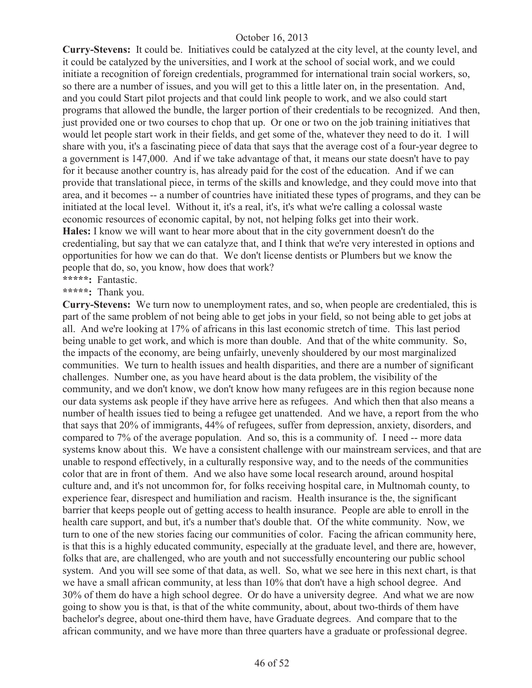**Curry-Stevens:** It could be. Initiatives could be catalyzed at the city level, at the county level, and it could be catalyzed by the universities, and I work at the school of social work, and we could initiate a recognition of foreign credentials, programmed for international train social workers, so, so there are a number of issues, and you will get to this a little later on, in the presentation. And, and you could Start pilot projects and that could link people to work, and we also could start programs that allowed the bundle, the larger portion of their credentials to be recognized. And then, just provided one or two courses to chop that up. Or one or two on the job training initiatives that would let people start work in their fields, and get some of the, whatever they need to do it. I will share with you, it's a fascinating piece of data that says that the average cost of a four-year degree to a government is 147,000. And if we take advantage of that, it means our state doesn't have to pay for it because another country is, has already paid for the cost of the education. And if we can provide that translational piece, in terms of the skills and knowledge, and they could move into that area, and it becomes -- a number of countries have initiated these types of programs, and they can be initiated at the local level. Without it, it's a real, it's, it's what we're calling a colossal waste economic resources of economic capital, by not, not helping folks get into their work. **Hales:** I know we will want to hear more about that in the city government doesn't do the credentialing, but say that we can catalyze that, and I think that we're very interested in options and opportunities for how we can do that. We don't license dentists or Plumbers but we know the people that do, so, you know, how does that work? **\*\*\*\*\*:** Fantastic.

**\*\*\*\*\*:** Thank you.

**Curry-Stevens:** We turn now to unemployment rates, and so, when people are credentialed, this is part of the same problem of not being able to get jobs in your field, so not being able to get jobs at all. And we're looking at 17% of africans in this last economic stretch of time. This last period being unable to get work, and which is more than double. And that of the white community. So, the impacts of the economy, are being unfairly, unevenly shouldered by our most marginalized communities. We turn to health issues and health disparities, and there are a number of significant challenges. Number one, as you have heard about is the data problem, the visibility of the community, and we don't know, we don't know how many refugees are in this region because none our data systems ask people if they have arrive here as refugees. And which then that also means a number of health issues tied to being a refugee get unattended. And we have, a report from the who that says that 20% of immigrants, 44% of refugees, suffer from depression, anxiety, disorders, and compared to 7% of the average population. And so, this is a community of. I need -- more data systems know about this. We have a consistent challenge with our mainstream services, and that are unable to respond effectively, in a culturally responsive way, and to the needs of the communities color that are in front of them. And we also have some local research around, around hospital culture and, and it's not uncommon for, for folks receiving hospital care, in Multnomah county, to experience fear, disrespect and humiliation and racism. Health insurance is the, the significant barrier that keeps people out of getting access to health insurance. People are able to enroll in the health care support, and but, it's a number that's double that. Of the white community. Now, we turn to one of the new stories facing our communities of color. Facing the african community here, is that this is a highly educated community, especially at the graduate level, and there are, however, folks that are, are challenged, who are youth and not successfully encountering our public school system. And you will see some of that data, as well. So, what we see here in this next chart, is that we have a small african community, at less than 10% that don't have a high school degree. And 30% of them do have a high school degree. Or do have a university degree. And what we are now going to show you is that, is that of the white community, about, about two-thirds of them have bachelor's degree, about one-third them have, have Graduate degrees. And compare that to the african community, and we have more than three quarters have a graduate or professional degree.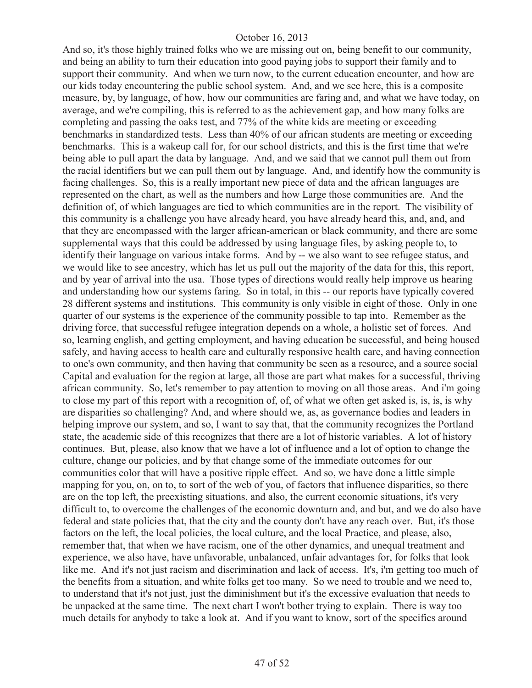And so, it's those highly trained folks who we are missing out on, being benefit to our community, and being an ability to turn their education into good paying jobs to support their family and to support their community. And when we turn now, to the current education encounter, and how are our kids today encountering the public school system. And, and we see here, this is a composite measure, by, by language, of how, how our communities are faring and, and what we have today, on average, and we're compiling, this is referred to as the achievement gap, and how many folks are completing and passing the oaks test, and 77% of the white kids are meeting or exceeding benchmarks in standardized tests. Less than 40% of our african students are meeting or exceeding benchmarks. This is a wakeup call for, for our school districts, and this is the first time that we're being able to pull apart the data by language. And, and we said that we cannot pull them out from the racial identifiers but we can pull them out by language. And, and identify how the community is facing challenges. So, this is a really important new piece of data and the african languages are represented on the chart, as well as the numbers and how Large those communities are. And the definition of, of which languages are tied to which communities are in the report. The visibility of this community is a challenge you have already heard, you have already heard this, and, and, and that they are encompassed with the larger african-american or black community, and there are some supplemental ways that this could be addressed by using language files, by asking people to, to identify their language on various intake forms. And by -- we also want to see refugee status, and we would like to see ancestry, which has let us pull out the majority of the data for this, this report, and by year of arrival into the usa. Those types of directions would really help improve us hearing and understanding how our systems faring. So in total, in this -- our reports have typically covered 28 different systems and institutions. This community is only visible in eight of those. Only in one quarter of our systems is the experience of the community possible to tap into. Remember as the driving force, that successful refugee integration depends on a whole, a holistic set of forces. And so, learning english, and getting employment, and having education be successful, and being housed safely, and having access to health care and culturally responsive health care, and having connection to one's own community, and then having that community be seen as a resource, and a source social Capital and evaluation for the region at large, all those are part what makes for a successful, thriving african community. So, let's remember to pay attention to moving on all those areas. And i'm going to close my part of this report with a recognition of, of, of what we often get asked is, is, is, is why are disparities so challenging? And, and where should we, as, as governance bodies and leaders in helping improve our system, and so, I want to say that, that the community recognizes the Portland state, the academic side of this recognizes that there are a lot of historic variables. A lot of history continues. But, please, also know that we have a lot of influence and a lot of option to change the culture, change our policies, and by that change some of the immediate outcomes for our communities color that will have a positive ripple effect. And so, we have done a little simple mapping for you, on, on to, to sort of the web of you, of factors that influence disparities, so there are on the top left, the preexisting situations, and also, the current economic situations, it's very difficult to, to overcome the challenges of the economic downturn and, and but, and we do also have federal and state policies that, that the city and the county don't have any reach over. But, it's those factors on the left, the local policies, the local culture, and the local Practice, and please, also, remember that, that when we have racism, one of the other dynamics, and unequal treatment and experience, we also have, have unfavorable, unbalanced, unfair advantages for, for folks that look like me. And it's not just racism and discrimination and lack of access. It's, i'm getting too much of the benefits from a situation, and white folks get too many. So we need to trouble and we need to, to understand that it's not just, just the diminishment but it's the excessive evaluation that needs to be unpacked at the same time. The next chart I won't bother trying to explain. There is way too much details for anybody to take a look at. And if you want to know, sort of the specifics around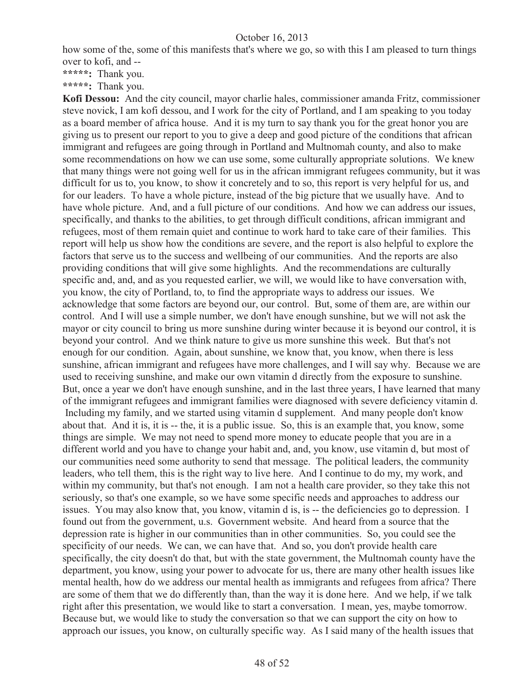how some of the, some of this manifests that's where we go, so with this I am pleased to turn things over to kofi, and --

**\*\*\*\*\*:** Thank you.

**\*\*\*\*\*:** Thank you.

**Kofi Dessou:** And the city council, mayor charlie hales, commissioner amanda Fritz, commissioner steve novick, I am kofi dessou, and I work for the city of Portland, and I am speaking to you today as a board member of africa house. And it is my turn to say thank you for the great honor you are giving us to present our report to you to give a deep and good picture of the conditions that african immigrant and refugees are going through in Portland and Multnomah county, and also to make some recommendations on how we can use some, some culturally appropriate solutions. We knew that many things were not going well for us in the african immigrant refugees community, but it was difficult for us to, you know, to show it concretely and to so, this report is very helpful for us, and for our leaders. To have a whole picture, instead of the big picture that we usually have. And to have whole picture. And, and a full picture of our conditions. And how we can address our issues, specifically, and thanks to the abilities, to get through difficult conditions, african immigrant and refugees, most of them remain quiet and continue to work hard to take care of their families. This report will help us show how the conditions are severe, and the report is also helpful to explore the factors that serve us to the success and wellbeing of our communities. And the reports are also providing conditions that will give some highlights. And the recommendations are culturally specific and, and, and as you requested earlier, we will, we would like to have conversation with, you know, the city of Portland, to, to find the appropriate ways to address our issues. We acknowledge that some factors are beyond our, our control. But, some of them are, are within our control. And I will use a simple number, we don't have enough sunshine, but we will not ask the mayor or city council to bring us more sunshine during winter because it is beyond our control, it is beyond your control. And we think nature to give us more sunshine this week. But that's not enough for our condition. Again, about sunshine, we know that, you know, when there is less sunshine, african immigrant and refugees have more challenges, and I will say why. Because we are used to receiving sunshine, and make our own vitamin d directly from the exposure to sunshine. But, once a year we don't have enough sunshine, and in the last three years, I have learned that many of the immigrant refugees and immigrant families were diagnosed with severe deficiency vitamin d. Including my family, and we started using vitamin d supplement. And many people don't know about that. And it is, it is -- the, it is a public issue. So, this is an example that, you know, some things are simple. We may not need to spend more money to educate people that you are in a different world and you have to change your habit and, and, you know, use vitamin d, but most of our communities need some authority to send that message. The political leaders, the community leaders, who tell them, this is the right way to live here. And I continue to do my, my work, and within my community, but that's not enough. I am not a health care provider, so they take this not seriously, so that's one example, so we have some specific needs and approaches to address our issues. You may also know that, you know, vitamin d is, is -- the deficiencies go to depression. I found out from the government, u.s. Government website. And heard from a source that the depression rate is higher in our communities than in other communities. So, you could see the specificity of our needs. We can, we can have that. And so, you don't provide health care specifically, the city doesn't do that, but with the state government, the Multnomah county have the department, you know, using your power to advocate for us, there are many other health issues like mental health, how do we address our mental health as immigrants and refugees from africa? There are some of them that we do differently than, than the way it is done here. And we help, if we talk right after this presentation, we would like to start a conversation. I mean, yes, maybe tomorrow. Because but, we would like to study the conversation so that we can support the city on how to approach our issues, you know, on culturally specific way. As I said many of the health issues that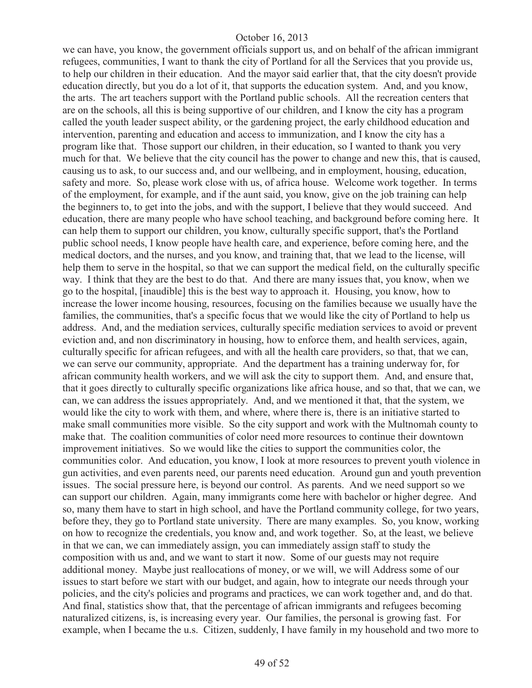we can have, you know, the government officials support us, and on behalf of the african immigrant refugees, communities, I want to thank the city of Portland for all the Services that you provide us, to help our children in their education. And the mayor said earlier that, that the city doesn't provide education directly, but you do a lot of it, that supports the education system. And, and you know, the arts. The art teachers support with the Portland public schools. All the recreation centers that are on the schools, all this is being supportive of our children, and I know the city has a program called the youth leader suspect ability, or the gardening project, the early childhood education and intervention, parenting and education and access to immunization, and I know the city has a program like that. Those support our children, in their education, so I wanted to thank you very much for that. We believe that the city council has the power to change and new this, that is caused, causing us to ask, to our success and, and our wellbeing, and in employment, housing, education, safety and more. So, please work close with us, of africa house. Welcome work together. In terms of the employment, for example, and if the aunt said, you know, give on the job training can help the beginners to, to get into the jobs, and with the support, I believe that they would succeed. And education, there are many people who have school teaching, and background before coming here. It can help them to support our children, you know, culturally specific support, that's the Portland public school needs, I know people have health care, and experience, before coming here, and the medical doctors, and the nurses, and you know, and training that, that we lead to the license, will help them to serve in the hospital, so that we can support the medical field, on the culturally specific way. I think that they are the best to do that. And there are many issues that, you know, when we go to the hospital, [inaudible] this is the best way to approach it. Housing, you know, how to increase the lower income housing, resources, focusing on the families because we usually have the families, the communities, that's a specific focus that we would like the city of Portland to help us address. And, and the mediation services, culturally specific mediation services to avoid or prevent eviction and, and non discriminatory in housing, how to enforce them, and health services, again, culturally specific for african refugees, and with all the health care providers, so that, that we can, we can serve our community, appropriate. And the department has a training underway for, for african community health workers, and we will ask the city to support them. And, and ensure that, that it goes directly to culturally specific organizations like africa house, and so that, that we can, we can, we can address the issues appropriately. And, and we mentioned it that, that the system, we would like the city to work with them, and where, where there is, there is an initiative started to make small communities more visible. So the city support and work with the Multnomah county to make that. The coalition communities of color need more resources to continue their downtown improvement initiatives. So we would like the cities to support the communities color, the communities color. And education, you know, I look at more resources to prevent youth violence in gun activities, and even parents need, our parents need education. Around gun and youth prevention issues. The social pressure here, is beyond our control. As parents. And we need support so we can support our children. Again, many immigrants come here with bachelor or higher degree. And so, many them have to start in high school, and have the Portland community college, for two years, before they, they go to Portland state university. There are many examples. So, you know, working on how to recognize the credentials, you know and, and work together. So, at the least, we believe in that we can, we can immediately assign, you can immediately assign staff to study the composition with us and, and we want to start it now. Some of our guests may not require additional money. Maybe just reallocations of money, or we will, we will Address some of our issues to start before we start with our budget, and again, how to integrate our needs through your policies, and the city's policies and programs and practices, we can work together and, and do that. And final, statistics show that, that the percentage of african immigrants and refugees becoming naturalized citizens, is, is increasing every year. Our families, the personal is growing fast. For example, when I became the u.s. Citizen, suddenly, I have family in my household and two more to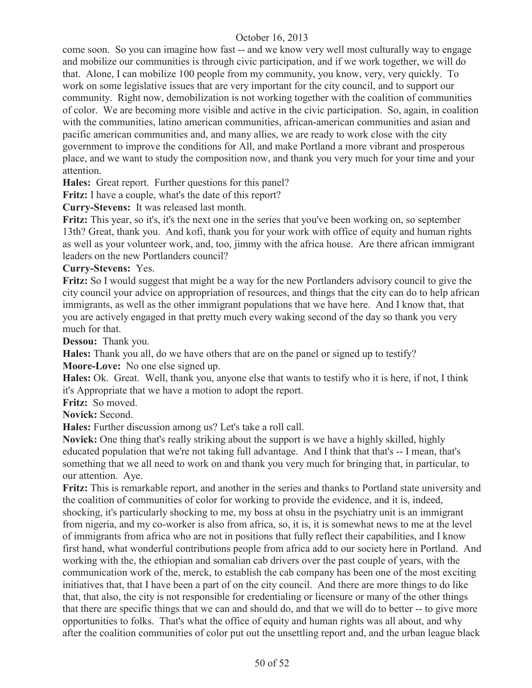come soon. So you can imagine how fast -- and we know very well most culturally way to engage and mobilize our communities is through civic participation, and if we work together, we will do that. Alone, I can mobilize 100 people from my community, you know, very, very quickly. To work on some legislative issues that are very important for the city council, and to support our community. Right now, demobilization is not working together with the coalition of communities of color. We are becoming more visible and active in the civic participation. So, again, in coalition with the communities, latino american communities, african-american communities and asian and pacific american communities and, and many allies, we are ready to work close with the city government to improve the conditions for All, and make Portland a more vibrant and prosperous place, and we want to study the composition now, and thank you very much for your time and your attention.

**Hales:** Great report. Further questions for this panel?

**Fritz:** I have a couple, what's the date of this report?

**Curry-Stevens:** It was released last month.

**Fritz:** This year, so it's, it's the next one in the series that you've been working on, so september 13th? Great, thank you. And kofi, thank you for your work with office of equity and human rights as well as your volunteer work, and, too, jimmy with the africa house. Are there african immigrant leaders on the new Portlanders council?

#### **Curry-Stevens:** Yes.

**Fritz:** So I would suggest that might be a way for the new Portlanders advisory council to give the city council your advice on appropriation of resources, and things that the city can do to help african immigrants, as well as the other immigrant populations that we have here. And I know that, that you are actively engaged in that pretty much every waking second of the day so thank you very much for that.

**Dessou:** Thank you.

**Hales:** Thank you all, do we have others that are on the panel or signed up to testify? **Moore-Love:** No one else signed up.

**Hales:** Ok. Great. Well, thank you, anyone else that wants to testify who it is here, if not, I think it's Appropriate that we have a motion to adopt the report.

**Fritz:** So moved.

**Novick:** Second.

**Hales:** Further discussion among us? Let's take a roll call.

**Novick:** One thing that's really striking about the support is we have a highly skilled, highly educated population that we're not taking full advantage. And I think that that's -- I mean, that's something that we all need to work on and thank you very much for bringing that, in particular, to our attention. Aye.

**Fritz:** This is remarkable report, and another in the series and thanks to Portland state university and the coalition of communities of color for working to provide the evidence, and it is, indeed, shocking, it's particularly shocking to me, my boss at ohsu in the psychiatry unit is an immigrant from nigeria, and my co-worker is also from africa, so, it is, it is somewhat news to me at the level of immigrants from africa who are not in positions that fully reflect their capabilities, and I know first hand, what wonderful contributions people from africa add to our society here in Portland. And working with the, the ethiopian and somalian cab drivers over the past couple of years, with the communication work of the, merck, to establish the cab company has been one of the most exciting initiatives that, that I have been a part of on the city council. And there are more things to do like that, that also, the city is not responsible for credentialing or licensure or many of the other things that there are specific things that we can and should do, and that we will do to better -- to give more opportunities to folks. That's what the office of equity and human rights was all about, and why after the coalition communities of color put out the unsettling report and, and the urban league black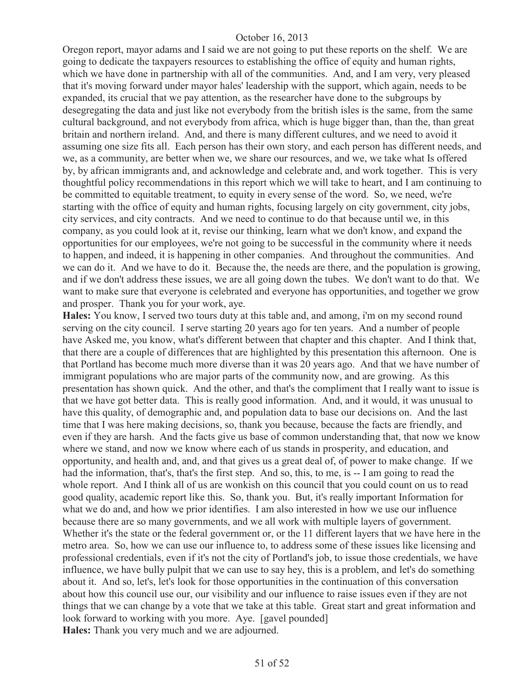Oregon report, mayor adams and I said we are not going to put these reports on the shelf. We are going to dedicate the taxpayers resources to establishing the office of equity and human rights, which we have done in partnership with all of the communities. And, and I am very, very pleased that it's moving forward under mayor hales' leadership with the support, which again, needs to be expanded, its crucial that we pay attention, as the researcher have done to the subgroups by desegregating the data and just like not everybody from the british isles is the same, from the same cultural background, and not everybody from africa, which is huge bigger than, than the, than great britain and northern ireland. And, and there is many different cultures, and we need to avoid it assuming one size fits all. Each person has their own story, and each person has different needs, and we, as a community, are better when we, we share our resources, and we, we take what Is offered by, by african immigrants and, and acknowledge and celebrate and, and work together. This is very thoughtful policy recommendations in this report which we will take to heart, and I am continuing to be committed to equitable treatment, to equity in every sense of the word. So, we need, we're starting with the office of equity and human rights, focusing largely on city government, city jobs, city services, and city contracts. And we need to continue to do that because until we, in this company, as you could look at it, revise our thinking, learn what we don't know, and expand the opportunities for our employees, we're not going to be successful in the community where it needs to happen, and indeed, it is happening in other companies. And throughout the communities. And we can do it. And we have to do it. Because the, the needs are there, and the population is growing, and if we don't address these issues, we are all going down the tubes. We don't want to do that. We want to make sure that everyone is celebrated and everyone has opportunities, and together we grow and prosper. Thank you for your work, aye.

**Hales:** You know, I served two tours duty at this table and, and among, i'm on my second round serving on the city council. I serve starting 20 years ago for ten years. And a number of people have Asked me, you know, what's different between that chapter and this chapter. And I think that, that there are a couple of differences that are highlighted by this presentation this afternoon. One is that Portland has become much more diverse than it was 20 years ago. And that we have number of immigrant populations who are major parts of the community now, and are growing. As this presentation has shown quick. And the other, and that's the compliment that I really want to issue is that we have got better data. This is really good information. And, and it would, it was unusual to have this quality, of demographic and, and population data to base our decisions on. And the last time that I was here making decisions, so, thank you because, because the facts are friendly, and even if they are harsh. And the facts give us base of common understanding that, that now we know where we stand, and now we know where each of us stands in prosperity, and education, and opportunity, and health and, and, and that gives us a great deal of, of power to make change. If we had the information, that's, that's the first step. And so, this, to me, is -- I am going to read the whole report. And I think all of us are wonkish on this council that you could count on us to read good quality, academic report like this. So, thank you. But, it's really important Information for what we do and, and how we prior identifies. I am also interested in how we use our influence because there are so many governments, and we all work with multiple layers of government. Whether it's the state or the federal government or, or the 11 different layers that we have here in the metro area. So, how we can use our influence to, to address some of these issues like licensing and professional credentials, even if it's not the city of Portland's job, to issue those credentials, we have influence, we have bully pulpit that we can use to say hey, this is a problem, and let's do something about it. And so, let's, let's look for those opportunities in the continuation of this conversation about how this council use our, our visibility and our influence to raise issues even if they are not things that we can change by a vote that we take at this table. Great start and great information and look forward to working with you more. Aye. [gavel pounded] **Hales:** Thank you very much and we are adjourned.